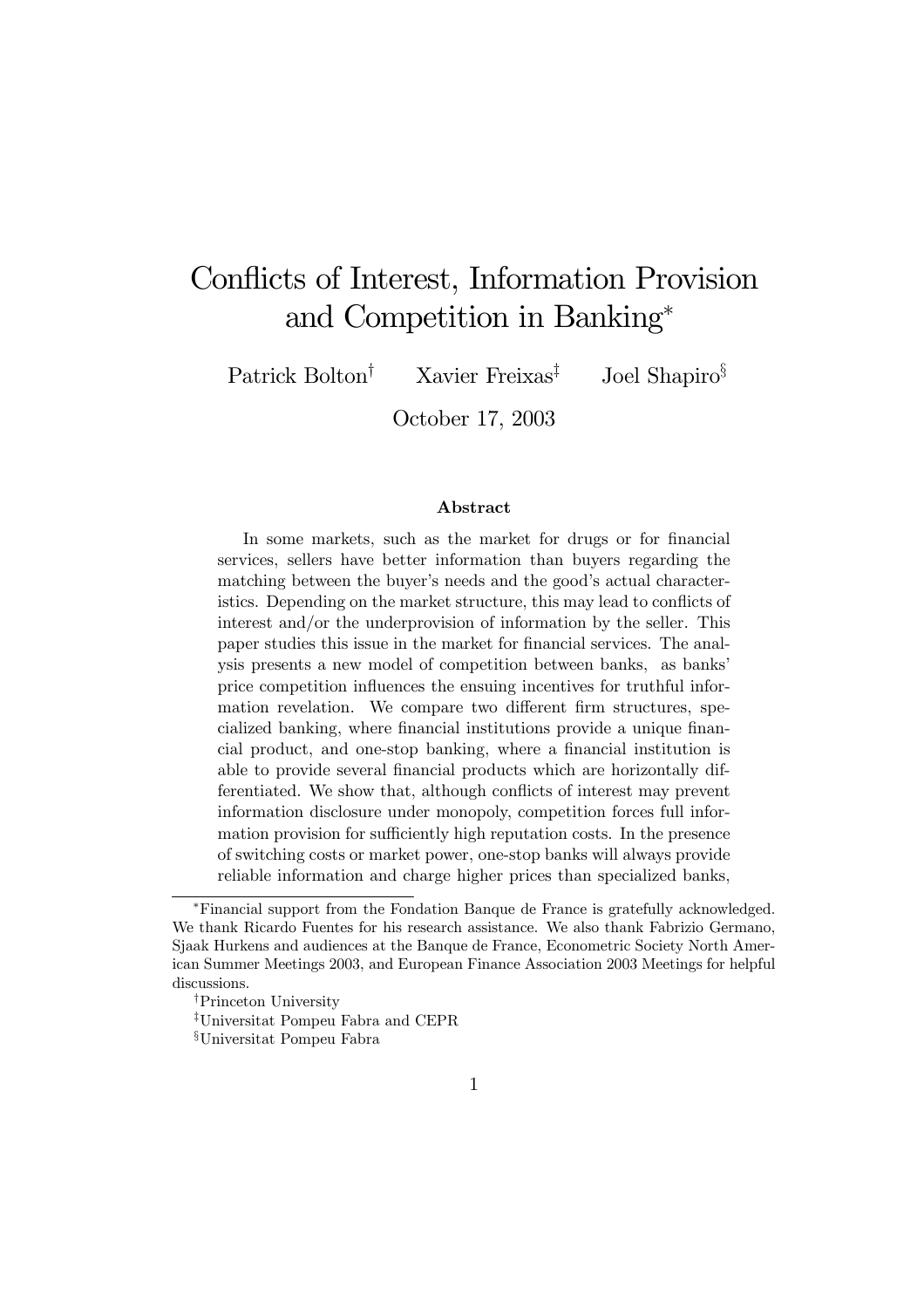# Conflicts of Interest, Information Provision and Competition in Banking<sup>∗</sup>

Patrick Bolton<sup>†</sup> Xavier Freixas<sup>‡</sup> Joel Shapiro<sup>§</sup>

October 17, 2003

#### Abstract

In some markets, such as the market for drugs or for financial services, sellers have better information than buyers regarding the matching between the buyer's needs and the good's actual characteristics. Depending on the market structure, this may lead to conflicts of interest and/or the underprovision of information by the seller. This paper studies this issue in the market for financial services. The analysis presents a new model of competition between banks, as banks' price competition influences the ensuing incentives for truthful information revelation. We compare two different firm structures, specialized banking, where financial institutions provide a unique financial product, and one-stop banking, where a financial institution is able to provide several financial products which are horizontally differentiated. We show that, although conflicts of interest may prevent information disclosure under monopoly, competition forces full information provision for sufficiently high reputation costs. In the presence of switching costs or market power, one-stop banks will always provide reliable information and charge higher prices than specialized banks,

<sup>∗</sup>Financial support from the Fondation Banque de France is gratefully acknowledged. We thank Ricardo Fuentes for his research assistance. We also thank Fabrizio Germano, Sjaak Hurkens and audiences at the Banque de France, Econometric Society North American Summer Meetings 2003, and European Finance Association 2003 Meetings for helpful discussions.

<sup>†</sup>Princeton University

<sup>‡</sup>Universitat Pompeu Fabra and CEPR

<sup>§</sup>Universitat Pompeu Fabra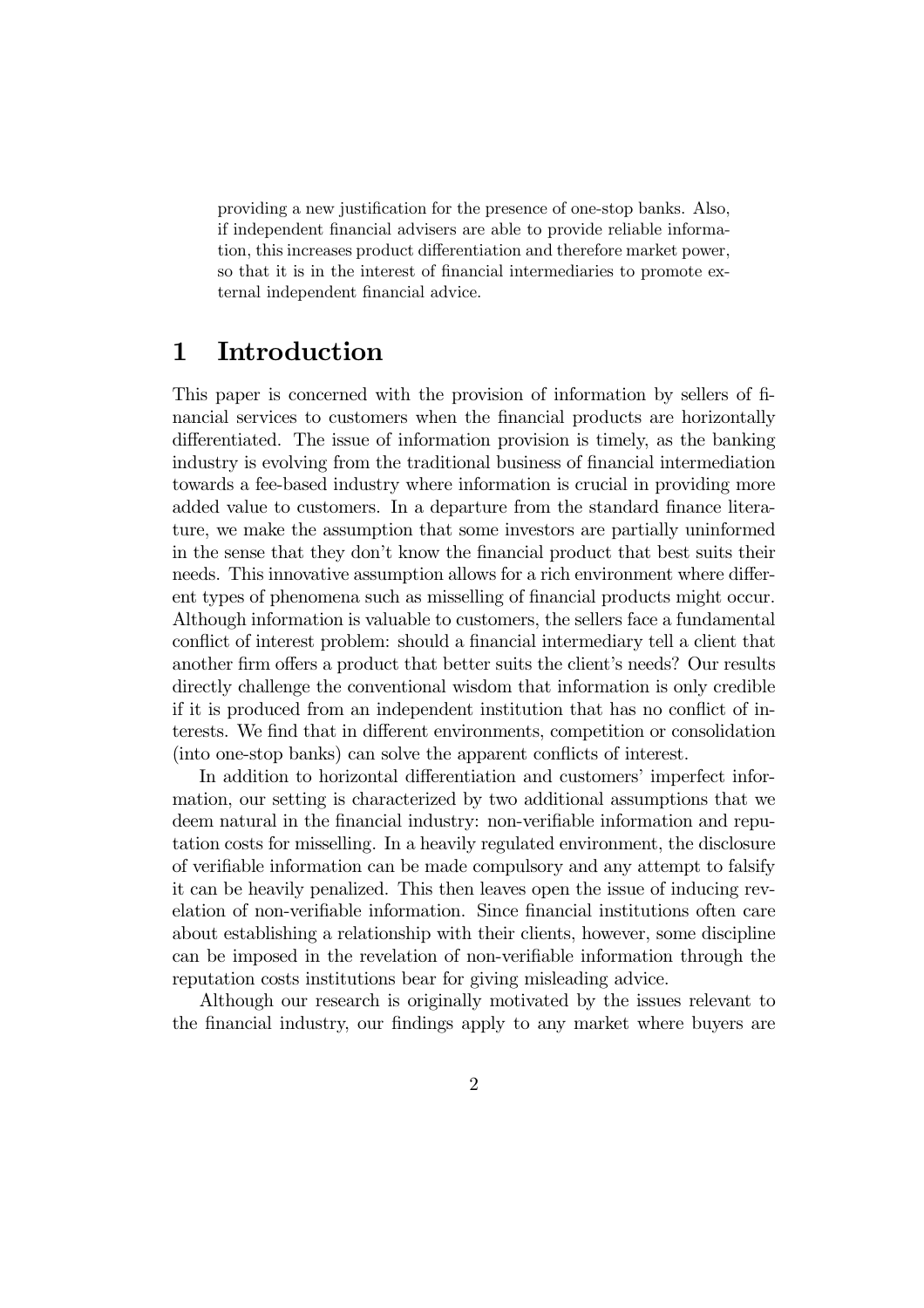providing a new justification for the presence of one-stop banks. Also, if independent financial advisers are able to provide reliable information, this increases product differentiation and therefore market power, so that it is in the interest of financial intermediaries to promote external independent financial advice.

## 1 Introduction

This paper is concerned with the provision of information by sellers of financial services to customers when the financial products are horizontally differentiated. The issue of information provision is timely, as the banking industry is evolving from the traditional business of financial intermediation towards a fee-based industry where information is crucial in providing more added value to customers. In a departure from the standard finance literature, we make the assumption that some investors are partially uninformed in the sense that they don't know the financial product that best suits their needs. This innovative assumption allows for a rich environment where different types of phenomena such as misselling of financial products might occur. Although information is valuable to customers, the sellers face a fundamental conflict of interest problem: should a financial intermediary tell a client that another firm offers a product that better suits the client's needs? Our results directly challenge the conventional wisdom that information is only credible if it is produced from an independent institution that has no conflict of interests. We find that in different environments, competition or consolidation (into one-stop banks) can solve the apparent conflicts of interest.

In addition to horizontal differentiation and customers' imperfect information, our setting is characterized by two additional assumptions that we deem natural in the financial industry: non-verifiable information and reputation costs for misselling. In a heavily regulated environment, the disclosure of verifiable information can be made compulsory and any attempt to falsify it can be heavily penalized. This then leaves open the issue of inducing revelation of non-verifiable information. Since financial institutions often care about establishing a relationship with their clients, however, some discipline can be imposed in the revelation of non-verifiable information through the reputation costs institutions bear for giving misleading advice.

Although our research is originally motivated by the issues relevant to the financial industry, our findings apply to any market where buyers are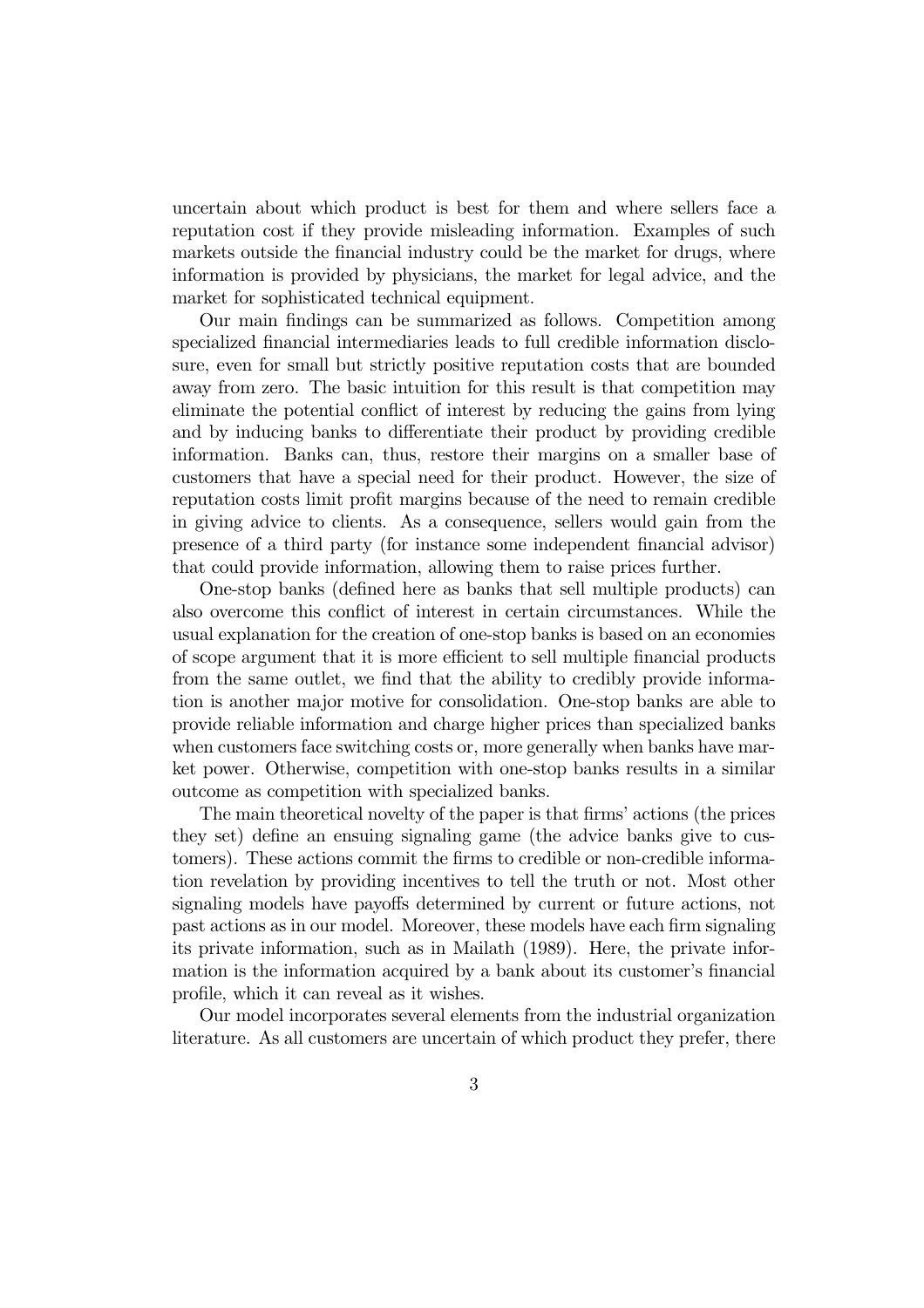uncertain about which product is best for them and where sellers face a reputation cost if they provide misleading information. Examples of such markets outside the financial industry could be the market for drugs, where information is provided by physicians, the market for legal advice, and the market for sophisticated technical equipment.

Our main findings can be summarized as follows. Competition among specialized financial intermediaries leads to full credible information disclosure, even for small but strictly positive reputation costs that are bounded away from zero. The basic intuition for this result is that competition may eliminate the potential conflict of interest by reducing the gains from lying and by inducing banks to differentiate their product by providing credible information. Banks can, thus, restore their margins on a smaller base of customers that have a special need for their product. However, the size of reputation costs limit profit margins because of the need to remain credible in giving advice to clients. As a consequence, sellers would gain from the presence of a third party (for instance some independent financial advisor) that could provide information, allowing them to raise prices further.

One-stop banks (defined here as banks that sell multiple products) can also overcome this conflict of interest in certain circumstances. While the usual explanation for the creation of one-stop banks is based on an economies of scope argument that it is more efficient to sell multiple financial products from the same outlet, we find that the ability to credibly provide information is another major motive for consolidation. One-stop banks are able to provide reliable information and charge higher prices than specialized banks when customers face switching costs or, more generally when banks have market power. Otherwise, competition with one-stop banks results in a similar outcome as competition with specialized banks.

The main theoretical novelty of the paper is that firms' actions (the prices they set) define an ensuing signaling game (the advice banks give to customers). These actions commit the firms to credible or non-credible information revelation by providing incentives to tell the truth or not. Most other signaling models have payoffs determined by current or future actions, not past actions as in our model. Moreover, these models have each firm signaling its private information, such as in Mailath (1989). Here, the private information is the information acquired by a bank about its customer's financial profile, which it can reveal as it wishes.

Our model incorporates several elements from the industrial organization literature. As all customers are uncertain of which product they prefer, there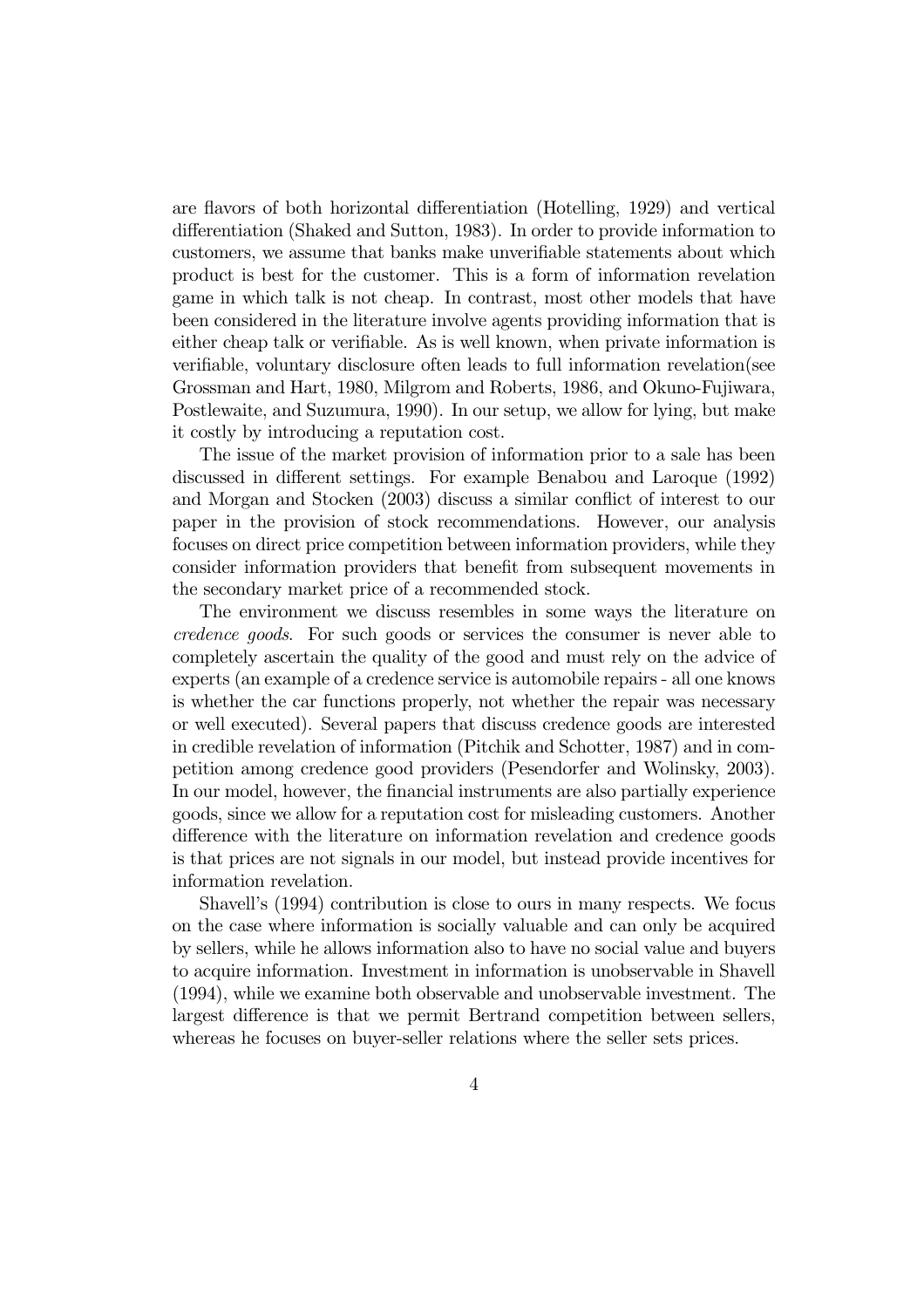are flavors of both horizontal differentiation (Hotelling, 1929) and vertical differentiation (Shaked and Sutton, 1983). In order to provide information to customers, we assume that banks make unverifiable statements about which product is best for the customer. This is a form of information revelation game in which talk is not cheap. In contrast, most other models that have been considered in the literature involve agents providing information that is either cheap talk or verifiable. As is well known, when private information is verifiable, voluntary disclosure often leads to full information revelation(see Grossman and Hart, 1980, Milgrom and Roberts, 1986, and Okuno-Fujiwara, Postlewaite, and Suzumura, 1990). In our setup, we allow for lying, but make it costly by introducing a reputation cost.

The issue of the market provision of information prior to a sale has been discussed in different settings. For example Benabou and Laroque (1992) and Morgan and Stocken (2003) discuss a similar conflict of interest to our paper in the provision of stock recommendations. However, our analysis focuses on direct price competition between information providers, while they consider information providers that benefit from subsequent movements in the secondary market price of a recommended stock.

The environment we discuss resembles in some ways the literature on credence goods. For such goods or services the consumer is never able to completely ascertain the quality of the good and must rely on the advice of experts (an example of a credence service is automobile repairs - all one knows is whether the car functions properly, not whether the repair was necessary or well executed). Several papers that discuss credence goods are interested in credible revelation of information (Pitchik and Schotter, 1987) and in competition among credence good providers (Pesendorfer and Wolinsky, 2003). In our model, however, the financial instruments are also partially experience goods, since we allow for a reputation cost for misleading customers. Another difference with the literature on information revelation and credence goods is that prices are not signals in our model, but instead provide incentives for information revelation.

Shavell's (1994) contribution is close to ours in many respects. We focus on the case where information is socially valuable and can only be acquired by sellers, while he allows information also to have no social value and buyers to acquire information. Investment in information is unobservable in Shavell (1994), while we examine both observable and unobservable investment. The largest difference is that we permit Bertrand competition between sellers, whereas he focuses on buyer-seller relations where the seller sets prices.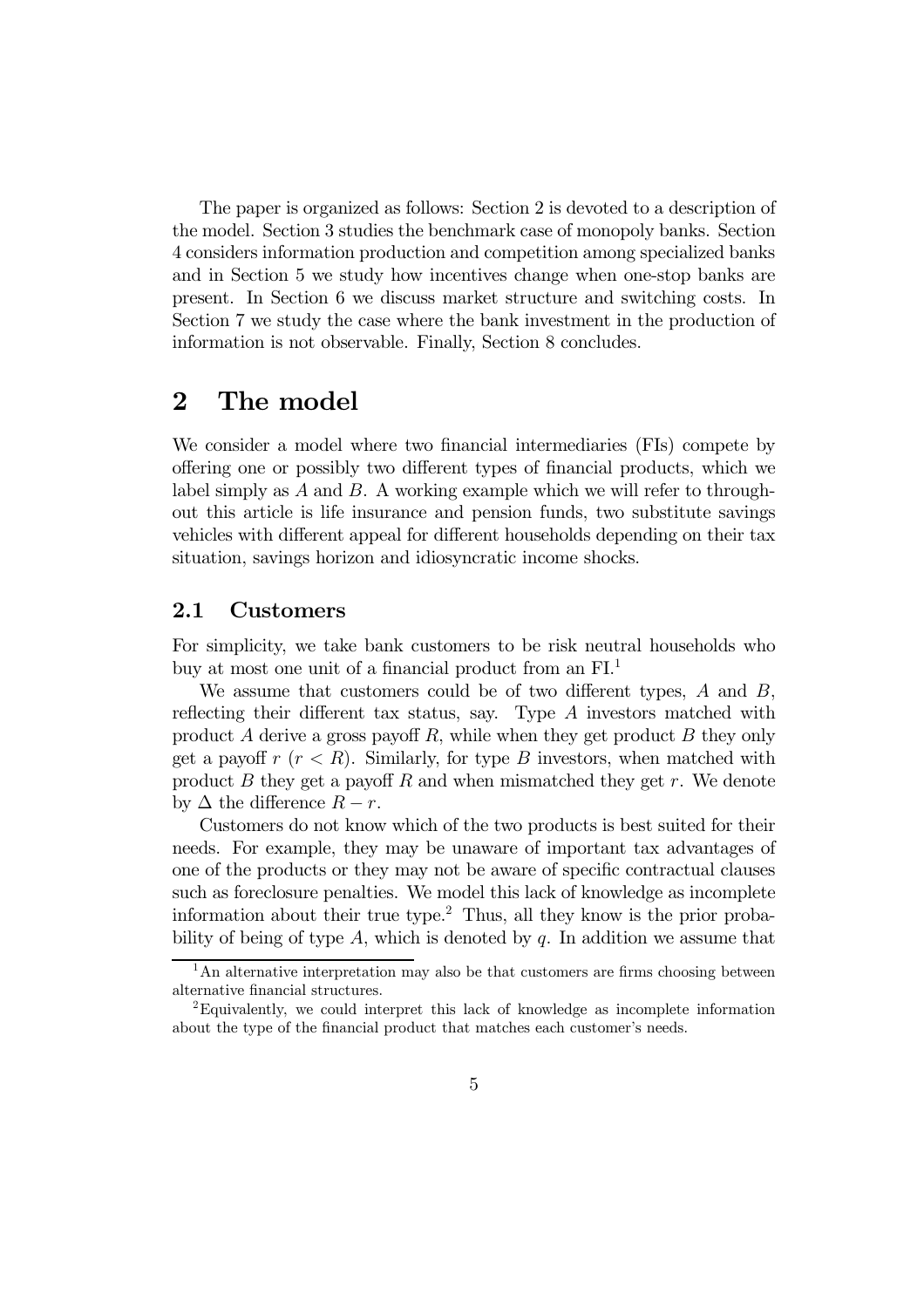The paper is organized as follows: Section 2 is devoted to a description of the model. Section 3 studies the benchmark case of monopoly banks. Section 4 considers information production and competition among specialized banks and in Section 5 we study how incentives change when one-stop banks are present. In Section 6 we discuss market structure and switching costs. In Section 7 we study the case where the bank investment in the production of information is not observable. Finally, Section 8 concludes.

## 2 The model

We consider a model where two financial intermediaries (FIs) compete by offering one or possibly two different types of financial products, which we label simply as  $A$  and  $B$ . A working example which we will refer to throughout this article is life insurance and pension funds, two substitute savings vehicles with different appeal for different households depending on their tax situation, savings horizon and idiosyncratic income shocks.

### 2.1 Customers

For simplicity, we take bank customers to be risk neutral households who buy at most one unit of a financial product from an FI.<sup>1</sup>

We assume that customers could be of two different types, A and B, reflecting their different tax status, say. Type A investors matched with product A derive a gross payoff R, while when they get product B they only get a payoff  $r (r < R)$ . Similarly, for type B investors, when matched with product  $B$  they get a payoff  $R$  and when mismatched they get  $r$ . We denote by  $\Delta$  the difference  $R - r$ .

Customers do not know which of the two products is best suited for their needs. For example, they may be unaware of important tax advantages of one of the products or they may not be aware of specific contractual clauses such as foreclosure penalties. We model this lack of knowledge as incomplete information about their true type.<sup>2</sup> Thus, all they know is the prior probability of being of type A, which is denoted by  $q$ . In addition we assume that

 $<sup>1</sup>$ An alternative interpretation may also be that customers are firms choosing between</sup> alternative financial structures.

<sup>2</sup>Equivalently, we could interpret this lack of knowledge as incomplete information about the type of the financial product that matches each customer's needs.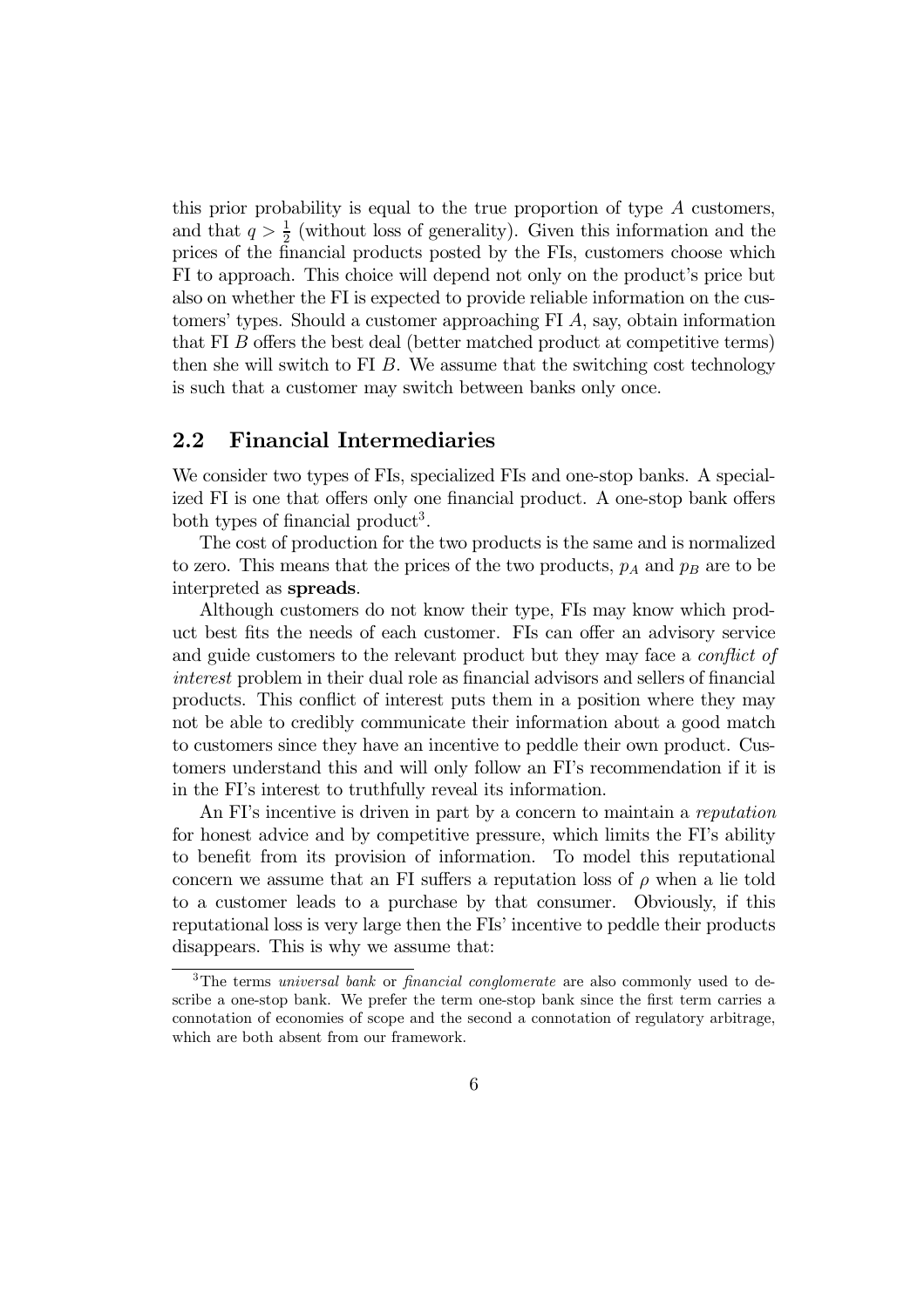this prior probability is equal to the true proportion of type  $A$  customers, and that  $q > \frac{1}{2}$  (without loss of generality). Given this information and the prices of the financial products posted by the FIs, customers choose which FI to approach. This choice will depend not only on the product's price but also on whether the FI is expected to provide reliable information on the customers' types. Should a customer approaching FI A, say, obtain information that FI B offers the best deal (better matched product at competitive terms) then she will switch to FI  $B$ . We assume that the switching cost technology is such that a customer may switch between banks only once.

#### 2.2 Financial Intermediaries

We consider two types of FIs, specialized FIs and one-stop banks. A specialized FI is one that offers only one financial product. A one-stop bank offers both types of financial product<sup>3</sup>.

The cost of production for the two products is the same and is normalized to zero. This means that the prices of the two products,  $p_A$  and  $p_B$  are to be interpreted as spreads.

Although customers do not know their type, FIs may know which product best fits the needs of each customer. FIs can offer an advisory service and guide customers to the relevant product but they may face a *conflict of* interest problem in their dual role as financial advisors and sellers of financial products. This conflict of interest puts them in a position where they may not be able to credibly communicate their information about a good match to customers since they have an incentive to peddle their own product. Customers understand this and will only follow an FI's recommendation if it is in the FI's interest to truthfully reveal its information.

An FI's incentive is driven in part by a concern to maintain a reputation for honest advice and by competitive pressure, which limits the FI's ability to benefit from its provision of information. To model this reputational concern we assume that an FI suffers a reputation loss of  $\rho$  when a lie told to a customer leads to a purchase by that consumer. Obviously, if this reputational loss is very large then the FIs' incentive to peddle their products disappears. This is why we assume that:

 $3$ The terms *universal bank* or *financial conglomerate* are also commonly used to describe a one-stop bank. We prefer the term one-stop bank since the first term carries a connotation of economies of scope and the second a connotation of regulatory arbitrage, which are both absent from our framework.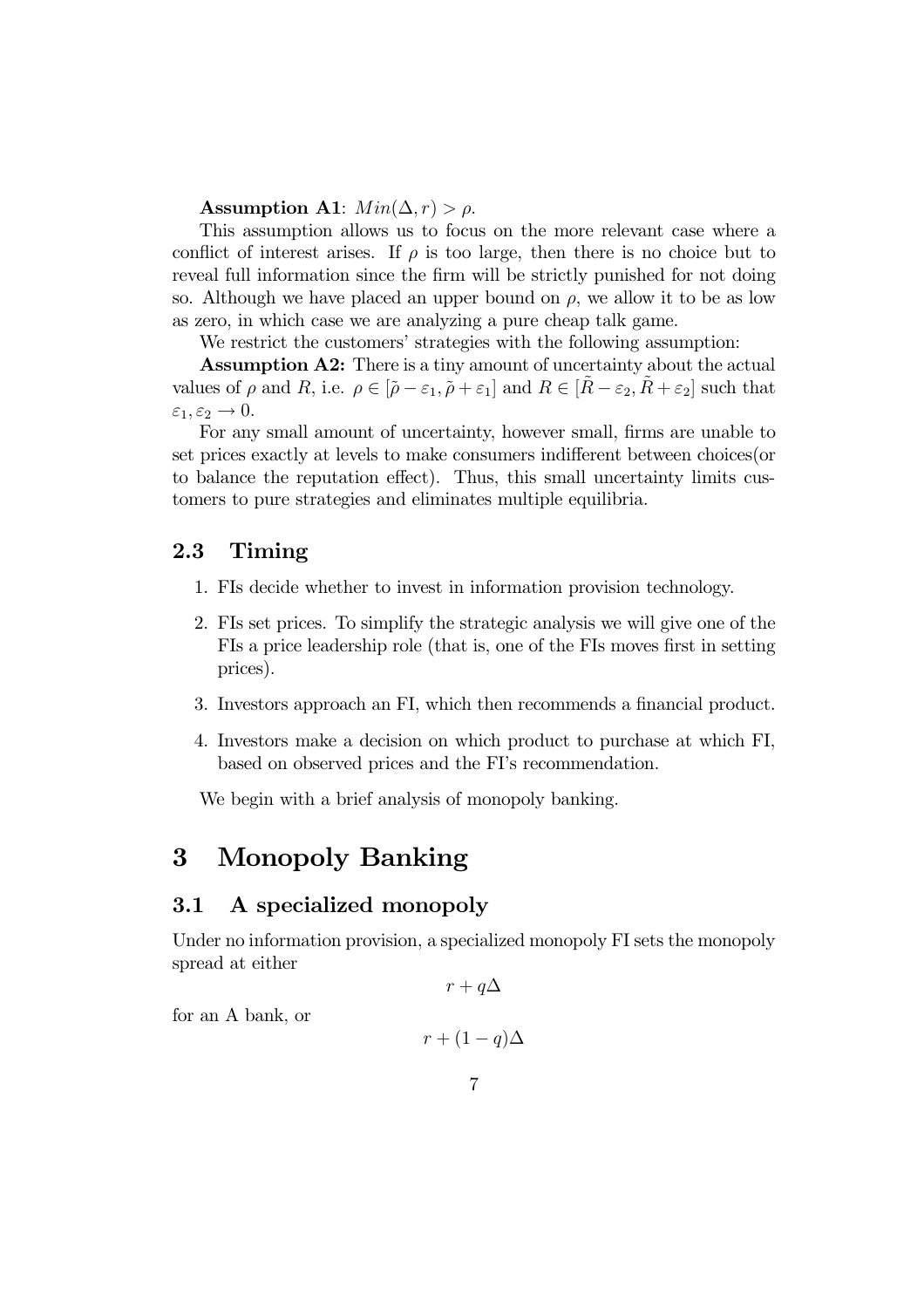Assumption A1:  $Min(\Delta, r) > \rho$ .

This assumption allows us to focus on the more relevant case where a conflict of interest arises. If  $\rho$  is too large, then there is no choice but to reveal full information since the firm will be strictly punished for not doing so. Although we have placed an upper bound on  $\rho$ , we allow it to be as low as zero, in which case we are analyzing a pure cheap talk game.

We restrict the customers' strategies with the following assumption:

Assumption A2: There is a tiny amount of uncertainty about the actual values of  $\rho$  and  $R$ , i.e.  $\rho \in [\tilde{\rho} - \varepsilon_1, \tilde{\rho} + \varepsilon_1]$  and  $R \in [\tilde{R} - \varepsilon_2, \tilde{R} + \varepsilon_2]$  such that  $\varepsilon_1, \varepsilon_2 \to 0.$ 

For any small amount of uncertainty, however small, firms are unable to set prices exactly at levels to make consumers indifferent between choices(or to balance the reputation effect). Thus, this small uncertainty limits customers to pure strategies and eliminates multiple equilibria.

### 2.3 Timing

- 1. FIs decide whether to invest in information provision technology.
- 2. FIs set prices. To simplify the strategic analysis we will give one of the FIs a price leadership role (that is, one of the FIs moves first in setting prices).
- 3. Investors approach an FI, which then recommends a financial product.
- 4. Investors make a decision on which product to purchase at which FI, based on observed prices and the FI's recommendation.

We begin with a brief analysis of monopoly banking.

## 3 Monopoly Banking

#### 3.1 A specialized monopoly

Under no information provision, a specialized monopoly FI sets the monopoly spread at either

 $r + q\Delta$ 

for an A bank, or

$$
r+(1-q)\Delta
$$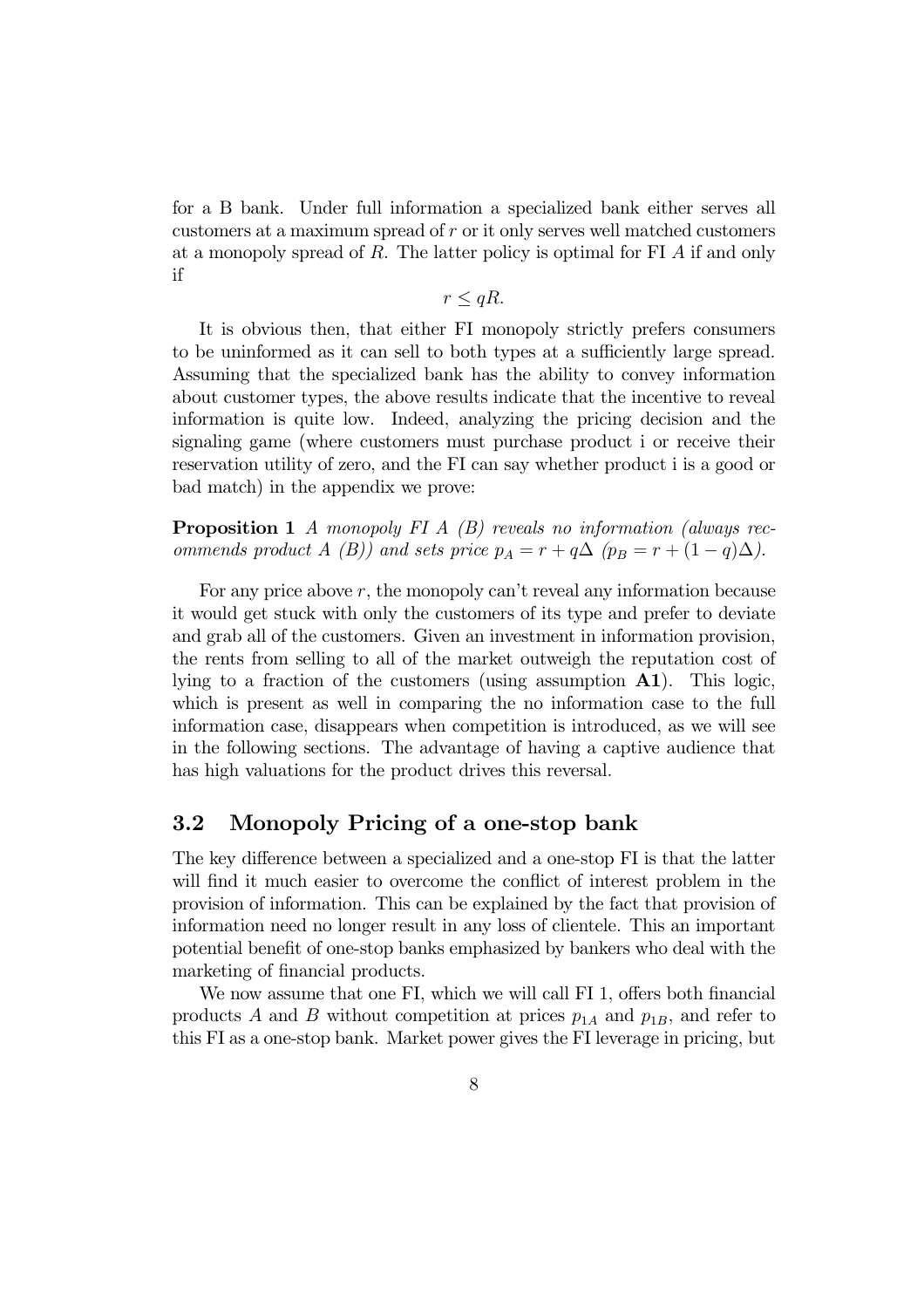for a B bank. Under full information a specialized bank either serves all customers at a maximum spread of r or it only serves well matched customers at a monopoly spread of R. The latter policy is optimal for FI A if and only if

 $r \leq qR$ .

It is obvious then, that either FI monopoly strictly prefers consumers to be uninformed as it can sell to both types at a sufficiently large spread. Assuming that the specialized bank has the ability to convey information about customer types, the above results indicate that the incentive to reveal information is quite low. Indeed, analyzing the pricing decision and the signaling game (where customers must purchase product i or receive their reservation utility of zero, and the FI can say whether product i is a good or bad match) in the appendix we prove:

**Proposition 1** A monopoly FI A  $(B)$  reveals no information (always recommends product A (B)) and sets price  $p_A = r + q\Delta$  ( $p_B = r + (1 - q)\Delta$ ).

For any price above  $r$ , the monopoly can't reveal any information because it would get stuck with only the customers of its type and prefer to deviate and grab all of the customers. Given an investment in information provision, the rents from selling to all of the market outweigh the reputation cost of lying to a fraction of the customers (using assumption A1). This logic, which is present as well in comparing the no information case to the full information case, disappears when competition is introduced, as we will see in the following sections. The advantage of having a captive audience that has high valuations for the product drives this reversal.

#### 3.2 Monopoly Pricing of a one-stop bank

The key difference between a specialized and a one-stop FI is that the latter will find it much easier to overcome the conflict of interest problem in the provision of information. This can be explained by the fact that provision of information need no longer result in any loss of clientele. This an important potential benefit of one-stop banks emphasized by bankers who deal with the marketing of financial products.

We now assume that one FI, which we will call FI 1, offers both financial products A and B without competition at prices  $p_{1A}$  and  $p_{1B}$ , and refer to this FI as a one-stop bank. Market power gives the FI leverage in pricing, but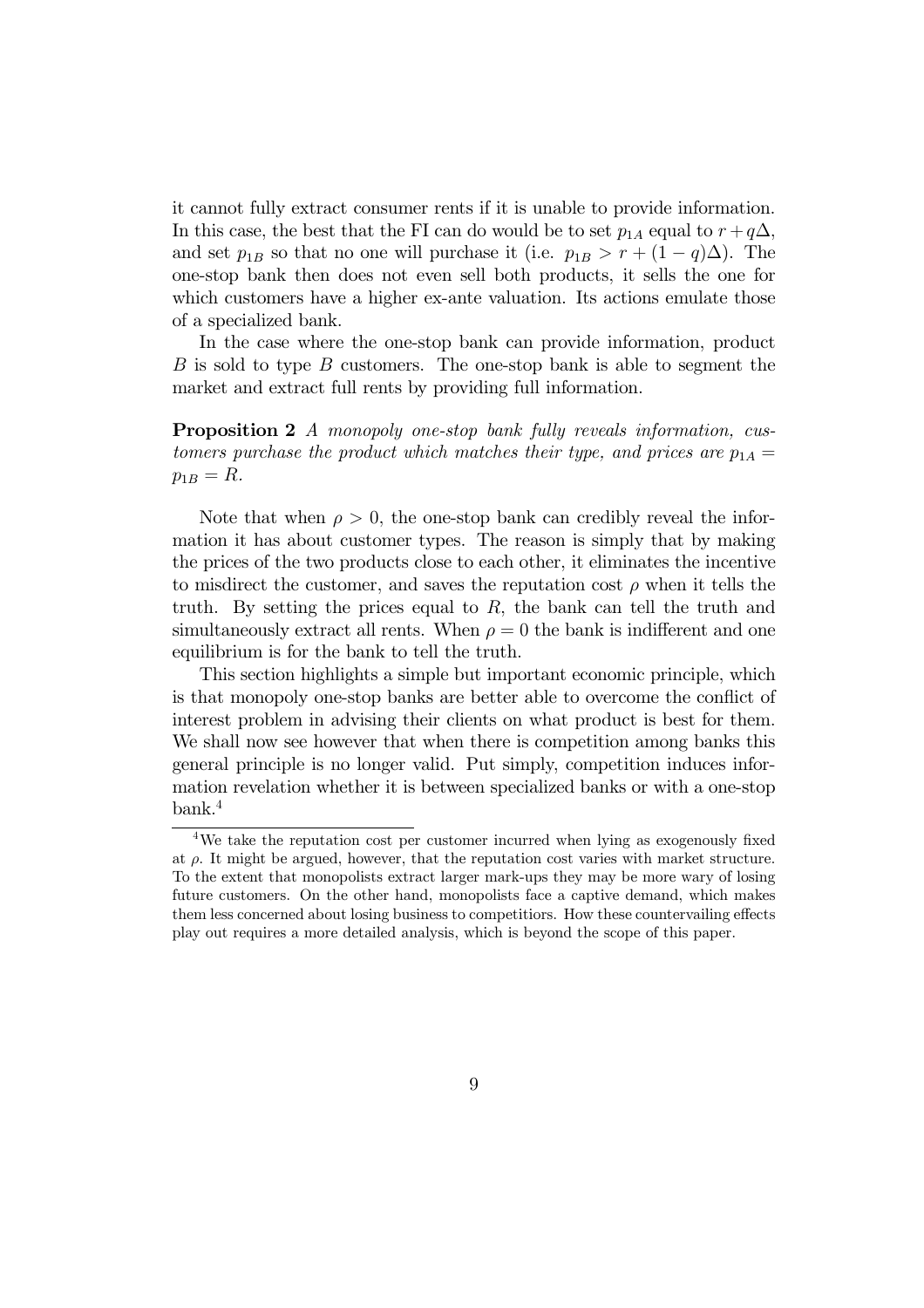it cannot fully extract consumer rents if it is unable to provide information. In this case, the best that the FI can do would be to set  $p_{1A}$  equal to  $r + q\Delta$ , and set  $p_{1B}$  so that no one will purchase it (i.e.  $p_{1B} > r + (1 - q)\Delta$ ). The one-stop bank then does not even sell both products, it sells the one for which customers have a higher ex-ante valuation. Its actions emulate those of a specialized bank.

In the case where the one-stop bank can provide information, product  $B$  is sold to type  $B$  customers. The one-stop bank is able to segment the market and extract full rents by providing full information.

Proposition 2 A monopoly one-stop bank fully reveals information, customers purchase the product which matches their type, and prices are  $p_{1A} =$  $p_{1B} = R.$ 

Note that when  $\rho > 0$ , the one-stop bank can credibly reveal the information it has about customer types. The reason is simply that by making the prices of the two products close to each other, it eliminates the incentive to misdirect the customer, and saves the reputation cost  $\rho$  when it tells the truth. By setting the prices equal to  $R$ , the bank can tell the truth and simultaneously extract all rents. When  $\rho = 0$  the bank is indifferent and one equilibrium is for the bank to tell the truth.

This section highlights a simple but important economic principle, which is that monopoly one-stop banks are better able to overcome the conflict of interest problem in advising their clients on what product is best for them. We shall now see however that when there is competition among banks this general principle is no longer valid. Put simply, competition induces information revelation whether it is between specialized banks or with a one-stop bank.<sup>4</sup>

<sup>4</sup>We take the reputation cost per customer incurred when lying as exogenously fixed at  $\rho$ . It might be argued, however, that the reputation cost varies with market structure. To the extent that monopolists extract larger mark-ups they may be more wary of losing future customers. On the other hand, monopolists face a captive demand, which makes them less concerned about losing business to competitiors. How these countervailing effects play out requires a more detailed analysis, which is beyond the scope of this paper.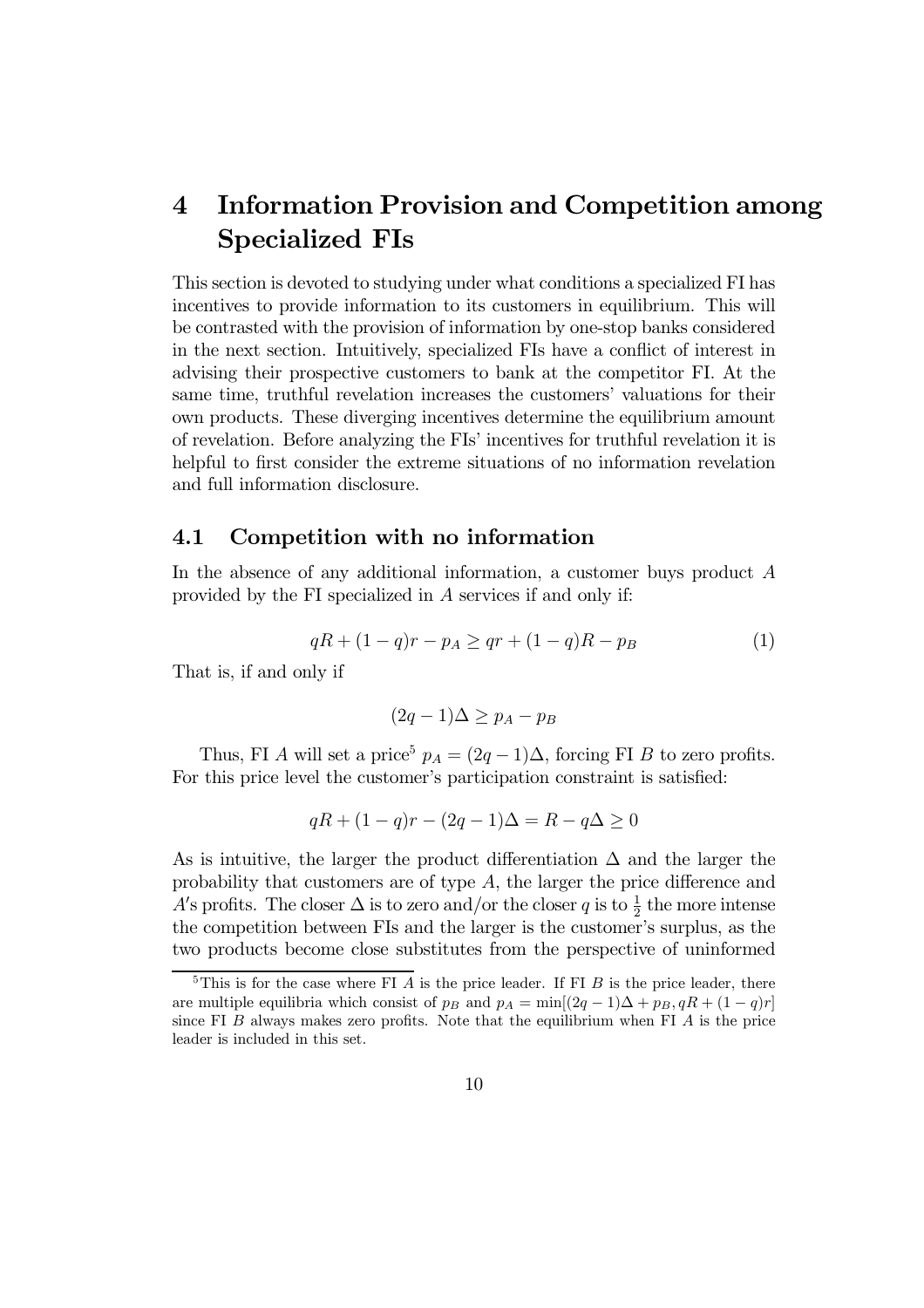## 4 Information Provision and Competition among Specialized FIs

This section is devoted to studying under what conditions a specialized FI has incentives to provide information to its customers in equilibrium. This will be contrasted with the provision of information by one-stop banks considered in the next section. Intuitively, specialized FIs have a conflict of interest in advising their prospective customers to bank at the competitor FI. At the same time, truthful revelation increases the customers' valuations for their own products. These diverging incentives determine the equilibrium amount of revelation. Before analyzing the FIs' incentives for truthful revelation it is helpful to first consider the extreme situations of no information revelation and full information disclosure.

#### 4.1 Competition with no information

In the absence of any additional information, a customer buys product A provided by the FI specialized in A services if and only if:

$$
qR + (1 - q)r - p_A \ge qr + (1 - q)R - p_B \tag{1}
$$

That is, if and only if

$$
(2q-1)\Delta \ge p_A - p_B
$$

Thus, FI A will set a price<sup>5</sup>  $p_A = (2q - 1)\Delta$ , forcing FI B to zero profits. For this price level the customer's participation constraint is satisfied:

$$
qR + (1 - q)r - (2q - 1)\Delta = R - q\Delta \ge 0
$$

As is intuitive, the larger the product differentiation  $\Delta$  and the larger the probability that customers are of type A, the larger the price difference and A's profits. The closer  $\Delta$  is to zero and/or the closer q is to  $\frac{1}{2}$  the more intense the competition between FIs and the larger is the customer's surplus, as the two products become close substitutes from the perspective of uninformed

 $5$ This is for the case where FI A is the price leader. If FI B is the price leader, there are multiple equilibria which consist of  $p_B$  and  $p_A = \min[(2q - 1)\Delta + p_B, qR + (1 - q)r]$ since FI  $B$  always makes zero profits. Note that the equilibrium when FI  $A$  is the price leader is included in this set.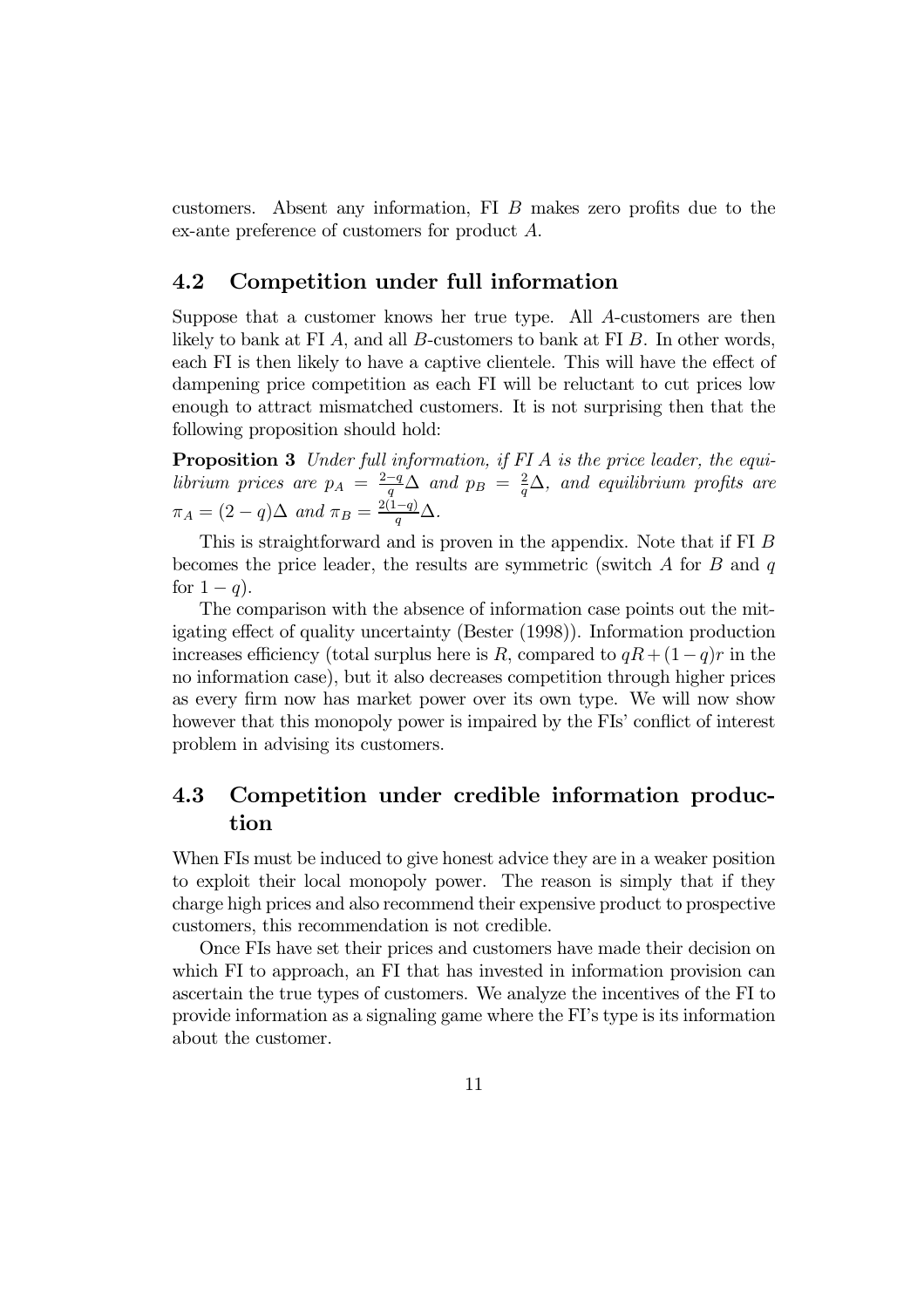customers. Absent any information, FI B makes zero profits due to the ex-ante preference of customers for product A.

### 4.2 Competition under full information

Suppose that a customer knows her true type. All A-customers are then likely to bank at FI A, and all B-customers to bank at FI B. In other words, each FI is then likely to have a captive clientele. This will have the effect of dampening price competition as each FI will be reluctant to cut prices low enough to attract mismatched customers. It is not surprising then that the following proposition should hold:

Proposition 3 Under full information, if FI A is the price leader, the equilibrium prices are  $p_A = \frac{2-q}{q} \Delta$  and  $p_B = \frac{2}{q} \Delta$ , and equilibrium profits are  $\pi_A = (2-q)\Delta$  and  $\pi_B = \frac{2(1-q)}{q}\Delta$ .

This is straightforward and is proven in the appendix. Note that if FI B becomes the price leader, the results are symmetric (switch  $A$  for  $B$  and  $q$ for  $1 - q$ ).

The comparison with the absence of information case points out the mitigating effect of quality uncertainty (Bester (1998)). Information production increases efficiency (total surplus here is R, compared to  $qR + (1-q)r$  in the no information case), but it also decreases competition through higher prices as every firm now has market power over its own type. We will now show however that this monopoly power is impaired by the FIs' conflict of interest problem in advising its customers.

### 4.3 Competition under credible information production

When FIs must be induced to give honest advice they are in a weaker position to exploit their local monopoly power. The reason is simply that if they charge high prices and also recommend their expensive product to prospective customers, this recommendation is not credible.

Once FIs have set their prices and customers have made their decision on which FI to approach, an FI that has invested in information provision can ascertain the true types of customers. We analyze the incentives of the FI to provide information as a signaling game where the FI's type is its information about the customer.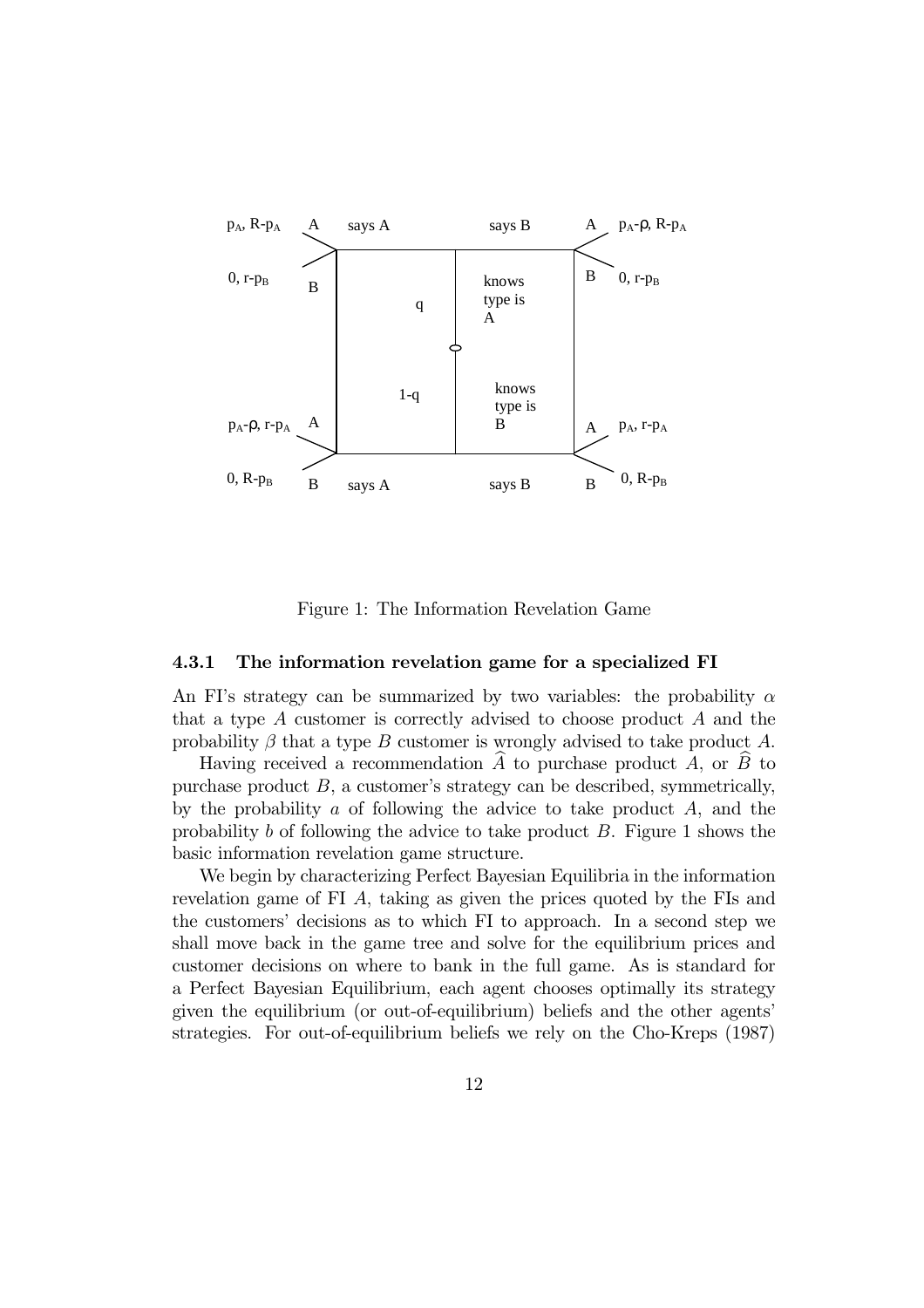

Figure 1: The Information Revelation Game

#### 4.3.1 The information revelation game for a specialized FI

An FI's strategy can be summarized by two variables: the probability  $\alpha$ that a type A customer is correctly advised to choose product A and the probability  $\beta$  that a type B customer is wrongly advised to take product A.

Having received a recommendation  $\overline{A}$  to purchase product  $\overline{A}$ , or  $\overline{B}$  to purchase product  $B$ , a customer's strategy can be described, symmetrically, by the probability  $\alpha$  of following the advice to take product  $A$ , and the probability b of following the advice to take product  $B$ . Figure 1 shows the basic information revelation game structure.

We begin by characterizing Perfect Bayesian Equilibria in the information revelation game of FI A, taking as given the prices quoted by the FIs and the customers' decisions as to which FI to approach. In a second step we shall move back in the game tree and solve for the equilibrium prices and customer decisions on where to bank in the full game. As is standard for a Perfect Bayesian Equilibrium, each agent chooses optimally its strategy given the equilibrium (or out-of-equilibrium) beliefs and the other agents' strategies. For out-of-equilibrium beliefs we rely on the Cho-Kreps (1987)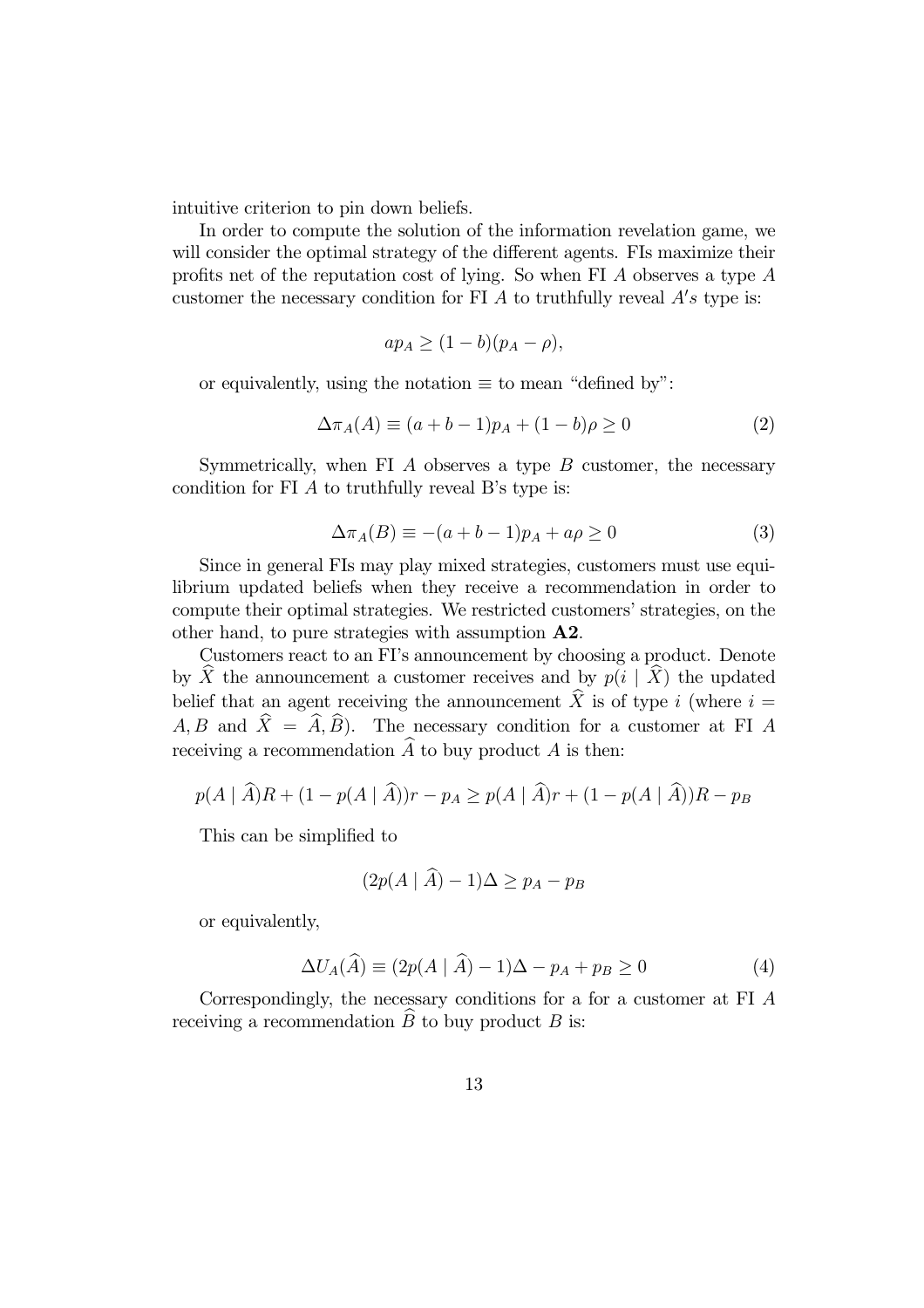intuitive criterion to pin down beliefs.

In order to compute the solution of the information revelation game, we will consider the optimal strategy of the different agents. FIs maximize their profits net of the reputation cost of lying. So when FI A observes a type A customer the necessary condition for FI  $\overline{A}$  to truthfully reveal  $A's$  type is:

$$
ap_A \ge (1 - b)(p_A - \rho),
$$

or equivalently, using the notation  $\equiv$  to mean "defined by":

$$
\Delta \pi_A(A) \equiv (a+b-1)p_A + (1-b)\rho \ge 0 \tag{2}
$$

Symmetrically, when FI  $\Lambda$  observes a type  $\overline{B}$  customer, the necessary condition for FI A to truthfully reveal B's type is:

$$
\Delta \pi_A(B) \equiv -(a+b-1)p_A + a\rho \ge 0 \tag{3}
$$

Since in general FIs may play mixed strategies, customers must use equilibrium updated beliefs when they receive a recommendation in order to compute their optimal strategies. We restricted customers' strategies, on the other hand, to pure strategies with assumption A2.

Customers react to an FI's announcement by choosing a product. Denote by X the announcement a customer receives and by  $p(i | X)$  the updated belief that an agent receiving the announcement  $\hat{X}$  is of type i (where  $i =$  $A, B$  and  $\hat{X} = \hat{A}, \hat{B}$ . The necessary condition for a customer at FI A receiving a recommendation  $\widehat{A}$  to buy product A is then:

$$
p(A | \widehat{A})R + (1 - p(A | \widehat{A}))r - p_A \ge p(A | \widehat{A})r + (1 - p(A | \widehat{A}))R - p_B
$$

This can be simplified to

$$
(2p(A | \hat{A}) - 1)\Delta \ge p_A - p_B
$$

or equivalently,

$$
\Delta U_A(\widehat{A}) \equiv (2p(A \mid \widehat{A}) - 1)\Delta - p_A + p_B \ge 0 \tag{4}
$$

Correspondingly, the necessary conditions for a for a customer at FI A receiving a recommendation  $\overline{B}$  to buy product  $\overline{B}$  is: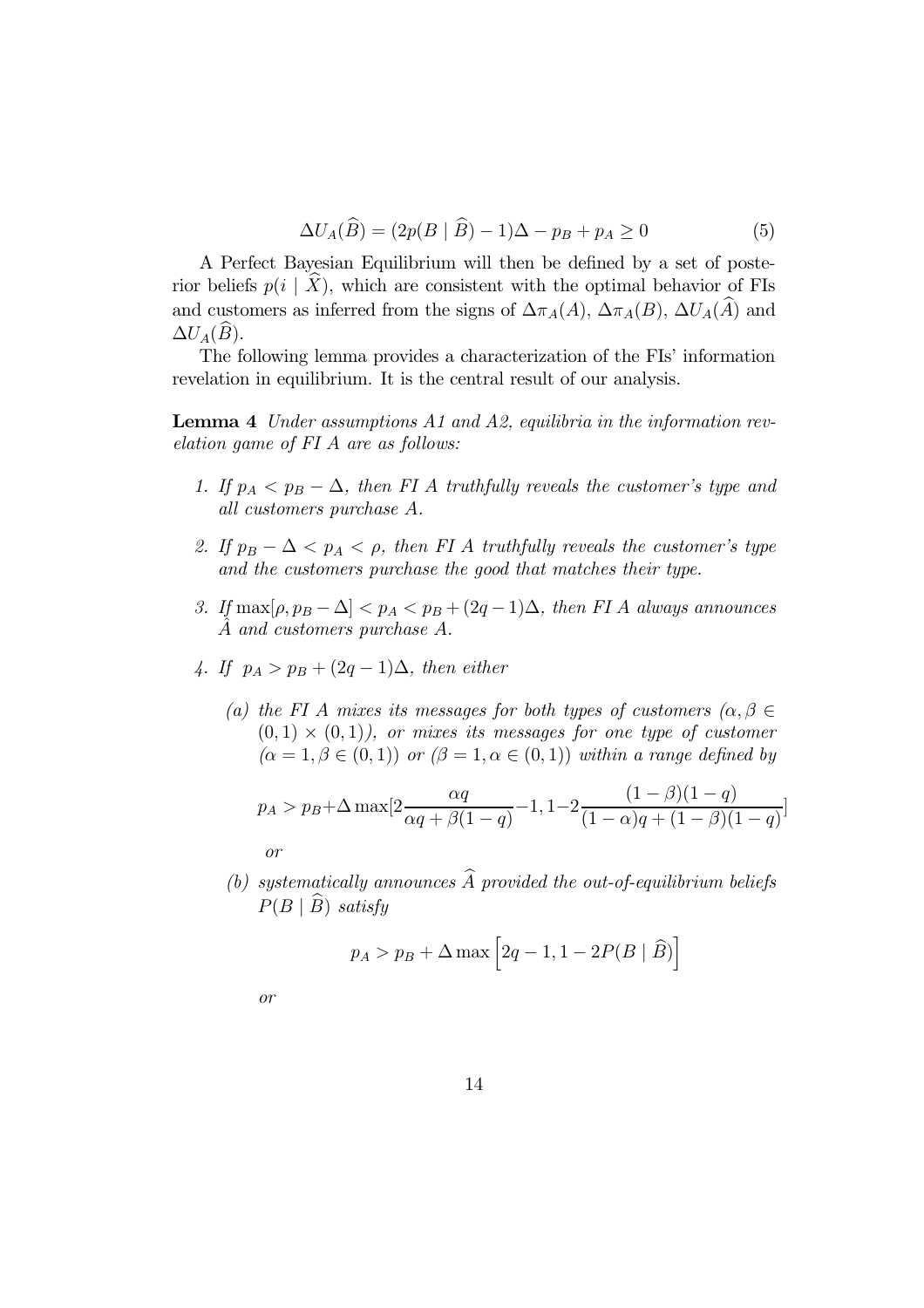$$
\Delta U_A(\widehat{B}) = (2p(B \mid \widehat{B}) - 1)\Delta - p_B + p_A \ge 0 \tag{5}
$$

A Perfect Bayesian Equilibrium will then be defined by a set of posterior beliefs  $p(i | X)$ , which are consistent with the optimal behavior of FIs and customers as inferred from the signs of  $\Delta \pi_A(A)$ ,  $\Delta \pi_A(B)$ ,  $\Delta U_A(\hat{A})$  and  $\Delta U_A(\widehat{B})$ .

The following lemma provides a characterization of the FIs' information revelation in equilibrium. It is the central result of our analysis.

Lemma 4 Under assumptions A1 and A2, equilibria in the information revelation game of FI A are as follows:

- 1. If  $p_A < p_B \Delta$ , then FI A truthfully reveals the customer's type and all customers purchase A.
- 2. If  $p_B \Delta < p_A < \rho$ , then FI A truthfully reveals the customer's type and the customers purchase the good that matches their type.
- 3. If  $\max[\rho, p_B \Delta] < p_A < p_B + (2q 1)\Delta$ , then FI A always announces A and customers purchase A.
- 4. If  $p_A > p_B + (2q 1)\Delta$ , then either
	- (a) the FI A mixes its messages for both types of customers  $(\alpha, \beta \in$  $(0, 1) \times (0, 1)$ , or mixes its messages for one type of customer  $(\alpha = 1, \beta \in (0, 1))$  or  $(\beta = 1, \alpha \in (0, 1))$  within a range defined by

$$
p_A > p_B + \Delta \max[2\frac{\alpha q}{\alpha q + \beta(1-q)} - 1, 1 - 2\frac{(1-\beta)(1-q)}{(1-\alpha)q + (1-\beta)(1-q)}]
$$
  
or

(b) systematically announces  $\widehat{A}$  provided the out-of-equilibrium beliefs  $P(B | \widehat{B})$  satisfy

$$
p_A > p_B + \Delta \max \left[ 2q - 1, 1 - 2P(B \mid \widehat{B}) \right]
$$

or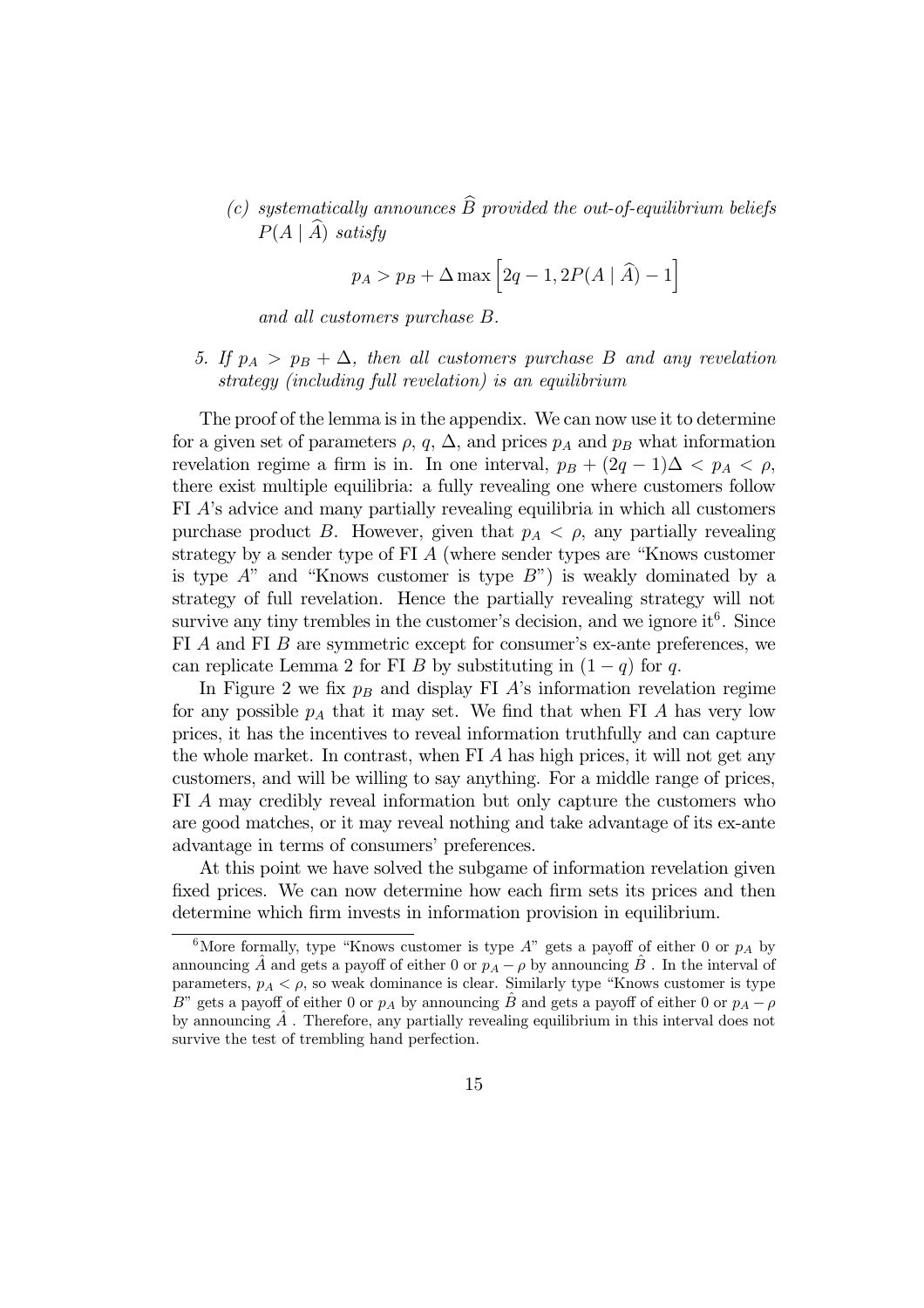(c) systematically announces  $\widehat{B}$  provided the out-of-equilibrium beliefs  $P(A | \hat{A})$  satisfy

$$
p_A > p_B + \Delta \max \left[2q - 1, 2P(A | \widehat{A}) - 1\right]
$$

and all customers purchase B.

5. If  $p_A > p_B + \Delta$ , then all customers purchase B and any revelation strategy (including full revelation) is an equilibrium

The proof of the lemma is in the appendix. We can now use it to determine for a given set of parameters  $\rho$ ,  $q$ ,  $\Delta$ , and prices  $p_A$  and  $p_B$  what information revelation regime a firm is in. In one interval,  $p_B + (2q - 1)\Delta < p_A < \rho$ , there exist multiple equilibria: a fully revealing one where customers follow FI A's advice and many partially revealing equilibria in which all customers purchase product B. However, given that  $p_A < \rho$ , any partially revealing strategy by a sender type of FI A (where sender types are "Knows customer is type  $A$ " and "Knows customer is type  $B$ ") is weakly dominated by a strategy of full revelation. Hence the partially revealing strategy will not survive any tiny trembles in the customer's decision, and we ignore it<sup>6</sup>. Since FI A and FI B are symmetric except for consumer's ex-ante preferences, we can replicate Lemma 2 for FI B by substituting in  $(1 - q)$  for q.

In Figure 2 we fix  $p_B$  and display FI A's information revelation regime for any possible  $p_A$  that it may set. We find that when FI A has very low prices, it has the incentives to reveal information truthfully and can capture the whole market. In contrast, when FI A has high prices, it will not get any customers, and will be willing to say anything. For a middle range of prices, FI A may credibly reveal information but only capture the customers who are good matches, or it may reveal nothing and take advantage of its ex-ante advantage in terms of consumers' preferences.

At this point we have solved the subgame of information revelation given fixed prices. We can now determine how each firm sets its prices and then determine which firm invests in information provision in equilibrium.

<sup>&</sup>lt;sup>6</sup>More formally, type "Knows customer is type  $A$ " gets a payoff of either 0 or  $p_A$  by announcing  $\hat{A}$  and gets a payoff of either 0 or  $p_A - \rho$  by announcing  $\hat{B}$ . In the interval of parameters,  $p_A < \rho$ , so weak dominance is clear. Similarly type "Knows customer is type B" gets a payoff of either 0 or  $p_A$  by announcing B and gets a payoff of either 0 or  $p_A - \rho$ by announcing  $\tilde{A}$ . Therefore, any partially revealing equilibrium in this interval does not survive the test of trembling hand perfection.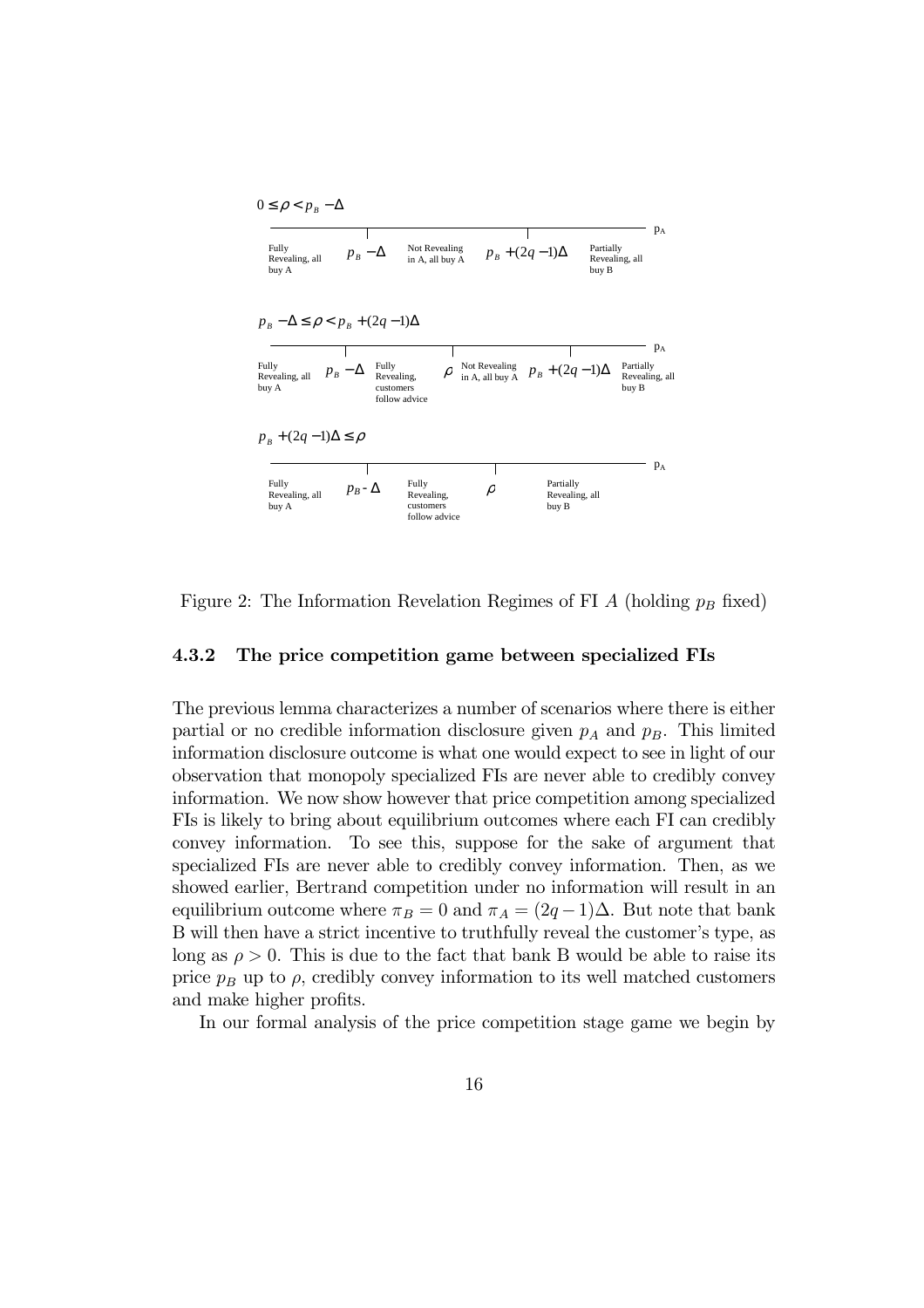

Figure 2: The Information Revelation Regimes of FI  $A$  (holding  $p_B$  fixed)

#### 4.3.2 The price competition game between specialized FIs

The previous lemma characterizes a number of scenarios where there is either partial or no credible information disclosure given  $p_A$  and  $p_B$ . This limited information disclosure outcome is what one would expect to see in light of our observation that monopoly specialized FIs are never able to credibly convey information. We now show however that price competition among specialized FIs is likely to bring about equilibrium outcomes where each FI can credibly convey information. To see this, suppose for the sake of argument that specialized FIs are never able to credibly convey information. Then, as we showed earlier, Bertrand competition under no information will result in an equilibrium outcome where  $\pi_B = 0$  and  $\pi_A = (2q - 1)\Delta$ . But note that bank B will then have a strict incentive to truthfully reveal the customer's type, as long as  $\rho > 0$ . This is due to the fact that bank B would be able to raise its price  $p_B$  up to  $\rho$ , credibly convey information to its well matched customers and make higher profits.

In our formal analysis of the price competition stage game we begin by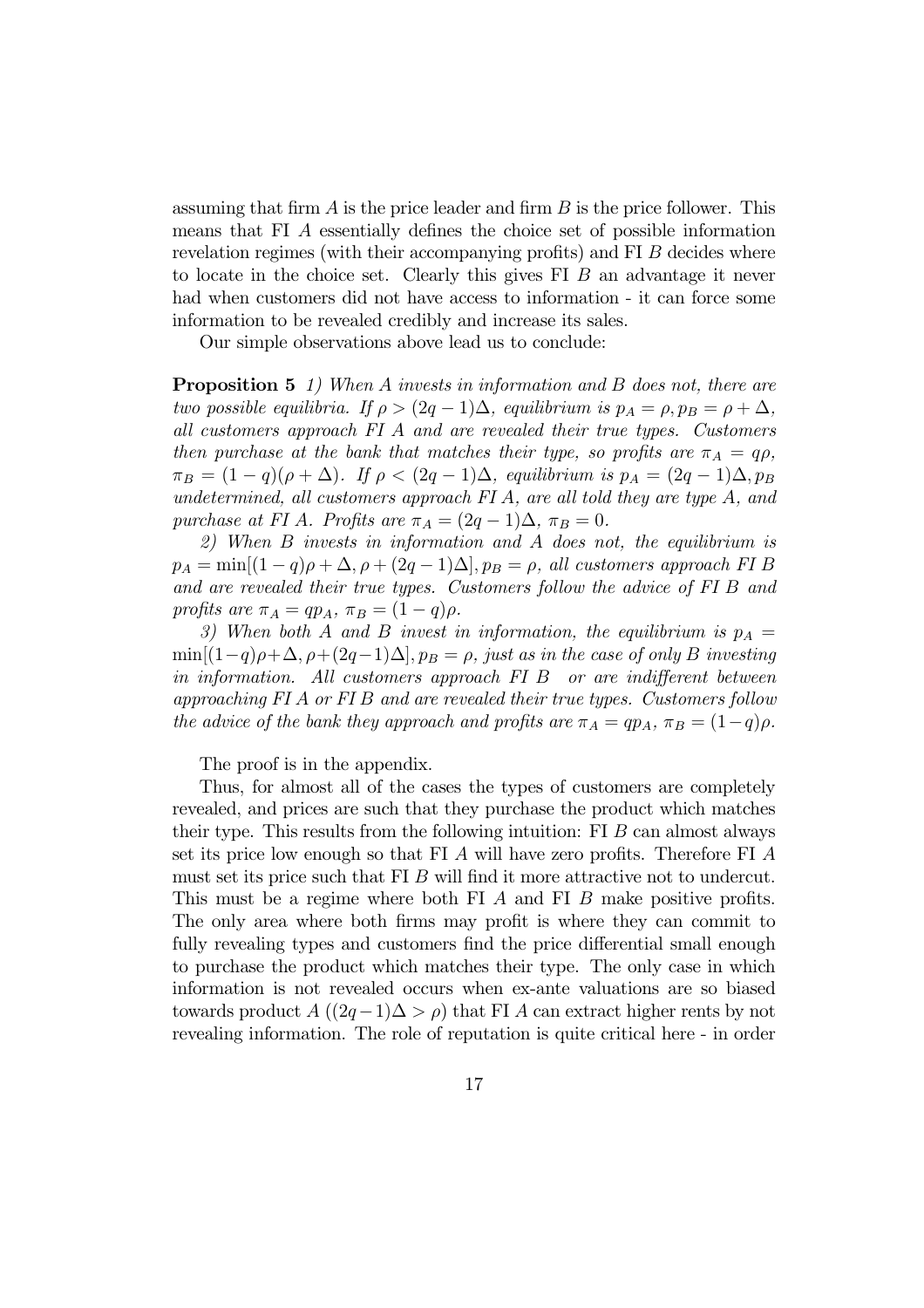assuming that firm  $A$  is the price leader and firm  $B$  is the price follower. This means that FI A essentially defines the choice set of possible information revelation regimes (with their accompanying profits) and FI B decides where to locate in the choice set. Clearly this gives FI B an advantage it never had when customers did not have access to information - it can force some information to be revealed credibly and increase its sales.

Our simple observations above lead us to conclude:

**Proposition 5** 1) When A invests in information and B does not, there are two possible equilibria. If  $\rho > (2q-1)\Delta$ , equilibrium is  $p_A = \rho, p_B = \rho + \Delta$ , all customers approach FI A and are revealed their true types. Customers then purchase at the bank that matches their type, so profits are  $\pi_A = q\rho$ ,  $\pi_B = (1 - q)(\rho + \Delta)$ . If  $\rho < (2q - 1)\Delta$ , equilibrium is  $p_A = (2q - 1)\Delta, p_B$ undetermined, all customers approach FI A, are all told they are type A, and purchase at FI A. Profits are  $\pi_A = (2q - 1)\Delta$ ,  $\pi_B = 0$ .

2) When B invests in information and A does not, the equilibrium is  $p_A = \min[(1-q)\rho + \Delta, \rho + (2q-1)\Delta], p_B = \rho$ , all customers approach FI B and are revealed their true types. Customers follow the advice of FI B and profits are  $\pi_A = qp_A$ ,  $\pi_B = (1 - q)\rho$ .

3) When both A and B invest in information, the equilibrium is  $p_A =$  $\min[(1-q)\rho+\Delta, \rho+(2q-1)\Delta], p_B=\rho$ , just as in the case of only B investing in information. All customers approach FI B or are indifferent between approaching FI A or FI B and are revealed their true types. Customers follow the advice of the bank they approach and profits are  $\pi_A = qp_A$ ,  $\pi_B = (1-q)\rho$ .

The proof is in the appendix.

Thus, for almost all of the cases the types of customers are completely revealed, and prices are such that they purchase the product which matches their type. This results from the following intuition: FI  $B$  can almost always set its price low enough so that FI A will have zero profits. Therefore FI A must set its price such that FI B will find it more attractive not to undercut. This must be a regime where both FI A and FI B make positive profits. The only area where both firms may profit is where they can commit to fully revealing types and customers find the price differential small enough to purchase the product which matches their type. The only case in which information is not revealed occurs when ex-ante valuations are so biased towards product  $A((2q-1)\Delta > \rho)$  that FI A can extract higher rents by not revealing information. The role of reputation is quite critical here - in order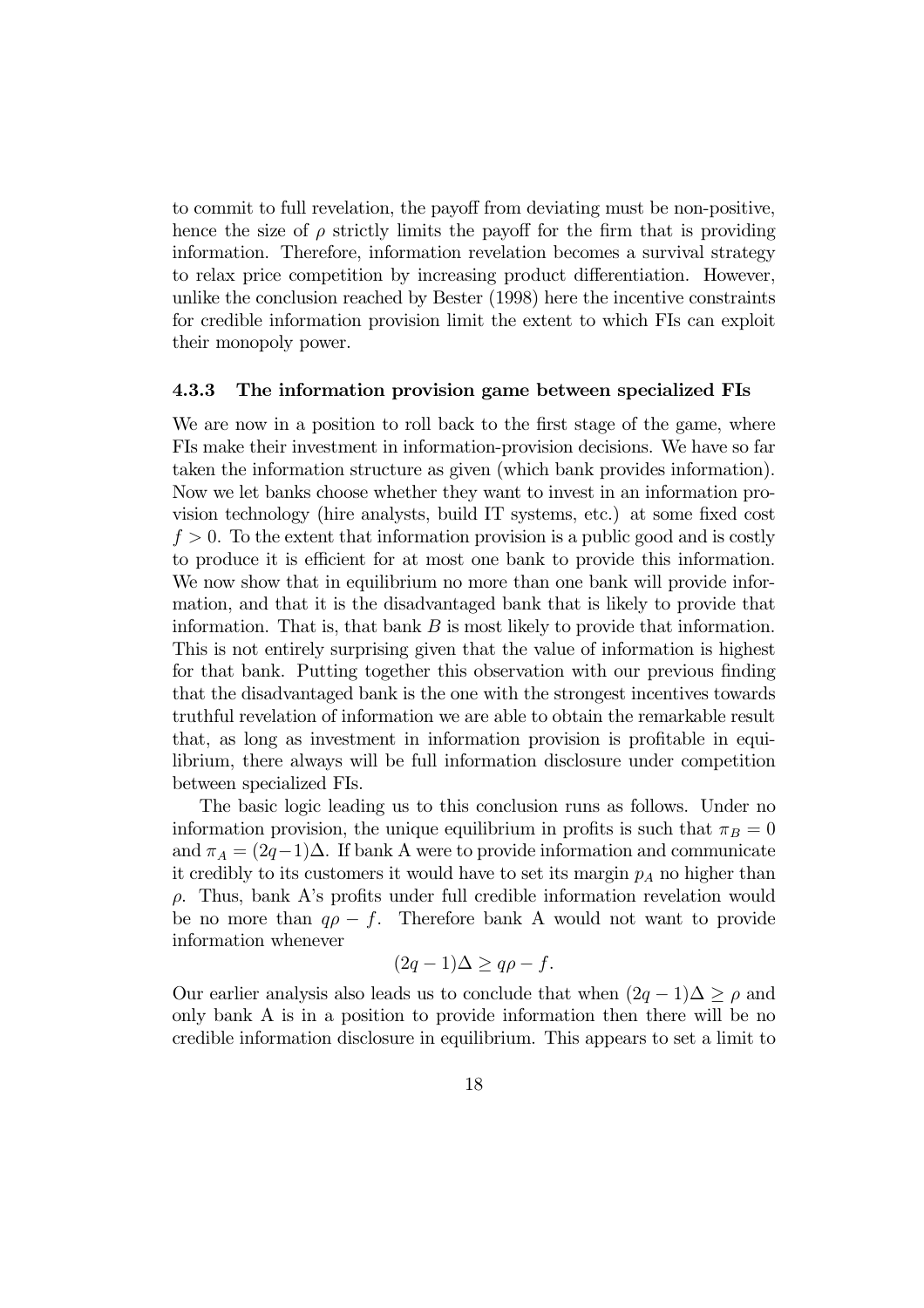to commit to full revelation, the payoff from deviating must be non-positive, hence the size of  $\rho$  strictly limits the payoff for the firm that is providing information. Therefore, information revelation becomes a survival strategy to relax price competition by increasing product differentiation. However, unlike the conclusion reached by Bester (1998) here the incentive constraints for credible information provision limit the extent to which FIs can exploit their monopoly power.

#### 4.3.3 The information provision game between specialized FIs

We are now in a position to roll back to the first stage of the game, where FIs make their investment in information-provision decisions. We have so far taken the information structure as given (which bank provides information). Now we let banks choose whether they want to invest in an information provision technology (hire analysts, build IT systems, etc.) at some fixed cost  $f > 0$ . To the extent that information provision is a public good and is costly to produce it is efficient for at most one bank to provide this information. We now show that in equilibrium no more than one bank will provide information, and that it is the disadvantaged bank that is likely to provide that information. That is, that bank  $B$  is most likely to provide that information. This is not entirely surprising given that the value of information is highest for that bank. Putting together this observation with our previous finding that the disadvantaged bank is the one with the strongest incentives towards truthful revelation of information we are able to obtain the remarkable result that, as long as investment in information provision is profitable in equilibrium, there always will be full information disclosure under competition between specialized FIs.

The basic logic leading us to this conclusion runs as follows. Under no information provision, the unique equilibrium in profits is such that  $\pi_B = 0$ and  $\pi_A = (2q-1)\Delta$ . If bank A were to provide information and communicate it credibly to its customers it would have to set its margin  $p_A$  no higher than ρ. Thus, bank A's profits under full credible information revelation would be no more than  $q\rho - f$ . Therefore bank A would not want to provide information whenever

$$
(2q-1)\Delta \ge q\rho - f.
$$

Our earlier analysis also leads us to conclude that when  $(2q - 1)\Delta > \rho$  and only bank A is in a position to provide information then there will be no credible information disclosure in equilibrium. This appears to set a limit to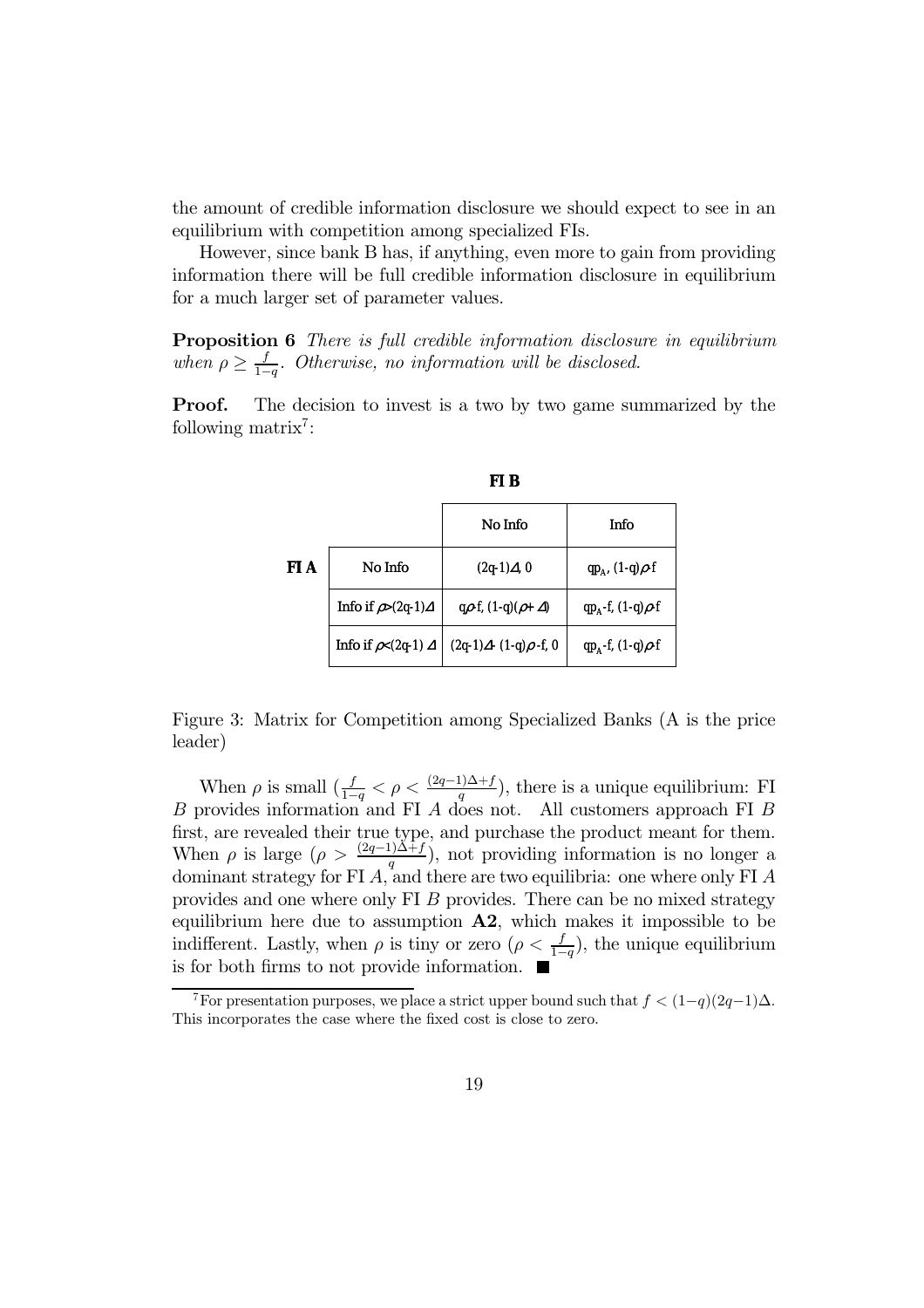the amount of credible information disclosure we should expect to see in an equilibrium with competition among specialized FIs.

However, since bank B has, if anything, even more to gain from providing information there will be full credible information disclosure in equilibrium for a much larger set of parameter values.

Proposition 6 There is full credible information disclosure in equilibrium when  $\rho \geq \frac{f}{1-q}$ . Otherwise, no information will be disclosed.

**Proof.** The decision to invest is a two by two game summarized by the following matrix<sup>7</sup>:

|      |                                  | No Info                           | Info                         |
|------|----------------------------------|-----------------------------------|------------------------------|
| FI A | No Info                          | $(2q-1)\Delta, 0$                 | $qp_{A'}(1-q)\rho-f$         |
|      | Info if $\rho > (2q-1)\Delta$    | q $\rho$ -f, $(1-q)(\rho+\Delta)$ | $qp_{A}$ -f, $(1-q)\rho$ -f  |
|      | Info if $\rho$ < (2q-1) $\Delta$ | $(2q-1)\Delta - (1-q)\rho - f, 0$ | $qp_{A}$ -f, (1-q) $\rho$ -f |

Figure 3: Matrix for Competition among Specialized Banks (A is the price leader)

When  $\rho$  is small  $(\frac{f}{1-q} < \rho < \frac{(2q-1)\Delta + f}{q})$ , there is a unique equilibrium: FI B provides information and FI A does not. All customers approach FI B first, are revealed their true type, and purchase the product meant for them. When  $\rho$  is large  $(\rho > \frac{(2q-1)\Delta + f}{q})$ , not providing information is no longer a dominant strategy for FI A, and there are two equilibria: one where only FI A provides and one where only FI B provides. There can be no mixed strategy equilibrium here due to assumption  $\mathbf{A2}$ , which makes it impossible to be indifferent. Lastly, when  $\rho$  is tiny or zero  $(\rho < \frac{f}{1-q})$ , the unique equilibrium is for both firms to not provide information.  $\blacksquare$ 

<sup>&</sup>lt;sup>7</sup>For presentation purposes, we place a strict upper bound such that  $f < (1-q)(2q-1)\Delta$ . This incorporates the case where the fixed cost is close to zero.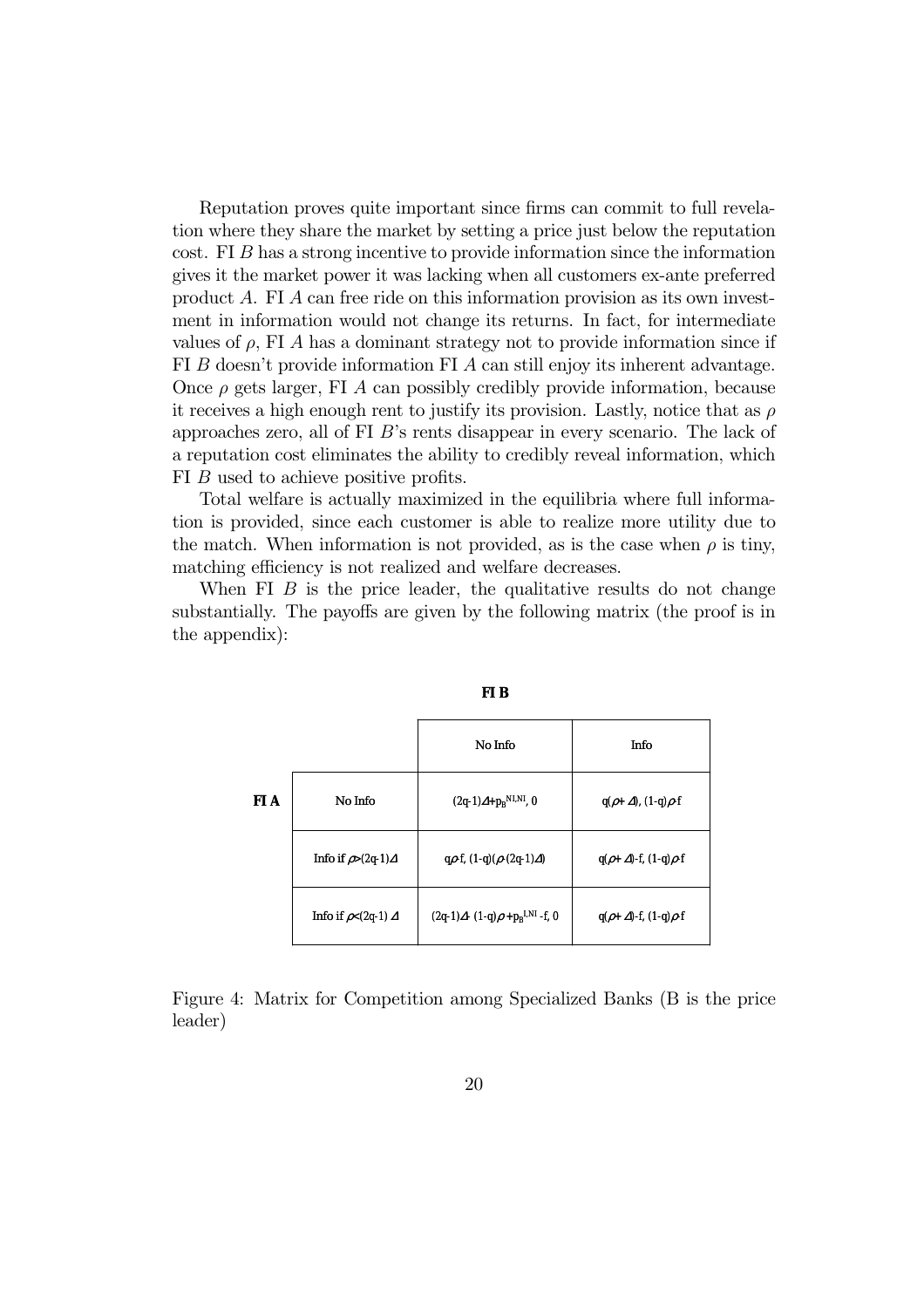Reputation proves quite important since firms can commit to full revelation where they share the market by setting a price just below the reputation cost. FI B has a strong incentive to provide information since the information gives it the market power it was lacking when all customers ex-ante preferred product A. FI A can free ride on this information provision as its own investment in information would not change its returns. In fact, for intermediate values of  $\rho$ , FI A has a dominant strategy not to provide information since if FI B doesn't provide information FI A can still enjoy its inherent advantage. Once  $\rho$  gets larger, FI A can possibly credibly provide information, because it receives a high enough rent to justify its provision. Lastly, notice that as  $\rho$ approaches zero, all of FI B's rents disappear in every scenario. The lack of a reputation cost eliminates the ability to credibly reveal information, which FI B used to achieve positive profits.

Total welfare is actually maximized in the equilibria where full information is provided, since each customer is able to realize more utility due to the match. When information is not provided, as is the case when  $\rho$  is tiny, matching efficiency is not realized and welfare decreases.

When FI  $\overline{B}$  is the price leader, the qualitative results do not change substantially. The payoffs are given by the following matrix (the proof is in the appendix):

|      |                                | No Info                                         | Info                                   |
|------|--------------------------------|-------------------------------------------------|----------------------------------------|
| FI A | No Info                        | $(2q-1)\Delta + p_B^{NI,NI, 0}$                 | $q(\rho+\Delta)$ , $(1-q)\rho$ -f      |
|      | Info if $\rho > (2q-1) \Delta$ | $q\rho$ -f, $(1-q)(\rho$ - $(2q-1)\Delta)$      | $q(\rho + \Delta)$ -f, (1-q) $\rho$ -f |
|      | Info if $\rho < (2q-1) \Delta$ | $(2q-1)\Delta - (1-q)\rho + p_R^{I,NI} - f$ , 0 | $q(\rho + \Delta)$ -f, (1-q) $\rho$ -f |

Figure 4: Matrix for Competition among Specialized Banks (B is the price leader)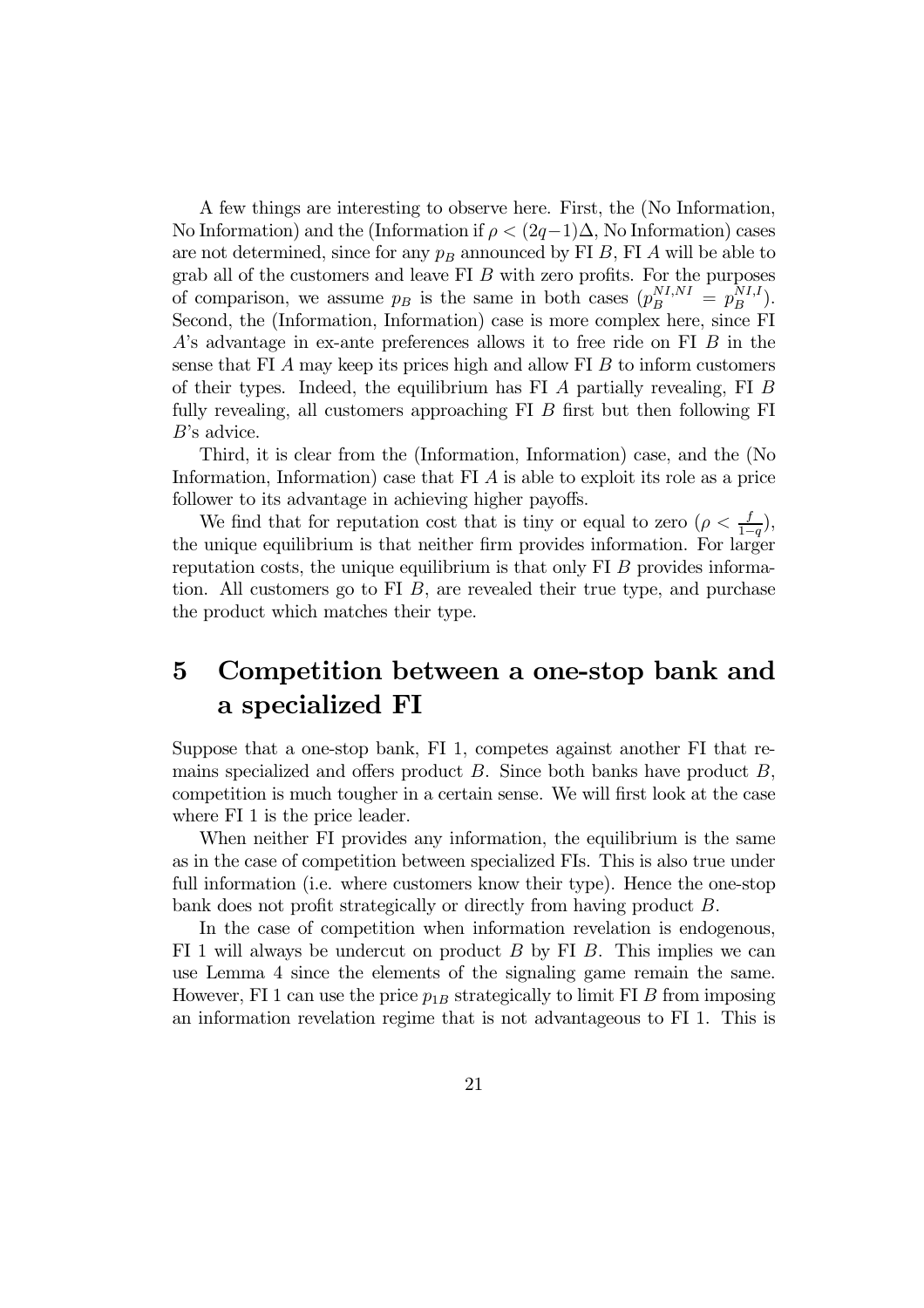A few things are interesting to observe here. First, the (No Information, No Information) and the (Information if  $\rho < (2q-1)\Delta$ , No Information) cases are not determined, since for any  $p_B$  announced by FI B, FI A will be able to grab all of the customers and leave FI B with zero profits. For the purposes of comparison, we assume  $p_B$  is the same in both cases  $(p_B^{NI,NI} = p_B^{NI,I}).$ Second, the (Information, Information) case is more complex here, since FI A's advantage in ex-ante preferences allows it to free ride on FI B in the sense that FI  $\ddot{A}$  may keep its prices high and allow FI  $\ddot{B}$  to inform customers of their types. Indeed, the equilibrium has FI A partially revealing, FI B fully revealing, all customers approaching  $FI$   $B$  first but then following  $FI$ B's advice.

Third, it is clear from the (Information, Information) case, and the (No Information, Information) case that FI A is able to exploit its role as a price follower to its advantage in achieving higher payoffs.

We find that for reputation cost that is tiny or equal to zero  $(\rho < \frac{f}{1-q})$ , the unique equilibrium is that neither firm provides information. For larger reputation costs, the unique equilibrium is that only  $FI$  B provides information. All customers go to FI  $B$ , are revealed their true type, and purchase the product which matches their type.

## 5 Competition between a one-stop bank and a specialized FI

Suppose that a one-stop bank, FI 1, competes against another FI that remains specialized and offers product  $B$ . Since both banks have product  $B$ , competition is much tougher in a certain sense. We will first look at the case where FI 1 is the price leader.

When neither FI provides any information, the equilibrium is the same as in the case of competition between specialized FIs. This is also true under full information (i.e. where customers know their type). Hence the one-stop bank does not profit strategically or directly from having product B.

In the case of competition when information revelation is endogenous, FI 1 will always be undercut on product  $B$  by FI  $B$ . This implies we can use Lemma 4 since the elements of the signaling game remain the same. However, FI 1 can use the price  $p_{1B}$  strategically to limit FI B from imposing an information revelation regime that is not advantageous to FI 1. This is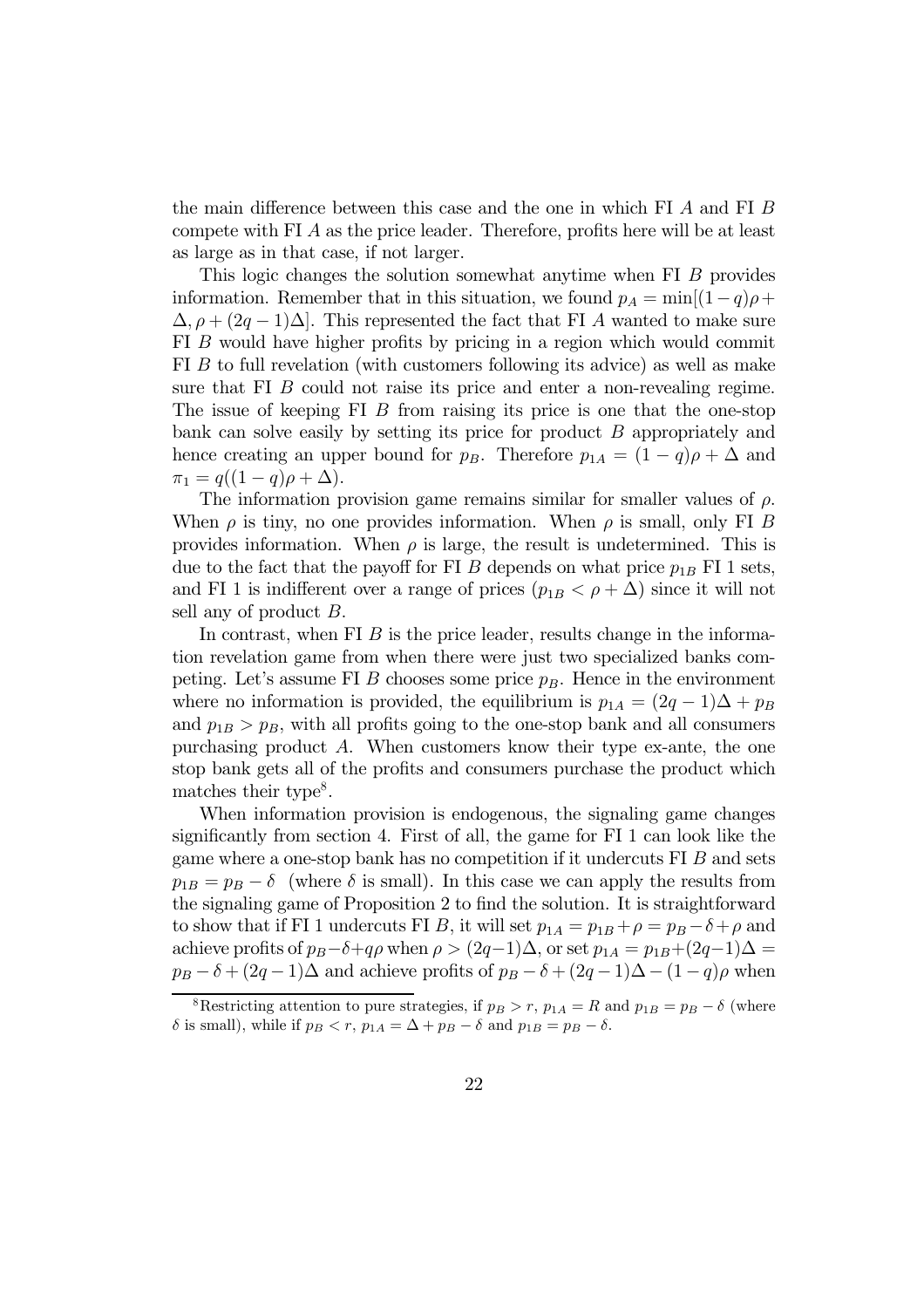the main difference between this case and the one in which FI A and FI B compete with FI A as the price leader. Therefore, profits here will be at least as large as in that case, if not larger.

This logic changes the solution somewhat anytime when FI B provides information. Remember that in this situation, we found  $p_A = \min[(1-q)\rho +$  $\Delta$ ,  $\rho + (2q - 1)\Delta$ . This represented the fact that FI A wanted to make sure FI B would have higher profits by pricing in a region which would commit FI B to full revelation (with customers following its advice) as well as make sure that FI B could not raise its price and enter a non-revealing regime. The issue of keeping FI B from raising its price is one that the one-stop bank can solve easily by setting its price for product B appropriately and hence creating an upper bound for  $p_B$ . Therefore  $p_{1A} = (1 - q)\rho + \Delta$  and  $\pi_1 = q((1-q)\rho + \Delta).$ 

The information provision game remains similar for smaller values of  $\rho$ . When  $\rho$  is tiny, no one provides information. When  $\rho$  is small, only FI B provides information. When  $\rho$  is large, the result is undetermined. This is due to the fact that the payoff for FI B depends on what price  $p_{1B}$  FI 1 sets, and FI 1 is indifferent over a range of prices  $(p_{1B} < \rho + \Delta)$  since it will not sell any of product B.

In contrast, when FI  $\hat{B}$  is the price leader, results change in the information revelation game from when there were just two specialized banks competing. Let's assume FI B chooses some price  $p_B$ . Hence in the environment where no information is provided, the equilibrium is  $p_{1A} = (2q - 1)\Delta + p_B$ and  $p_{1B} > p_B$ , with all profits going to the one-stop bank and all consumers purchasing product  $A$ . When customers know their type ex-ante, the one stop bank gets all of the profits and consumers purchase the product which matches their type<sup>8</sup>.

When information provision is endogenous, the signaling game changes significantly from section 4. First of all, the game for FI 1 can look like the game where a one-stop bank has no competition if it undercuts FI B and sets  $p_{1B} = p_B - \delta$  (where  $\delta$  is small). In this case we can apply the results from the signaling game of Proposition 2 to find the solution. It is straightforward to show that if FI 1 undercuts FI B, it will set  $p_{1A} = p_{1B} + \rho = p_B - \delta + \rho$  and achieve profits of  $p_B-\delta+q\rho$  when  $\rho>(2q-1)\Delta$ , or set  $p_{1A}=p_{1B}+(2q-1)\Delta=$  $p_B - \delta + (2q - 1)\Delta$  and achieve profits of  $p_B - \delta + (2q - 1)\Delta - (1 - q)\rho$  when

<sup>&</sup>lt;sup>8</sup>Restricting attention to pure strategies, if  $p_B > r$ ,  $p_{1A} = R$  and  $p_{1B} = p_B - \delta$  (where δ is small), while if  $p_B < r$ ,  $p_{1A} = \Delta + p_B - \delta$  and  $p_{1B} = p_B - \delta$ .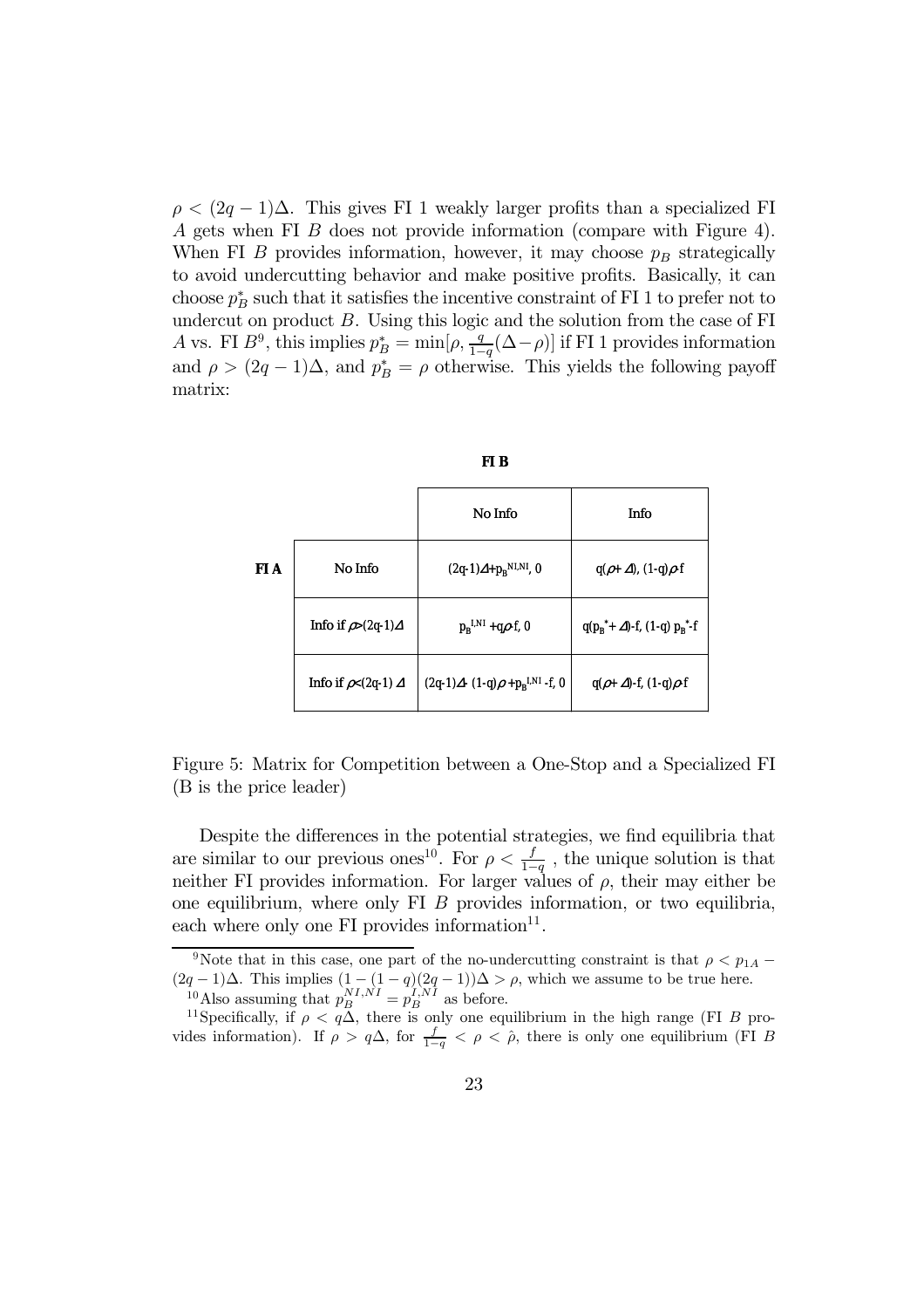$\rho < (2q - 1)\Delta$ . This gives FI 1 weakly larger profits than a specialized FI A gets when FI B does not provide information (compare with Figure 4). When FI B provides information, however, it may choose  $p_B$  strategically to avoid undercutting behavior and make positive profits. Basically, it can choose  $p_B^*$  such that it satisfies the incentive constraint of FI 1 to prefer not to undercut on product  $B$ . Using this logic and the solution from the case of FI A vs. FI  $B^9$ , this implies  $p_B^* = \min[\rho, \frac{q}{1-q}(\Delta - \rho)]$  if FI 1 provides information and  $\rho > (2q - 1)\Delta$ , and  $p_B^* = \rho$  otherwise. This yields the following payoff matrix:

|  | I |
|--|---|
|--|---|

|      |                                  | No Info                                       | Info                                     |
|------|----------------------------------|-----------------------------------------------|------------------------------------------|
| FI A | No Info                          | $(2q-1)\Delta + p_B^{N I, N I}$ , 0           | $q(\rho+\Delta)$ , $(1-q)\rho$ -f        |
|      | Info if $\rho > (2q-1)\Delta$    | $p_B^{I,NI}$ +qp-f, 0                         | $q(p_R^* + \Delta)$ -f, (1-q) $p_R^*$ -f |
|      | Info if $\rho$ < (2q-1) $\Delta$ | $(2q-1)\Delta - (1-q)\rho + p_B^{LNI} - f, 0$ | $q(\rho+\Delta)$ -f, (1-q) $\rho$ -f     |

Figure 5: Matrix for Competition between a One-Stop and a Specialized FI (B is the price leader)

Despite the differences in the potential strategies, we find equilibria that are similar to our previous ones<sup>10</sup>. For  $\rho < \frac{f}{1-q}$ , the unique solution is that neither FI provides information. For larger values of  $\rho$ , their may either be one equilibrium, where only FI B provides information, or two equilibria, each where only one  $FI$  provides information $^{11}$ .

<sup>&</sup>lt;sup>9</sup>Note that in this case, one part of the no-undercutting constraint is that  $\rho < p_{1A}$  −  $(2q-1)\Delta$ . This implies  $(1-(1-q)(2q-1))\Delta > \rho$ , which we assume to be true here. <sup>10</sup>Also assuming that  $p_B^{NI,NI} = p_B^{I,NI}$  as before.

<sup>&</sup>lt;sup>11</sup>Specifically, if  $\rho < q\Delta$ , there is only one equilibrium in the high range (FI B provides information). If  $\rho > q\Delta$ , for  $\frac{f}{1-q} < \rho < \hat{\rho}$ , there is only one equilibrium (FI B)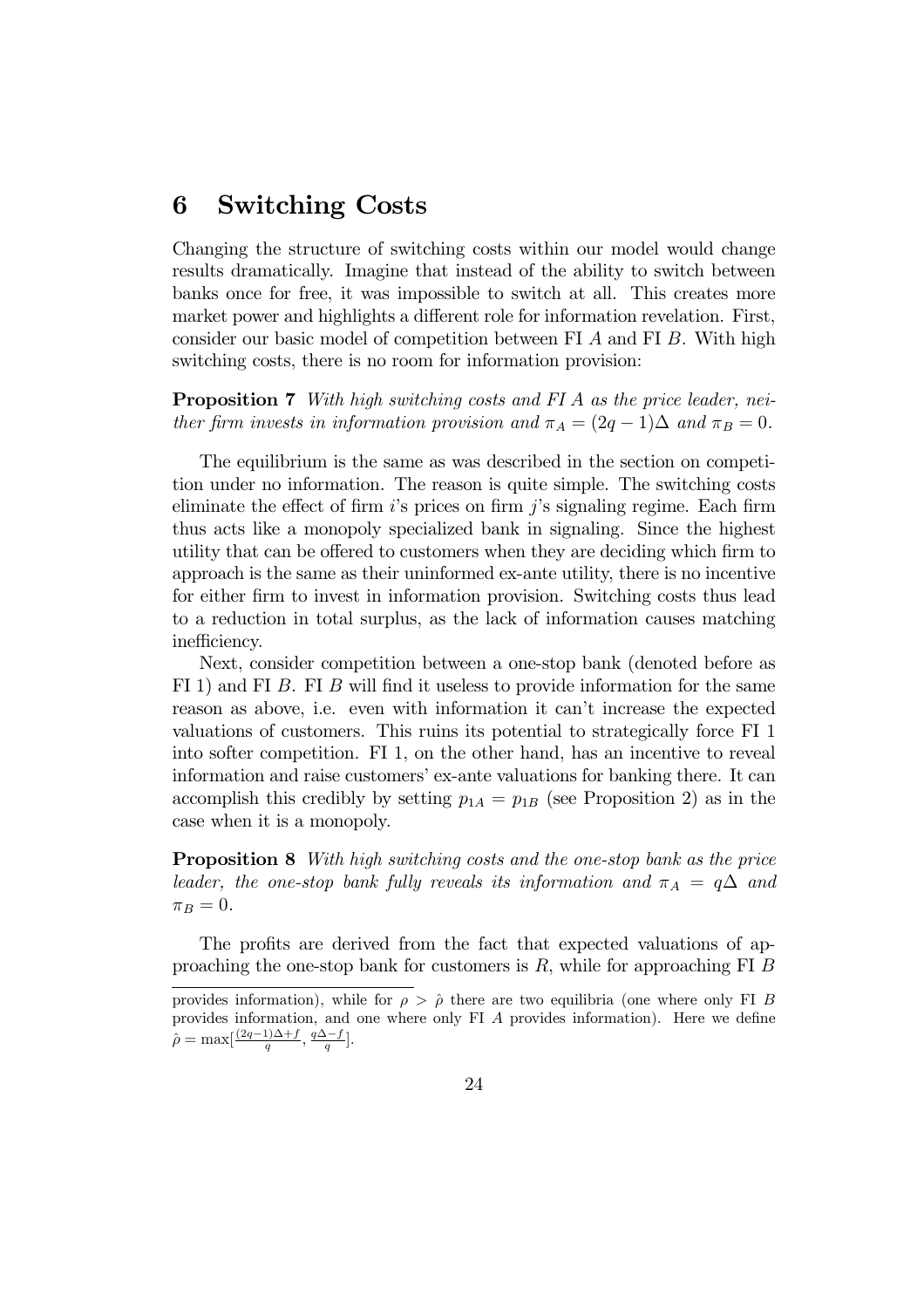## 6 Switching Costs

Changing the structure of switching costs within our model would change results dramatically. Imagine that instead of the ability to switch between banks once for free, it was impossible to switch at all. This creates more market power and highlights a different role for information revelation. First, consider our basic model of competition between FI A and FI B. With high switching costs, there is no room for information provision:

**Proposition 7** With high switching costs and FI A as the price leader, neither firm invests in information provision and  $\pi_A = (2q - 1)\Delta$  and  $\pi_B = 0$ .

The equilibrium is the same as was described in the section on competition under no information. The reason is quite simple. The switching costs eliminate the effect of firm  $i$ 's prices on firm  $j$ 's signaling regime. Each firm thus acts like a monopoly specialized bank in signaling. Since the highest utility that can be offered to customers when they are deciding which firm to approach is the same as their uninformed ex-ante utility, there is no incentive for either firm to invest in information provision. Switching costs thus lead to a reduction in total surplus, as the lack of information causes matching inefficiency.

Next, consider competition between a one-stop bank (denoted before as FI 1) and FI B. FI B will find it useless to provide information for the same reason as above, i.e. even with information it can't increase the expected valuations of customers. This ruins its potential to strategically force FI 1 into softer competition. FI 1, on the other hand, has an incentive to reveal information and raise customers' ex-ante valuations for banking there. It can accomplish this credibly by setting  $p_{1A} = p_{1B}$  (see Proposition 2) as in the case when it is a monopoly.

Proposition 8 With high switching costs and the one-stop bank as the price leader, the one-stop bank fully reveals its information and  $\pi_A = q\Delta$  and  $\pi_B = 0.$ 

The profits are derived from the fact that expected valuations of approaching the one-stop bank for customers is  $R$ , while for approaching FI  $B$ 

provides information), while for  $\rho > \hat{\rho}$  there are two equilibria (one where only FI B provides information, and one where only FI A provides information). Here we define  $\hat{\rho} = \max[\frac{(2q-1)\Delta + f}{q}, \frac{q\Delta - f}{q}].$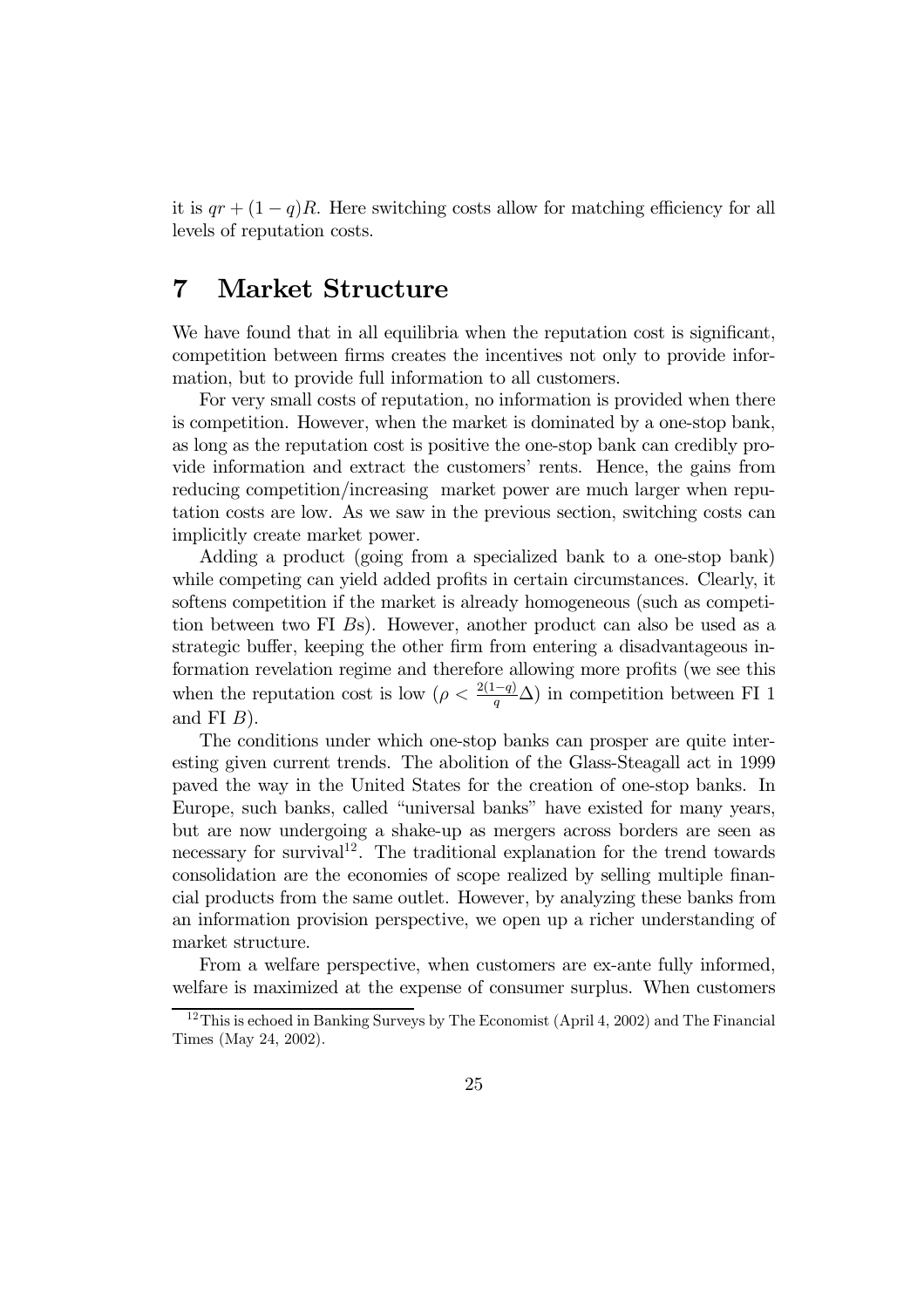it is  $qr + (1 - q)R$ . Here switching costs allow for matching efficiency for all levels of reputation costs.

### 7 Market Structure

We have found that in all equilibria when the reputation cost is significant, competition between firms creates the incentives not only to provide information, but to provide full information to all customers.

For very small costs of reputation, no information is provided when there is competition. However, when the market is dominated by a one-stop bank, as long as the reputation cost is positive the one-stop bank can credibly provide information and extract the customers' rents. Hence, the gains from reducing competition/increasing market power are much larger when reputation costs are low. As we saw in the previous section, switching costs can implicitly create market power.

Adding a product (going from a specialized bank to a one-stop bank) while competing can yield added profits in certain circumstances. Clearly, it softens competition if the market is already homogeneous (such as competition between two FI Bs). However, another product can also be used as a strategic buffer, keeping the other firm from entering a disadvantageous information revelation regime and therefore allowing more profits (we see this when the reputation cost is low  $(\rho < \frac{2(1-q)}{q}\Delta)$  in competition between FI 1 and FI  $B$ ).

The conditions under which one-stop banks can prosper are quite interesting given current trends. The abolition of the Glass-Steagall act in 1999 paved the way in the United States for the creation of one-stop banks. In Europe, such banks, called "universal banks" have existed for many years, but are now undergoing a shake-up as mergers across borders are seen as necessary for survival<sup>12</sup>. The traditional explanation for the trend towards consolidation are the economies of scope realized by selling multiple financial products from the same outlet. However, by analyzing these banks from an information provision perspective, we open up a richer understanding of market structure.

From a welfare perspective, when customers are ex-ante fully informed, welfare is maximized at the expense of consumer surplus. When customers

<sup>&</sup>lt;sup>12</sup>This is echoed in Banking Surveys by The Economist (April 4, 2002) and The Financial Times (May 24, 2002).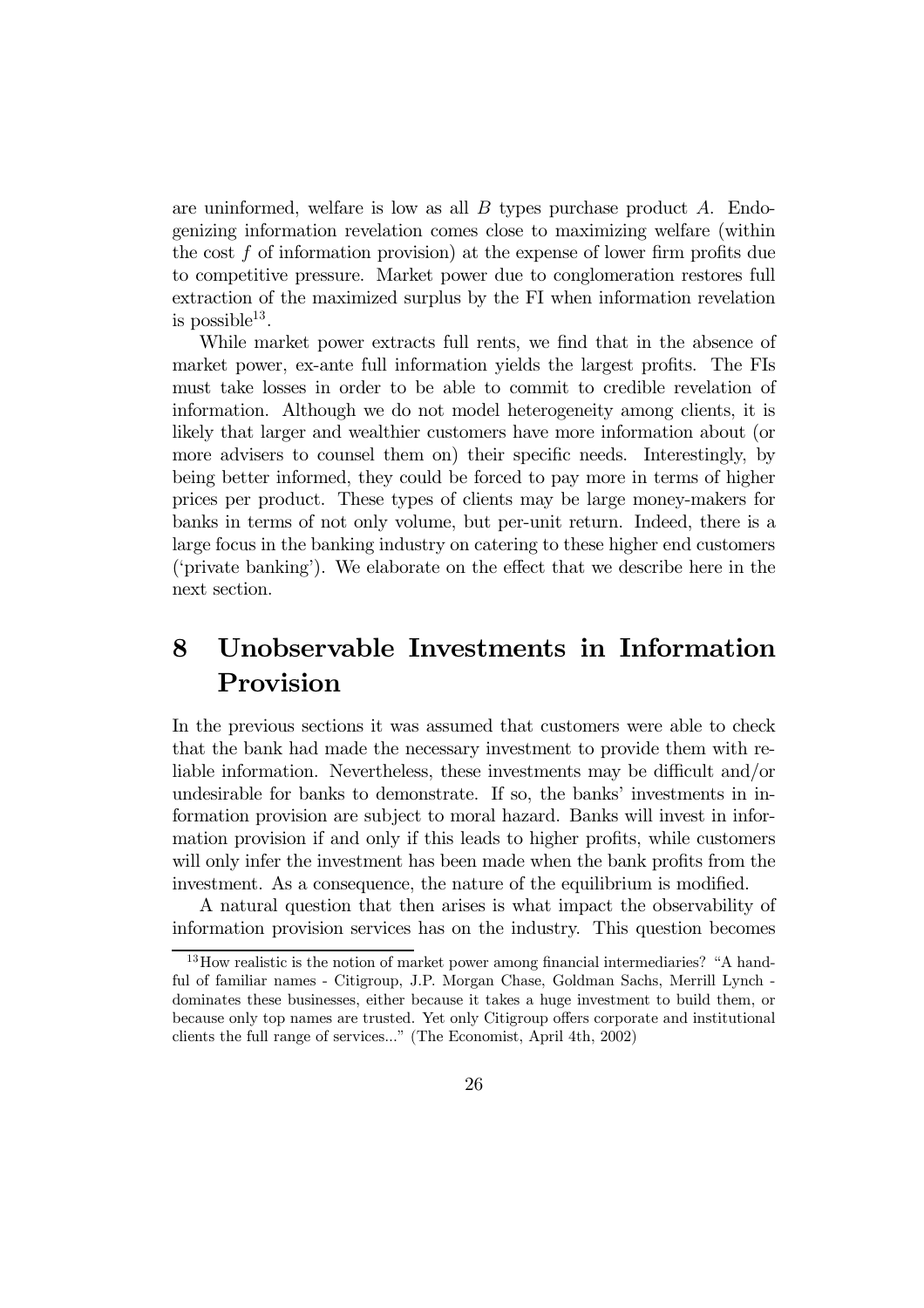are uninformed, welfare is low as all  $B$  types purchase product  $A$ . Endogenizing information revelation comes close to maximizing welfare (within the cost f of information provision) at the expense of lower firm profits due to competitive pressure. Market power due to conglomeration restores full extraction of the maximized surplus by the FI when information revelation is possible $13$ .

While market power extracts full rents, we find that in the absence of market power, ex-ante full information yields the largest profits. The FIs must take losses in order to be able to commit to credible revelation of information. Although we do not model heterogeneity among clients, it is likely that larger and wealthier customers have more information about (or more advisers to counsel them on) their specific needs. Interestingly, by being better informed, they could be forced to pay more in terms of higher prices per product. These types of clients may be large money-makers for banks in terms of not only volume, but per-unit return. Indeed, there is a large focus in the banking industry on catering to these higher end customers ('private banking'). We elaborate on the effect that we describe here in the next section.

## 8 Unobservable Investments in Information Provision

In the previous sections it was assumed that customers were able to check that the bank had made the necessary investment to provide them with reliable information. Nevertheless, these investments may be difficult and/or undesirable for banks to demonstrate. If so, the banks' investments in information provision are subject to moral hazard. Banks will invest in information provision if and only if this leads to higher profits, while customers will only infer the investment has been made when the bank profits from the investment. As a consequence, the nature of the equilibrium is modified.

A natural question that then arises is what impact the observability of information provision services has on the industry. This question becomes

<sup>&</sup>lt;sup>13</sup>How realistic is the notion of market power among financial intermediaries? "A handful of familiar names - Citigroup, J.P. Morgan Chase, Goldman Sachs, Merrill Lynch dominates these businesses, either because it takes a huge investment to build them, or because only top names are trusted. Yet only Citigroup offers corporate and institutional clients the full range of services..." (The Economist, April 4th, 2002)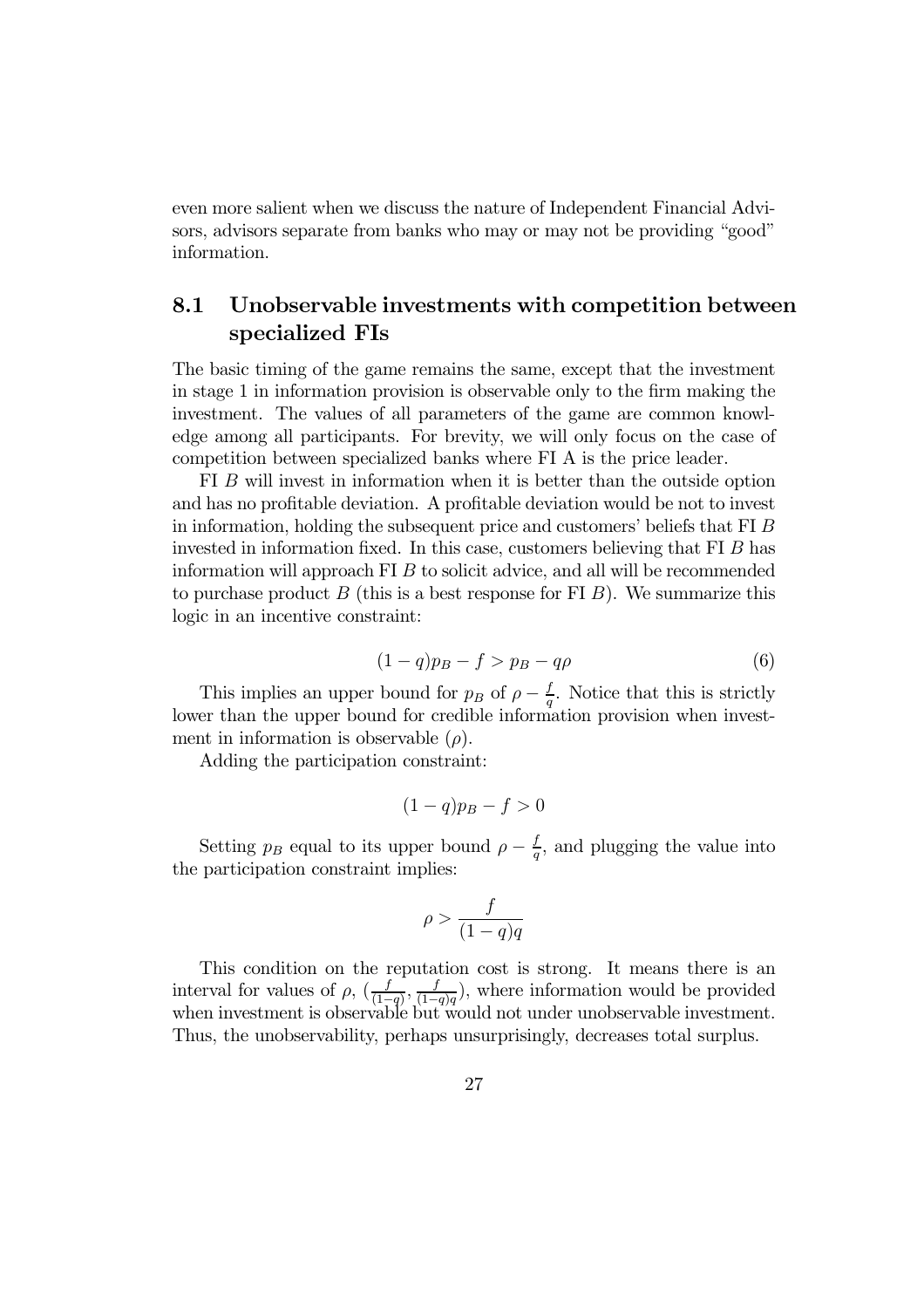even more salient when we discuss the nature of Independent Financial Advisors, advisors separate from banks who may or may not be providing "good" information.

### 8.1 Unobservable investments with competition between specialized FIs

The basic timing of the game remains the same, except that the investment in stage 1 in information provision is observable only to the firm making the investment. The values of all parameters of the game are common knowledge among all participants. For brevity, we will only focus on the case of competition between specialized banks where FI A is the price leader.

FI B will invest in information when it is better than the outside option and has no profitable deviation. A profitable deviation would be not to invest in information, holding the subsequent price and customers' beliefs that FI B invested in information fixed. In this case, customers believing that FI B has information will approach FI B to solicit advice, and all will be recommended to purchase product B (this is a best response for FI B). We summarize this logic in an incentive constraint:

$$
(1-q)p_B - f > p_B - q\rho \tag{6}
$$

This implies an upper bound for  $p_B$  of  $\rho - \frac{f}{q}$ . Notice that this is strictly lower than the upper bound for credible information provision when investment in information is observable  $(\rho)$ .

Adding the participation constraint:

$$
(1-q)p_B - f > 0
$$

Setting  $p_B$  equal to its upper bound  $\rho - \frac{f}{q}$ , and plugging the value into the participation constraint implies:

$$
\rho > \frac{f}{(1-q)q}
$$

This condition on the reputation cost is strong. It means there is an interval for values of  $\rho$ ,  $(\frac{f}{(1-q)}, \frac{f}{(1-q)q})$ , where information would be provided when investment is observable but would not under unobservable investment. Thus, the unobservability, perhaps unsurprisingly, decreases total surplus.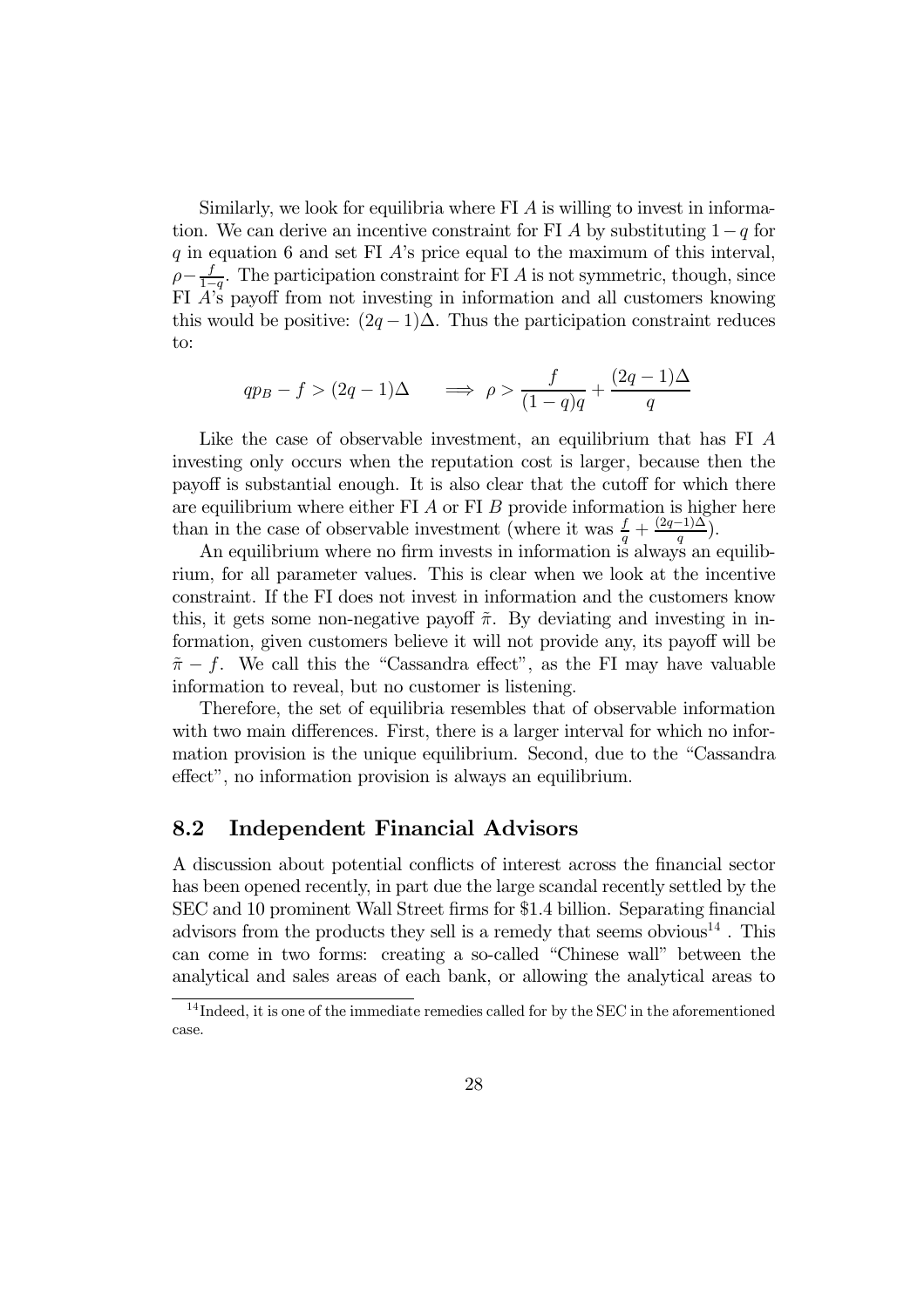Similarly, we look for equilibria where FI A is willing to invest in information. We can derive an incentive constraint for FI A by substituting  $1-q$  for q in equation 6 and set FI  $\ddot{A}$ 's price equal to the maximum of this interval,  $\rho - \frac{f}{1-q}$ . The participation constraint for FI A is not symmetric, though, since FI  $\overrightarrow{A}$ 's payoff from not investing in information and all customers knowing this would be positive:  $(2q-1)\Delta$ . Thus the participation constraint reduces to:

$$
qp_B - f > (2q - 1)\Delta \qquad \Longrightarrow \ \rho > \frac{f}{(1 - q)q} + \frac{(2q - 1)\Delta}{q}
$$

Like the case of observable investment, an equilibrium that has FI A investing only occurs when the reputation cost is larger, because then the payoff is substantial enough. It is also clear that the cutoff for which there are equilibrium where either FI  $\Lambda$  or FI  $\sigma$  provide information is higher here than in the case of observable investment (where it was  $\frac{f}{q} + \frac{(2q-1)\Delta}{q}$ ).

An equilibrium where no firm invests in information is always an equilibrium, for all parameter values. This is clear when we look at the incentive constraint. If the FI does not invest in information and the customers know this, it gets some non-negative payoff  $\tilde{\pi}$ . By deviating and investing in information, given customers believe it will not provide any, its payoff will be  $\tilde{\pi}$  – f. We call this the "Cassandra effect", as the FI may have valuable information to reveal, but no customer is listening.

Therefore, the set of equilibria resembles that of observable information with two main differences. First, there is a larger interval for which no information provision is the unique equilibrium. Second, due to the "Cassandra effect", no information provision is always an equilibrium.

#### 8.2 Independent Financial Advisors

A discussion about potential conflicts of interest across the financial sector has been opened recently, in part due the large scandal recently settled by the SEC and 10 prominent Wall Street firms for \$1.4 billion. Separating financial advisors from the products they sell is a remedy that seems obvious  $14$  . This can come in two forms: creating a so-called "Chinese wall" between the analytical and sales areas of each bank, or allowing the analytical areas to

<sup>&</sup>lt;sup>14</sup> Indeed, it is one of the immediate remedies called for by the SEC in the aforementioned case.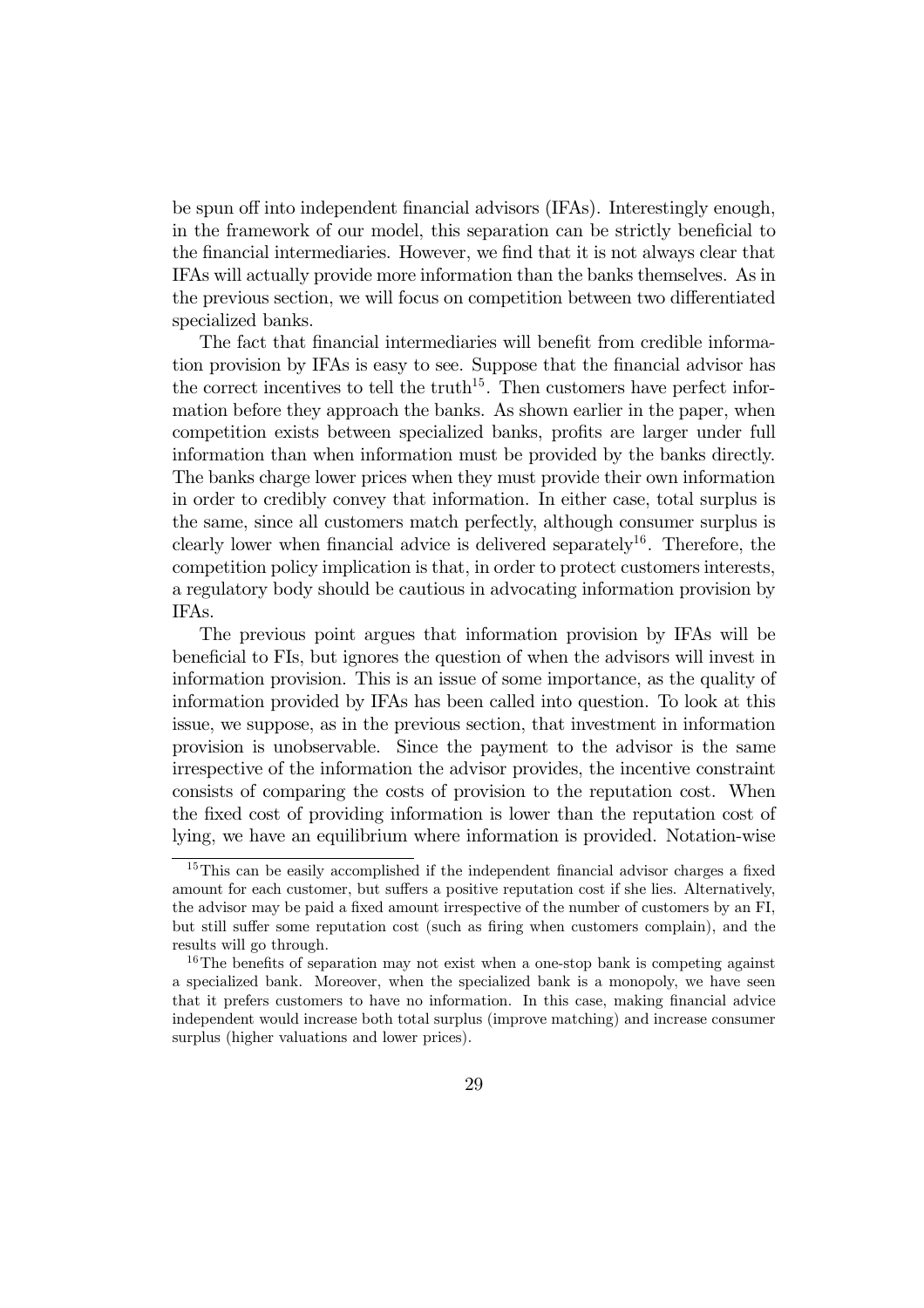be spun off into independent financial advisors (IFAs). Interestingly enough, in the framework of our model, this separation can be strictly beneficial to the financial intermediaries. However, we find that it is not always clear that IFAs will actually provide more information than the banks themselves. As in the previous section, we will focus on competition between two differentiated specialized banks.

The fact that financial intermediaries will benefit from credible information provision by IFAs is easy to see. Suppose that the financial advisor has the correct incentives to tell the truth<sup>15</sup>. Then customers have perfect information before they approach the banks. As shown earlier in the paper, when competition exists between specialized banks, profits are larger under full information than when information must be provided by the banks directly. The banks charge lower prices when they must provide their own information in order to credibly convey that information. In either case, total surplus is the same, since all customers match perfectly, although consumer surplus is clearly lower when financial advice is delivered separately<sup>16</sup>. Therefore, the competition policy implication is that, in order to protect customers interests, a regulatory body should be cautious in advocating information provision by IFAs.

The previous point argues that information provision by IFAs will be beneficial to FIs, but ignores the question of when the advisors will invest in information provision. This is an issue of some importance, as the quality of information provided by IFAs has been called into question. To look at this issue, we suppose, as in the previous section, that investment in information provision is unobservable. Since the payment to the advisor is the same irrespective of the information the advisor provides, the incentive constraint consists of comparing the costs of provision to the reputation cost. When the fixed cost of providing information is lower than the reputation cost of lying, we have an equilibrium where information is provided. Notation-wise

<sup>&</sup>lt;sup>15</sup>This can be easily accomplished if the independent financial advisor charges a fixed amount for each customer, but suffers a positive reputation cost if she lies. Alternatively, the advisor may be paid a fixed amount irrespective of the number of customers by an FI, but still suffer some reputation cost (such as firing when customers complain), and the results will go through.

<sup>&</sup>lt;sup>16</sup>The benefits of separation may not exist when a one-stop bank is competing against a specialized bank. Moreover, when the specialized bank is a monopoly, we have seen that it prefers customers to have no information. In this case, making financial advice independent would increase both total surplus (improve matching) and increase consumer surplus (higher valuations and lower prices).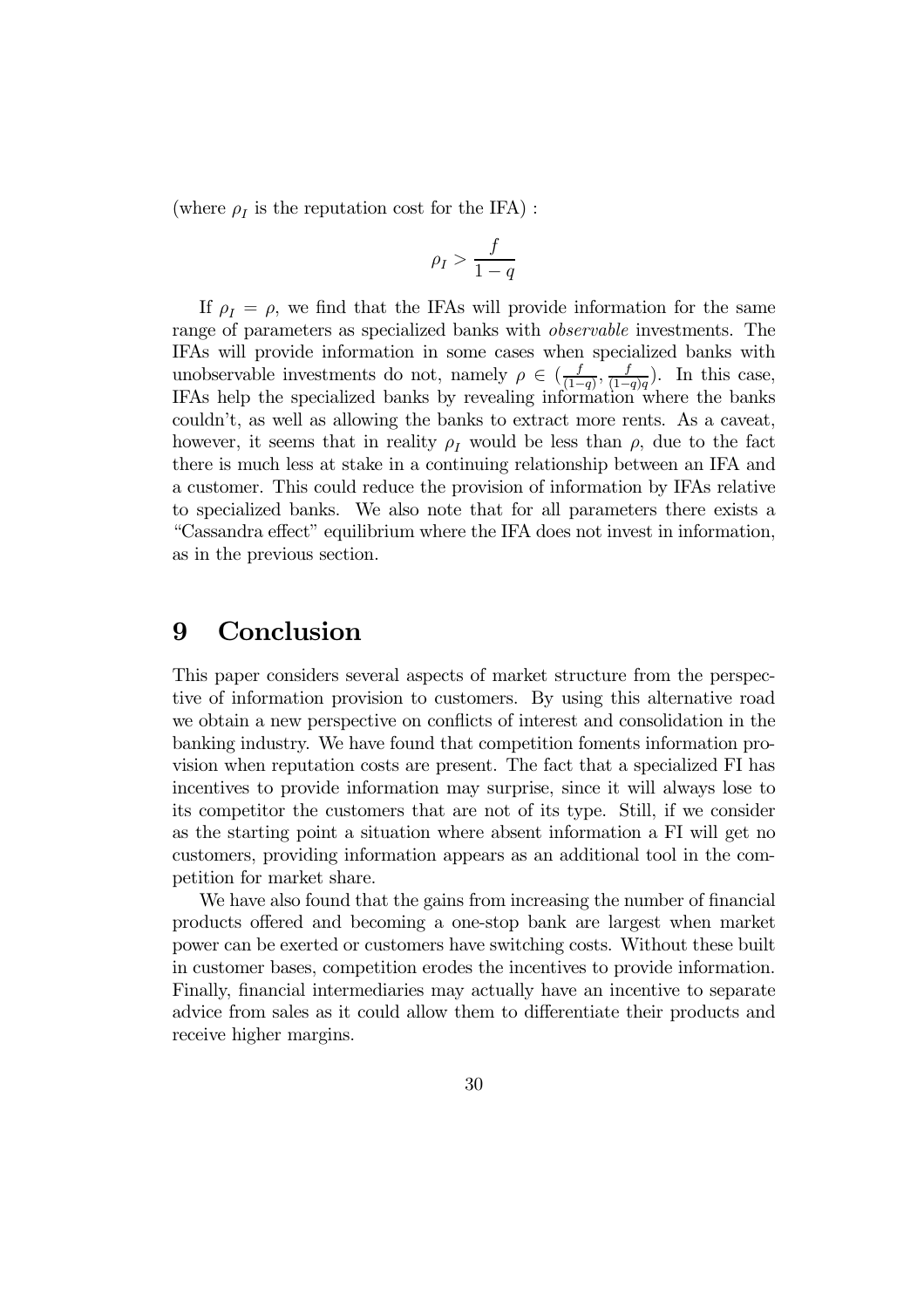(where  $\rho_I$  is the reputation cost for the IFA) :

$$
\rho_I > \frac{f}{1-q}
$$

If  $\rho_I = \rho$ , we find that the IFAs will provide information for the same range of parameters as specialized banks with observable investments. The IFAs will provide information in some cases when specialized banks with unobservable investments do not, namely  $\rho \in (\frac{f}{(1-q)}, \frac{f}{(1-q)q})$ . In this case, IFAs help the specialized banks by revealing information where the banks couldn't, as well as allowing the banks to extract more rents. As a caveat, however, it seems that in reality  $\rho_I$  would be less than  $\rho$ , due to the fact there is much less at stake in a continuing relationship between an IFA and a customer. This could reduce the provision of information by IFAs relative to specialized banks. We also note that for all parameters there exists a "Cassandra effect" equilibrium where the IFA does not invest in information, as in the previous section.

## 9 Conclusion

This paper considers several aspects of market structure from the perspective of information provision to customers. By using this alternative road we obtain a new perspective on conflicts of interest and consolidation in the banking industry. We have found that competition foments information provision when reputation costs are present. The fact that a specialized FI has incentives to provide information may surprise, since it will always lose to its competitor the customers that are not of its type. Still, if we consider as the starting point a situation where absent information a FI will get no customers, providing information appears as an additional tool in the competition for market share.

We have also found that the gains from increasing the number of financial products offered and becoming a one-stop bank are largest when market power can be exerted or customers have switching costs. Without these built in customer bases, competition erodes the incentives to provide information. Finally, financial intermediaries may actually have an incentive to separate advice from sales as it could allow them to differentiate their products and receive higher margins.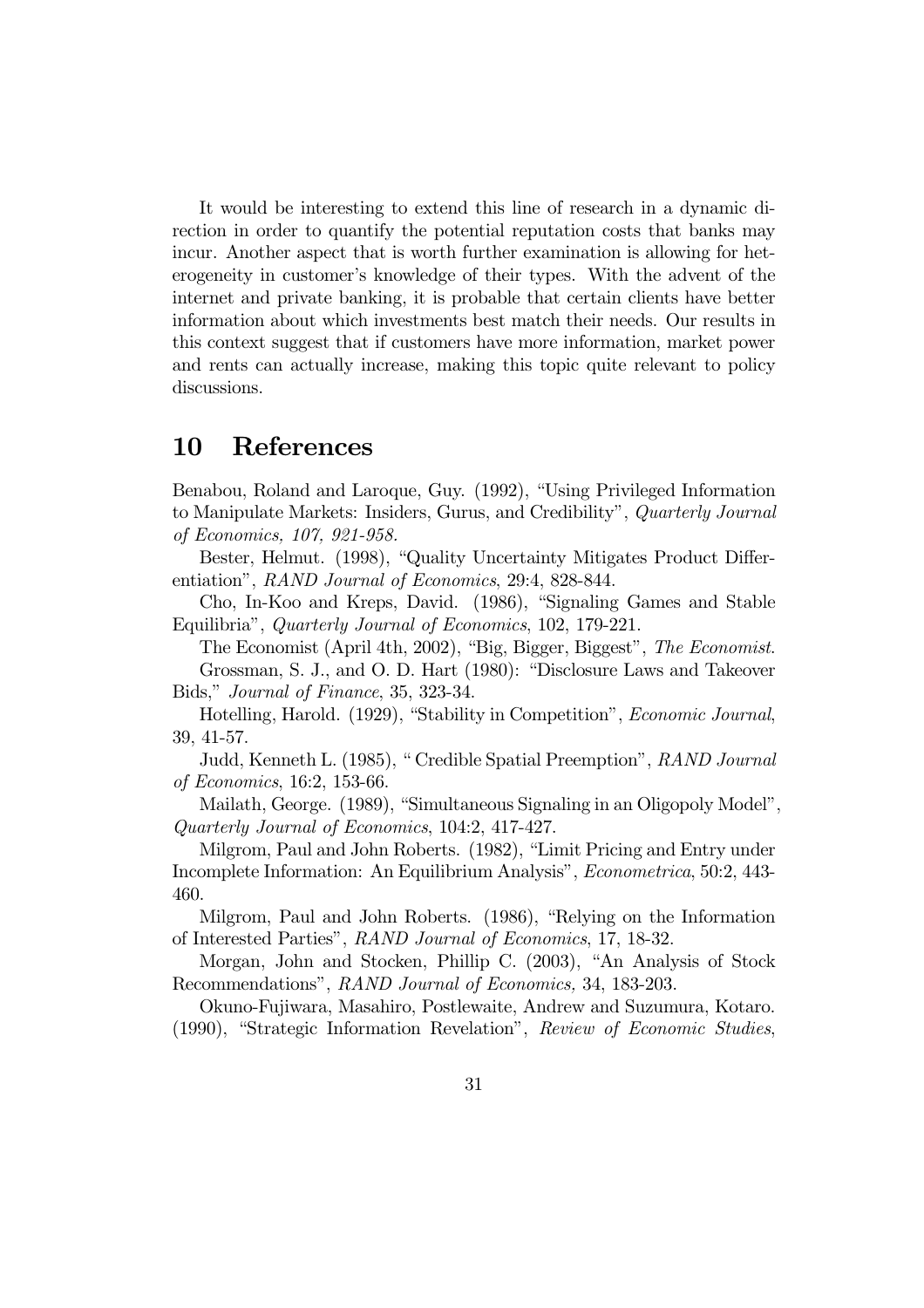It would be interesting to extend this line of research in a dynamic direction in order to quantify the potential reputation costs that banks may incur. Another aspect that is worth further examination is allowing for heterogeneity in customer's knowledge of their types. With the advent of the internet and private banking, it is probable that certain clients have better information about which investments best match their needs. Our results in this context suggest that if customers have more information, market power and rents can actually increase, making this topic quite relevant to policy discussions.

### 10 References

Benabou, Roland and Laroque, Guy. (1992), "Using Privileged Information to Manipulate Markets: Insiders, Gurus, and Credibility", Quarterly Journal of Economics, 107, 921-958.

Bester, Helmut. (1998), "Quality Uncertainty Mitigates Product Differentiation", RAND Journal of Economics, 29:4, 828-844.

Cho, In-Koo and Kreps, David. (1986), "Signaling Games and Stable Equilibria", Quarterly Journal of Economics, 102, 179-221.

The Economist (April 4th, 2002), "Big, Bigger, Biggest", The Economist. Grossman, S. J., and O. D. Hart (1980): "Disclosure Laws and Takeover Bids," Journal of Finance, 35, 323-34.

Hotelling, Harold. (1929), "Stability in Competition", Economic Journal, 39, 41-57.

Judd, Kenneth L. (1985), " Credible Spatial Preemption", RAND Journal of Economics, 16:2, 153-66.

Mailath, George. (1989), "Simultaneous Signaling in an Oligopoly Model", Quarterly Journal of Economics, 104:2, 417-427.

Milgrom, Paul and John Roberts. (1982), "Limit Pricing and Entry under Incomplete Information: An Equilibrium Analysis", Econometrica, 50:2, 443- 460.

Milgrom, Paul and John Roberts. (1986), "Relying on the Information of Interested Parties", RAND Journal of Economics, 17, 18-32.

Morgan, John and Stocken, Phillip C. (2003), "An Analysis of Stock Recommendations", RAND Journal of Economics, 34, 183-203.

Okuno-Fujiwara, Masahiro, Postlewaite, Andrew and Suzumura, Kotaro. (1990), "Strategic Information Revelation", Review of Economic Studies,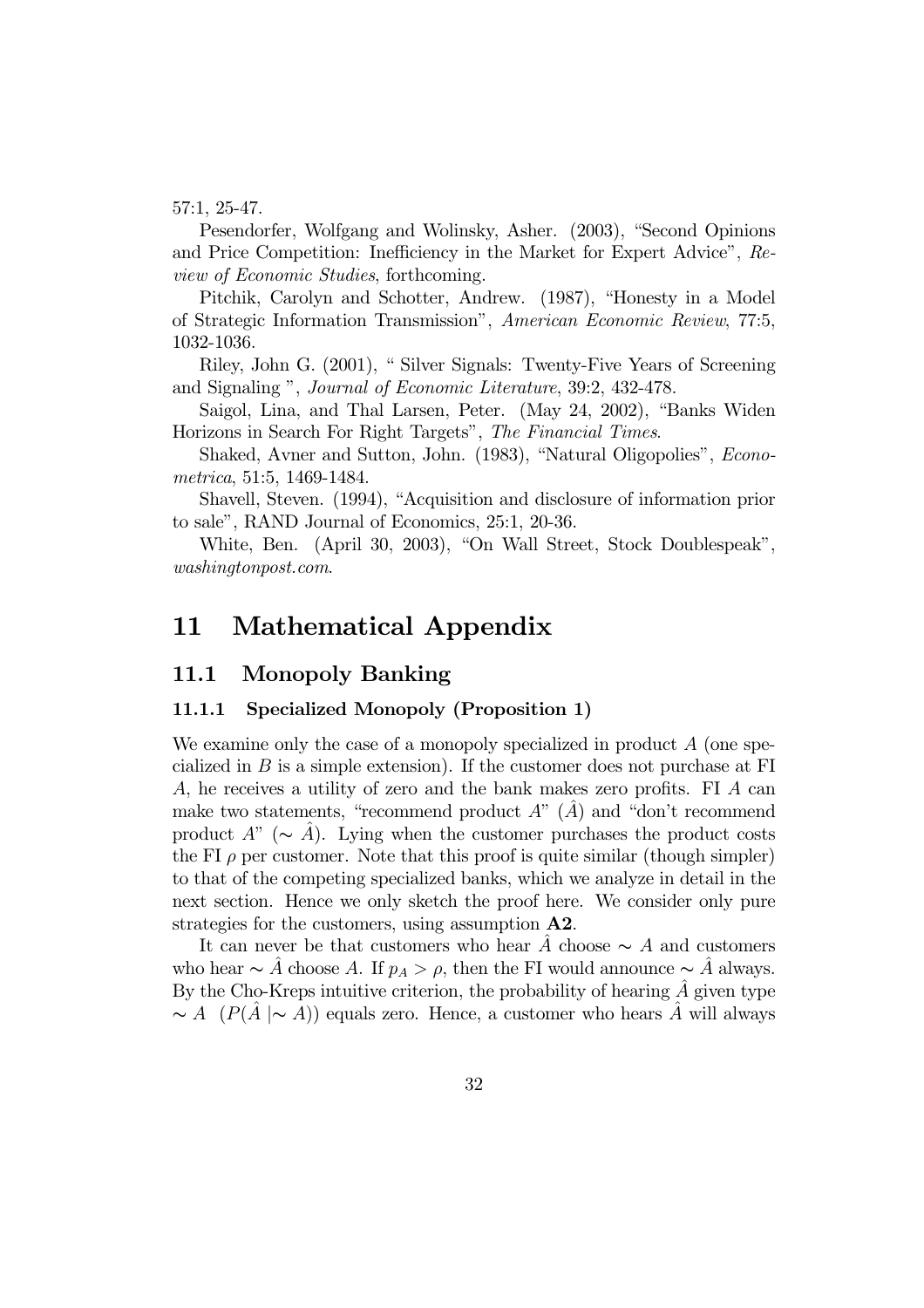57:1, 25-47.

Pesendorfer, Wolfgang and Wolinsky, Asher. (2003), "Second Opinions and Price Competition: Inefficiency in the Market for Expert Advice", Review of Economic Studies, forthcoming.

Pitchik, Carolyn and Schotter, Andrew. (1987), "Honesty in a Model of Strategic Information Transmission", American Economic Review, 77:5, 1032-1036.

Riley, John G. (2001), " Silver Signals: Twenty-Five Years of Screening and Signaling ", Journal of Economic Literature, 39:2, 432-478.

Saigol, Lina, and Thal Larsen, Peter. (May 24, 2002), "Banks Widen Horizons in Search For Right Targets", The Financial Times.

Shaked, Avner and Sutton, John. (1983), "Natural Oligopolies", Econometrica, 51:5, 1469-1484.

Shavell, Steven. (1994), "Acquisition and disclosure of information prior to sale", RAND Journal of Economics, 25:1, 20-36.

White, Ben. (April 30, 2003), "On Wall Street, Stock Doublespeak", washingtonpost.com.

## 11 Mathematical Appendix

#### 11.1 Monopoly Banking

#### 11.1.1 Specialized Monopoly (Proposition 1)

We examine only the case of a monopoly specialized in product  $A$  (one specialized in B is a simple extension). If the customer does not purchase at FI A, he receives a utility of zero and the bank makes zero profits. FI A can make two statements, "recommend product  $A$ "  $(\hat{A})$  and "don't recommend" product  $A^{\prime\prime}$  ( $\sim A$ ). Lying when the customer purchases the product costs the FI  $\rho$  per customer. Note that this proof is quite similar (though simpler) to that of the competing specialized banks, which we analyze in detail in the next section. Hence we only sketch the proof here. We consider only pure strategies for the customers, using assumption A2.

It can never be that customers who hear A choose  $\sim A$  and customers who hear  $\sim A$  choose A. If  $p_A > \rho$ , then the FI would announce  $\sim A$  always. By the Cho-Kreps intuitive criterion, the probability of hearing  $\hat{A}$  given type  $\sim A$  (P(A $\mid \sim A$ )) equals zero. Hence, a customer who hears A will always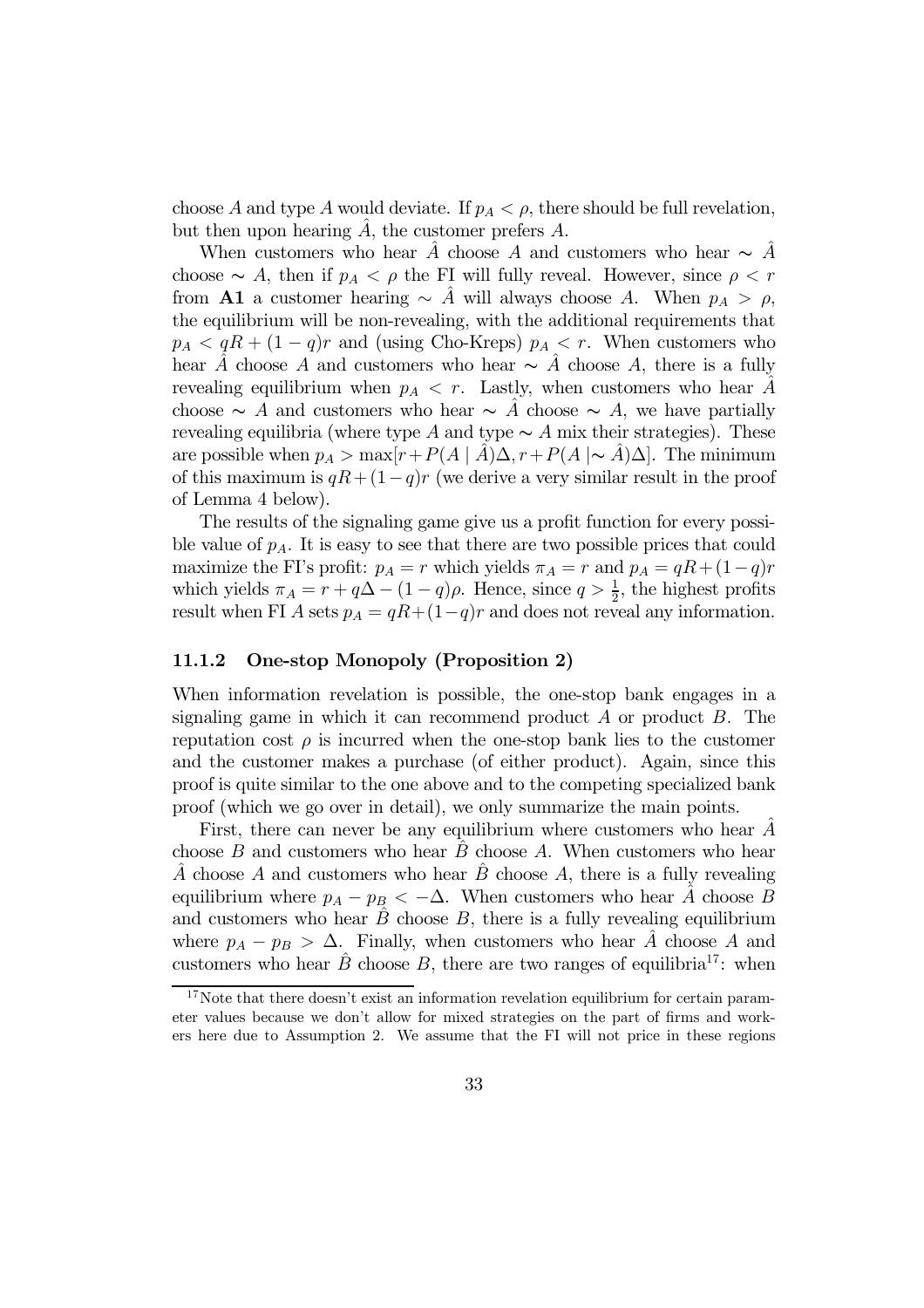choose A and type A would deviate. If  $p_A < \rho$ , there should be full revelation, but then upon hearing  $A$ , the customer prefers  $A$ .

When customers who hear A⊂ choose A and customers who hear  $\sim$  A<sup> $\hat{A}$ </sup> choose  $\sim A$ , then if  $p_A < \rho$  the FI will fully reveal. However, since  $\rho < r$ from **A1** a customer hearing  $\sim$  A<sup> $\dot{A}$ </sup> will always choose A. When  $p_A > \rho$ , the equilibrium will be non-revealing, with the additional requirements that  $p_A < qR + (1 - q)r$  and (using Cho-Kreps)  $p_A < r$ . When customers who hear  $\hat{A}$  choose A and customers who hear  $\sim \hat{A}$  choose A, there is a fully revealing equilibrium when  $p_A < r$ . Lastly, when customers who hear A choose  $\sim A$  and customers who hear  $\sim A$  choose  $\sim A$ , we have partially revealing equilibria (where type A and type  $\sim A$  mix their strategies). These are possible when  $p_A > \max[r+P(A | A) \Delta, r+P(A | \sim A) \Delta]$ . The minimum of this maximum is  $qR + (1-q)r$  (we derive a very similar result in the proof of Lemma 4 below).

The results of the signaling game give us a profit function for every possible value of  $p_A$ . It is easy to see that there are two possible prices that could maximize the FI's profit:  $p_A = r$  which yields  $\pi_A = r$  and  $p_A = qR + (1-q)r$ which yields  $\pi_A = r + q\Delta - (1 - q)\rho$ . Hence, since  $q > \frac{1}{2}$ , the highest profits result when FI A sets  $p_A = qR + (1-q)r$  and does not reveal any information.

#### 11.1.2 One-stop Monopoly (Proposition 2)

When information revelation is possible, the one-stop bank engages in a signaling game in which it can recommend product  $A$  or product  $B$ . The reputation cost  $\rho$  is incurred when the one-stop bank lies to the customer and the customer makes a purchase (of either product). Again, since this proof is quite similar to the one above and to the competing specialized bank proof (which we go over in detail), we only summarize the main points.

First, there can never be any equilibrium where customers who hear  $A$ choose  $B$  and customers who hear  $\overline{B}$  choose  $\overline{A}$ . When customers who hear  $\overline{A}$  choose  $A$  and customers who hear  $\overline{B}$  choose  $A$ , there is a fully revealing equilibrium where  $p_A - p_B < -\Delta$ . When customers who hear  $\hat{A}$  choose B and customers who hear  $\ddot{B}$  choose  $B$ , there is a fully revealing equilibrium where  $p_A - p_B > \Delta$ . Finally, when customers who hear A choose A and customers who hear  $\ddot{B}$  choose  $B$ , there are two ranges of equilibria<sup>17</sup>: when

 $17$ Note that there doesn't exist an information revelation equilibrium for certain parameter values because we don't allow for mixed strategies on the part of firms and workers here due to Assumption 2. We assume that the FI will not price in these regions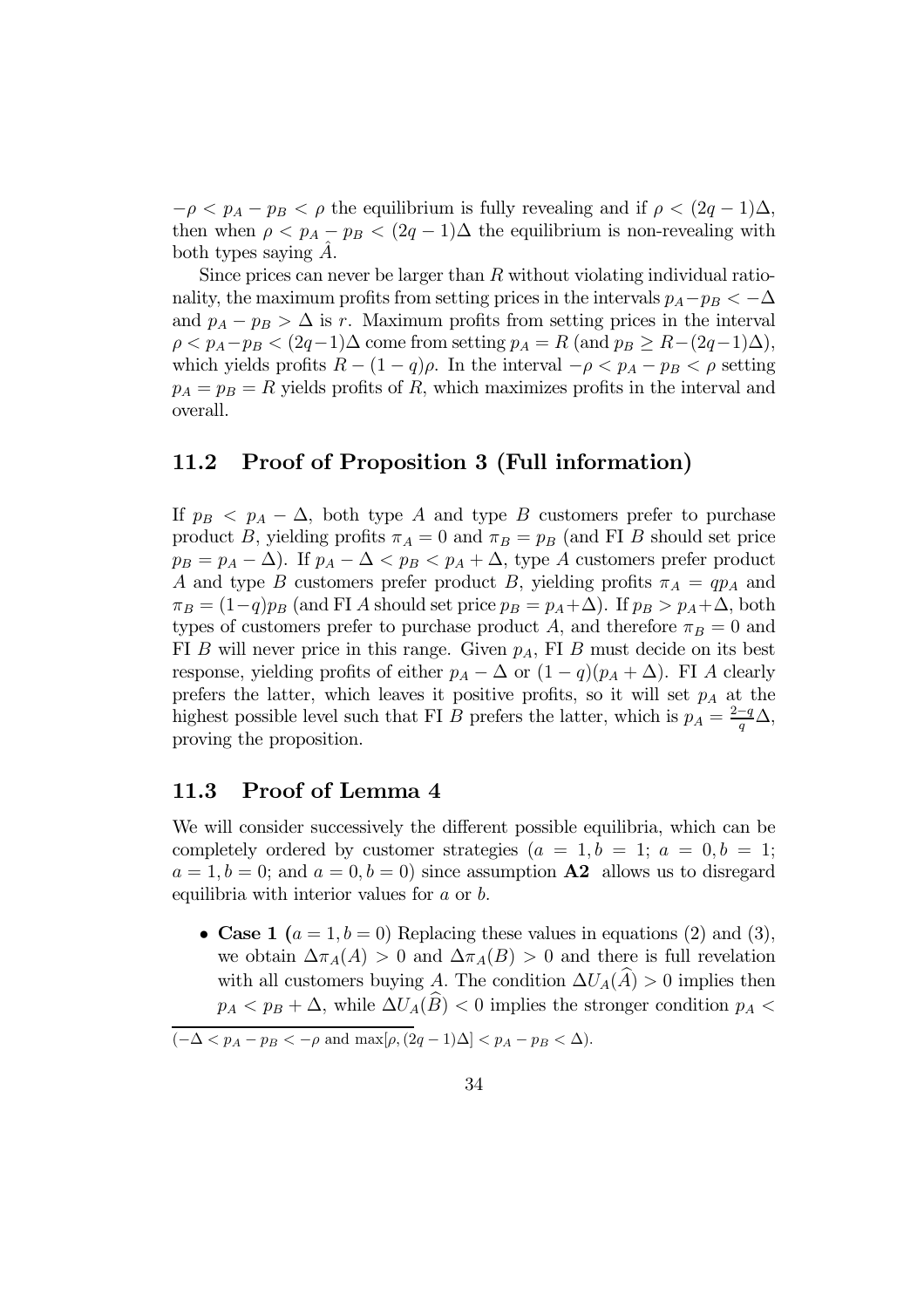$-\rho < p_A - p_B < \rho$  the equilibrium is fully revealing and if  $\rho < (2q - 1)\Delta$ , then when  $\rho < p_A - p_B < (2q - 1)\Delta$  the equilibrium is non-revealing with both types saying  $A$ .

Since prices can never be larger than  $R$  without violating individual rationality, the maximum profits from setting prices in the intervals  $p_A-p_B < -\Delta$ and  $p_A - p_B > \Delta$  is r. Maximum profits from setting prices in the interval  $\rho < p_A-p_B < (2q-1)\Delta$  come from setting  $p_A = R$  (and  $p_B \geq R-(2q-1)\Delta$ ), which yields profits  $R - (1 - q)\rho$ . In the interval  $-\rho < p_A - p_B < \rho$  setting  $p_A = p_B = R$  yields profits of R, which maximizes profits in the interval and overall.

#### 11.2 Proof of Proposition 3 (Full information)

If  $p_B < p_A - \Delta$ , both type A and type B customers prefer to purchase product B, yielding profits  $\pi_A = 0$  and  $\pi_B = p_B$  (and FI B should set price  $p_B = p_A - \Delta$ ). If  $p_A - \Delta < p_B < p_A + \Delta$ , type A customers prefer product A and type B customers prefer product B, yielding profits  $\pi_A = qp_A$  and  $\pi_B = (1-q)p_B$  (and FI A should set price  $p_B = p_A + \Delta$ ). If  $p_B > p_A + \Delta$ , both types of customers prefer to purchase product A, and therefore  $\pi_B = 0$  and FI B will never price in this range. Given  $p_A$ , FI B must decide on its best response, yielding profits of either  $p_A - \Delta$  or  $(1 - q)(p_A + \Delta)$ . FI A clearly prefers the latter, which leaves it positive profits, so it will set  $p_A$  at the highest possible level such that FI B prefers the latter, which is  $p_A = \frac{2-q}{q} \Delta$ , proving the proposition.

#### 11.3 Proof of Lemma 4

We will consider successively the different possible equilibria, which can be completely ordered by customer strategies  $(a = 1, b = 1; a = 0, b = 1;$  $a = 1, b = 0$ ; and  $a = 0, b = 0$ ) since assumption **A2** allows us to disregard equilibria with interior values for a or b.

• Case 1  $(a = 1, b = 0)$  Replacing these values in equations (2) and (3), we obtain  $\Delta \pi_A(A) > 0$  and  $\Delta \pi_A(B) > 0$  and there is full revelation with all customers buying A. The condition  $\Delta U_A(\widehat{A}) > 0$  implies then  $p_A < p_B + \Delta$ , while  $\Delta U_A(\widehat{B}) < 0$  implies the stronger condition  $p_A <$ 

 $\boxed{(-\Delta < p_A - p_B < -\rho \text{ and } \max[\rho, (2q-1)\Delta] < p_A - p_B < \Delta)}$ .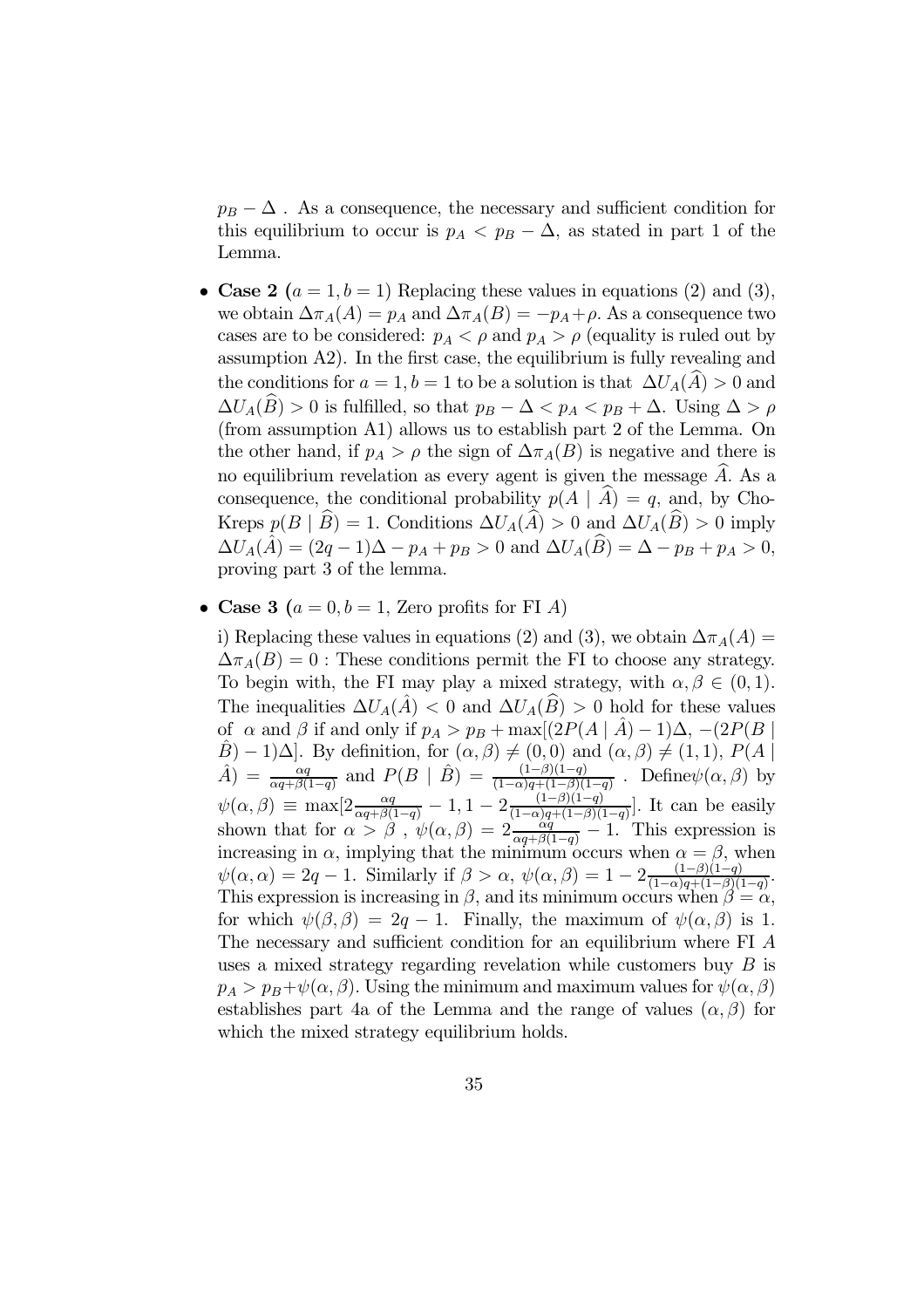$p_B - \Delta$ . As a consequence, the necessary and sufficient condition for this equilibrium to occur is  $p_A < p_B - \Delta$ , as stated in part 1 of the Lemma.

- Case 2  $(a = 1, b = 1)$  Replacing these values in equations (2) and (3), we obtain  $\Delta \pi_A(A) = p_A$  and  $\Delta \pi_A(B) = -p_A + \rho$ . As a consequence two cases are to be considered:  $p_A < \rho$  and  $p_A > \rho$  (equality is ruled out by assumption A2). In the first case, the equilibrium is fully revealing and the conditions for  $a = 1, b = 1$  to be a solution is that  $\Delta U_A(\hat{A}) > 0$  and  $\Delta U_A(\widehat{B}) > 0$  is fulfilled, so that  $p_B - \Delta < p_A < p_B + \Delta$ . Using  $\Delta > \rho$ (from assumption A1) allows us to establish part 2 of the Lemma. On the other hand, if  $p_A > \rho$  the sign of  $\Delta \pi_A(B)$  is negative and there is no equilibrium revelation as every agent is given the message A. As a consequence, the conditional probability  $p(A | A) = q$ , and, by Cho-Kreps  $p(B | \hat{B}) = 1$ . Conditions  $\Delta U_A(\hat{A}) > 0$  and  $\Delta U_A(\hat{B}) > 0$  imply  $\Delta U_A(\hat{A}) = (2q - 1)\Delta - p_A + p_B > 0$  and  $\Delta U_A(\hat{B}) = \Delta - p_B + p_A > 0$ , proving part 3 of the lemma.
- Case 3 ( $a = 0, b = 1$ , Zero profits for FI A)

i) Replacing these values in equations (2) and (3), we obtain  $\Delta \pi_A(A)$  =  $\Delta \pi_A(B)=0$ : These conditions permit the FI to choose any strategy. To begin with, the FI may play a mixed strategy, with  $\alpha, \beta \in (0, 1)$ . The inequalities  $\Delta U_A(\hat{A}) < 0$  and  $\Delta U_A(\hat{B}) > 0$  hold for these values of  $\alpha$  and  $\beta$  if and only if  $p_A > p_B + \max[(2P(A \mid \hat{A}) - 1)\Delta, -(2P(B \mid \hat{A}))]$  $(\hat{B}) - 1)\Delta$ . By definition, for  $(\alpha, \beta) \neq (0, 0)$  and  $(\alpha, \beta) \neq (1, 1)$ ,  $P(A)$  $\hat{A}$ ) =  $\frac{\alpha q}{\alpha q + \beta(1-q)}$  and  $P(B | \hat{B}) = \frac{(1-\beta)(1-q)}{(1-\alpha)q + (1-\beta)(1-q)}$ . Define  $\psi(\alpha, \beta)$  by  $\psi(\alpha, \beta) \equiv \max[2 \frac{\alpha q}{\alpha q + \beta(1-q)} - 1, 1 - 2 \frac{(1-\beta)(1-q)}{(1-\alpha)q + (1-\beta)(1-q)}].$  It can be easily shown that for  $\alpha > \beta$ ,  $\psi(\alpha, \beta) = 2 \frac{\alpha q}{\alpha q + \beta(1-q)} - 1$ . This expression is increasing in  $\alpha$ , implying that the minimum occurs when  $\alpha = \beta$ , when  $\psi(\alpha,\alpha)=2q-1$ . Similarly if  $\beta>\alpha$ ,  $\psi(\alpha,\beta)=1-2\frac{(1-\beta)(1-q)}{(1-\alpha)q+(1-\beta)(1-q)}$ . This expression is increasing in  $\beta$ , and its minimum occurs when  $\beta = \alpha$ , for which  $\psi(\beta, \beta) = 2q - 1$ . Finally, the maximum of  $\psi(\alpha, \beta)$  is 1. The necessary and sufficient condition for an equilibrium where FI A uses a mixed strategy regarding revelation while customers buy B is  $p_A > p_B + \psi(\alpha, \beta)$ . Using the minimum and maximum values for  $\psi(\alpha, \beta)$ establishes part 4a of the Lemma and the range of values  $(\alpha, \beta)$  for which the mixed strategy equilibrium holds.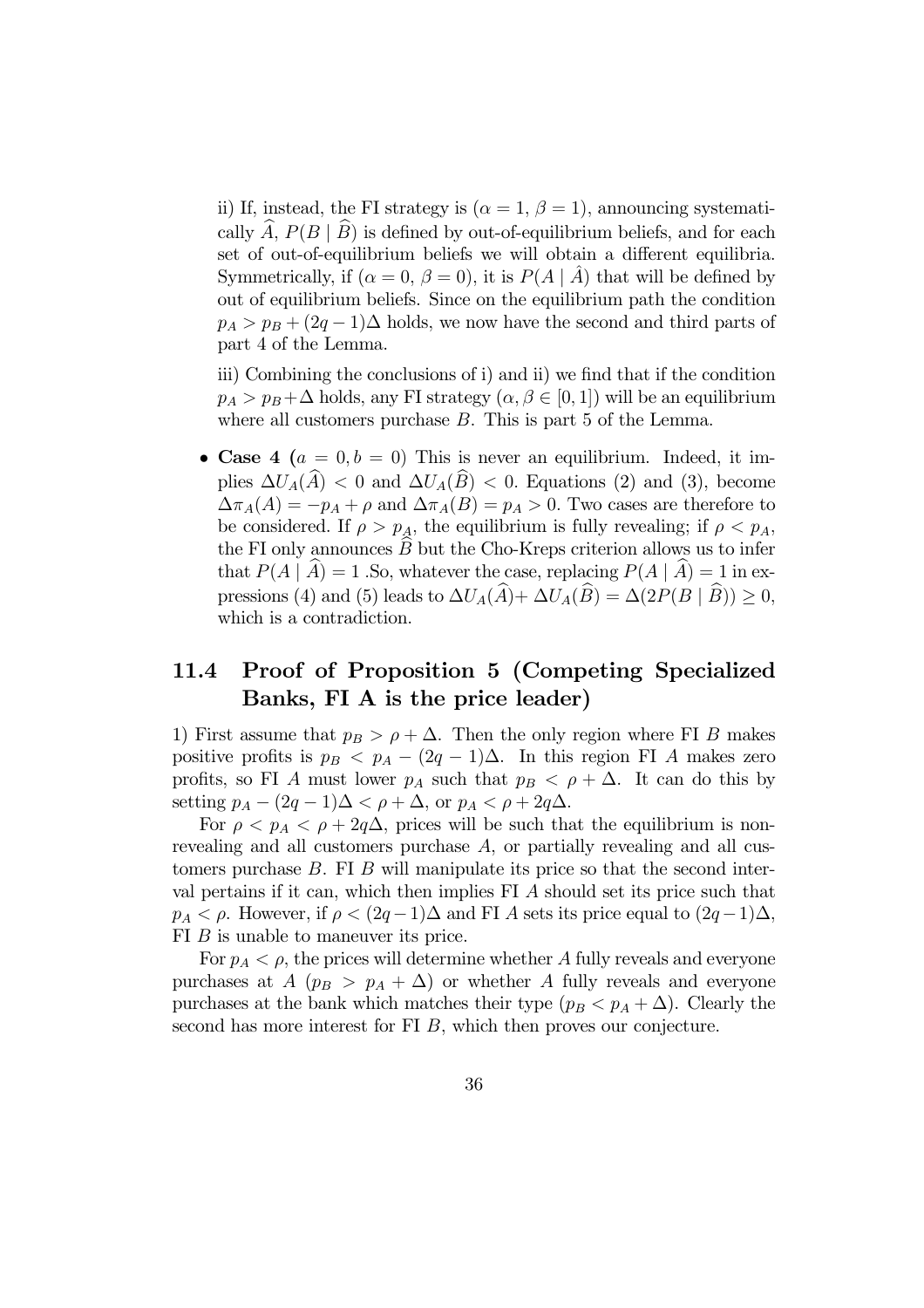ii) If, instead, the FI strategy is  $(\alpha = 1, \beta = 1)$ , announcing systematically  $\hat{A}$ ,  $P(B | \hat{B})$  is defined by out-of-equilibrium beliefs, and for each set of out-of-equilibrium beliefs we will obtain a different equilibria. Symmetrically, if  $(\alpha = 0, \beta = 0)$ , it is  $P(A | A)$  that will be defined by out of equilibrium beliefs. Since on the equilibrium path the condition  $p_A > p_B + (2q - 1)\Delta$  holds, we now have the second and third parts of part 4 of the Lemma.

iii) Combining the conclusions of i) and ii) we find that if the condition  $p_A > p_B + \Delta$  holds, any FI strategy  $(\alpha, \beta \in [0, 1])$  will be an equilibrium where all customers purchase B. This is part 5 of the Lemma.

• Case 4  $(a = 0, b = 0)$  This is never an equilibrium. Indeed, it implies  $\Delta U_A(\widehat{A})$  < 0 and  $\Delta U_A(\widehat{B})$  < 0. Equations (2) and (3), become  $\Delta \pi_A(A) = -p_A + \rho$  and  $\Delta \pi_A(B) = p_A > 0$ . Two cases are therefore to be considered. If  $\rho > p_A$ , the equilibrium is fully revealing; if  $\rho < p_A$ , the FI only announces  $B$  but the Cho-Kreps criterion allows us to infer that  $P(A | A) = 1$ . So, whatever the case, replacing  $P(A | A) = 1$  in expressions (4) and (5) leads to  $\Delta U_A(\widehat{A})+\Delta U_A(\widehat{B})=\Delta(2P(B|\widehat{B}))\geq 0$ , which is a contradiction.

### 11.4 Proof of Proposition 5 (Competing Specialized Banks, FI A is the price leader)

1) First assume that  $p_B > \rho + \Delta$ . Then the only region where FI B makes positive profits is  $p_B < p_A - (2q - 1)\Delta$ . In this region FI A makes zero profits, so FI A must lower  $p_A$  such that  $p_B < \rho + \Delta$ . It can do this by setting  $p_A - (2q - 1)\Delta < \rho + \Delta$ , or  $p_A < \rho + 2q\Delta$ .

For  $\rho < p_A < \rho + 2q\Delta$ , prices will be such that the equilibrium is nonrevealing and all customers purchase A, or partially revealing and all customers purchase  $B$ . FI  $B$  will manipulate its price so that the second interval pertains if it can, which then implies FI A should set its price such that  $p_A < \rho$ . However, if  $\rho < (2q-1)\Delta$  and FI A sets its price equal to  $(2q-1)\Delta$ , FI B is unable to maneuver its price.

For  $p_A < \rho$ , the prices will determine whether A fully reveals and everyone purchases at  $A$  ( $p_B > p_A + \Delta$ ) or whether A fully reveals and everyone purchases at the bank which matches their type  $(p_B < p_A + \Delta)$ . Clearly the second has more interest for FI B, which then proves our conjecture.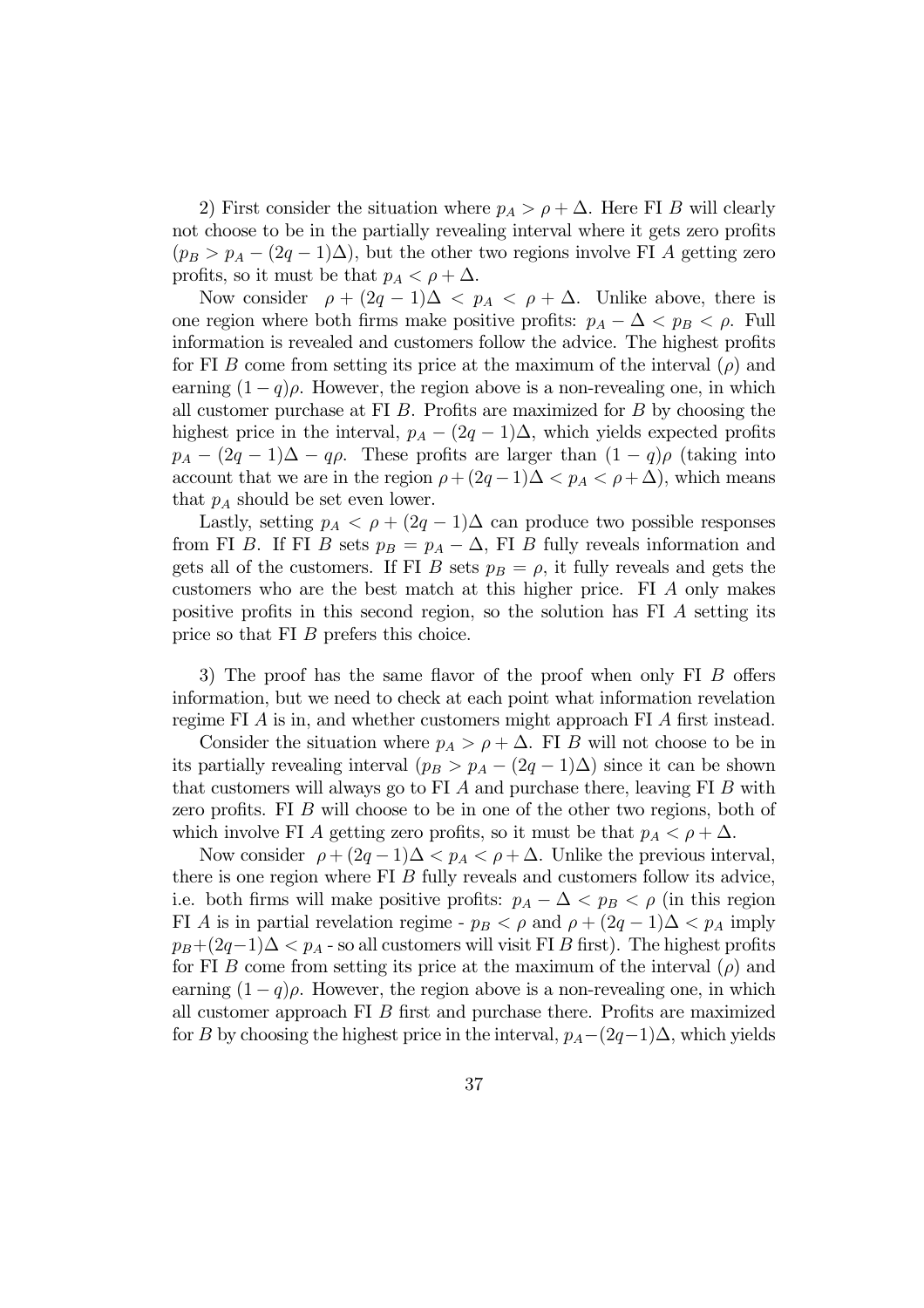2) First consider the situation where  $p_A > \rho + \Delta$ . Here FI B will clearly not choose to be in the partially revealing interval where it gets zero profits  $(p_B > p_A - (2q - 1)\Delta)$ , but the other two regions involve FI A getting zero profits, so it must be that  $p_A < \rho + \Delta$ .

Now consider  $\rho + (2q - 1)\Delta < p_A < \rho + \Delta$ . Unlike above, there is one region where both firms make positive profits:  $p_A - \Delta < p_B < \rho$ . Full information is revealed and customers follow the advice. The highest profits for FI B come from setting its price at the maximum of the interval  $(\rho)$  and earning  $(1 - q)\rho$ . However, the region above is a non-revealing one, in which all customer purchase at FI  $B$ . Profits are maximized for  $B$  by choosing the highest price in the interval,  $p_A - (2q - 1)\Delta$ , which yields expected profits  $p_A - (2q - 1)\Delta - q\rho$ . These profits are larger than  $(1 - q)\rho$  (taking into account that we are in the region  $\rho + (2q - 1)\Delta < p_A < \rho + \Delta$ , which means that  $p_A$  should be set even lower.

Lastly, setting  $p_A < \rho + (2q - 1)\Delta$  can produce two possible responses from FI B. If FI B sets  $p_B = p_A - \Delta$ , FI B fully reveals information and gets all of the customers. If FI B sets  $p_B = \rho$ , it fully reveals and gets the customers who are the best match at this higher price. FI A only makes positive profits in this second region, so the solution has FI A setting its price so that FI B prefers this choice.

3) The proof has the same flavor of the proof when only FI B offers information, but we need to check at each point what information revelation regime FI A is in, and whether customers might approach FI A first instead.

Consider the situation where  $p_A > \rho + \Delta$ . FI B will not choose to be in its partially revealing interval  $(p_B > p_A - (2q - 1)\Delta)$  since it can be shown that customers will always go to FI  $A$  and purchase there, leaving FI  $B$  with zero profits. FI B will choose to be in one of the other two regions, both of which involve FI A getting zero profits, so it must be that  $p_A < \rho + \Delta$ .

Now consider  $\rho + (2q - 1)\Delta < p_A < \rho + \Delta$ . Unlike the previous interval, there is one region where FI B fully reveals and customers follow its advice, i.e. both firms will make positive profits:  $p_A - \Delta < p_B < \rho$  (in this region FI A is in partial revelation regime -  $p_B < \rho$  and  $\rho + (2q - 1)\Delta < p_A$  imply  $p_B+(2q-1)\Delta < p_A$  - so all customers will visit FI B first). The highest profits for FI B come from setting its price at the maximum of the interval  $(\rho)$  and earning  $(1 - q)\rho$ . However, the region above is a non-revealing one, in which all customer approach FI B first and purchase there. Profits are maximized for B by choosing the highest price in the interval,  $p_A-(2q-1)\Delta$ , which yields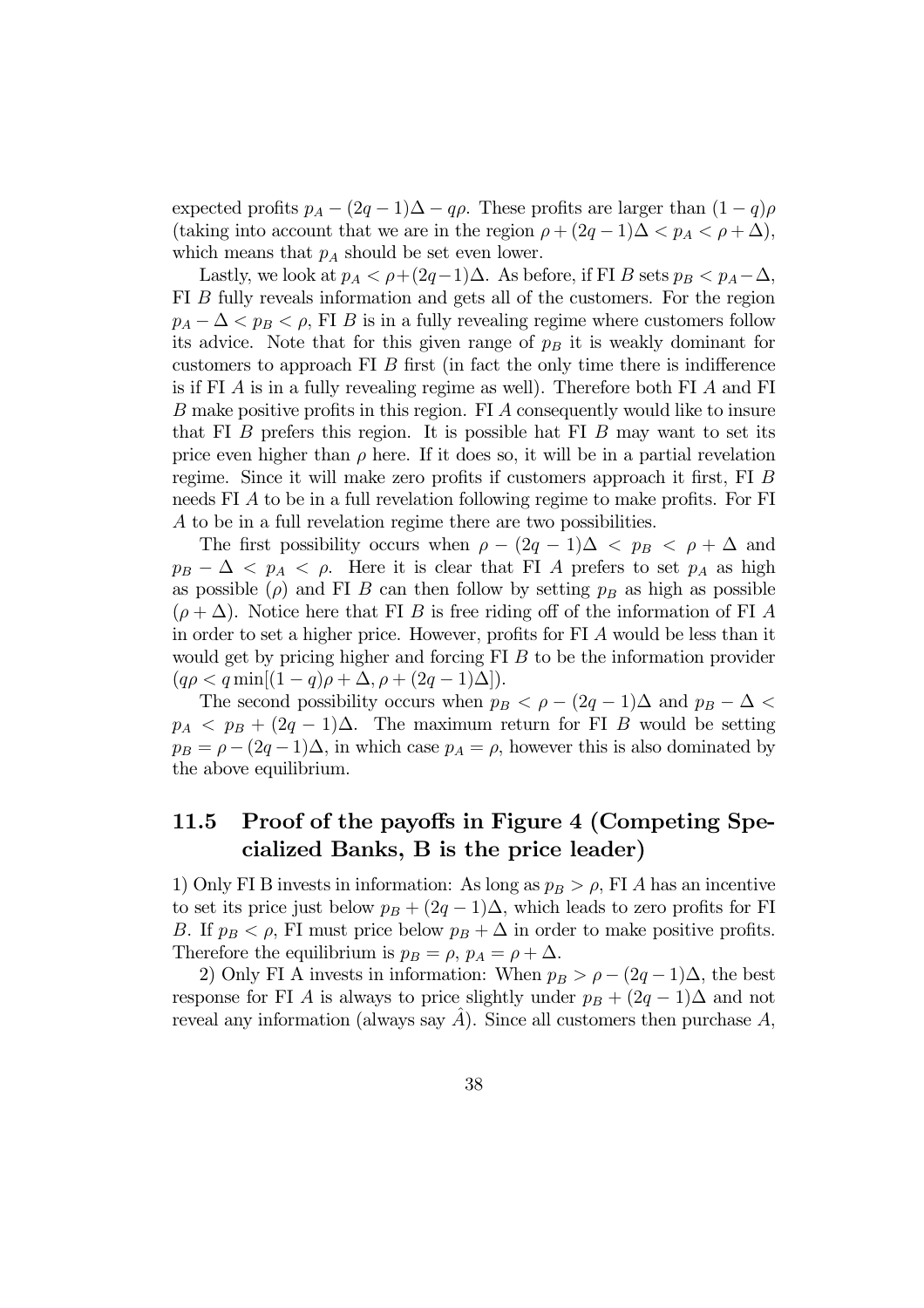expected profits  $p_A - (2q - 1)\Delta - q\rho$ . These profits are larger than  $(1 - q)\rho$ (taking into account that we are in the region  $\rho + (2q - 1)\Delta < p_A < \rho + \Delta$ ), which means that  $p_A$  should be set even lower.

Lastly, we look at  $p_A < \rho + (2q-1)\Delta$ . As before, if FI B sets  $p_B < p_A - \Delta$ , FI B fully reveals information and gets all of the customers. For the region  $p_A - \Delta < p_B < \rho$ , FI B is in a fully revealing regime where customers follow its advice. Note that for this given range of  $p_B$  it is weakly dominant for customers to approach FI B first (in fact the only time there is indifference is if FI A is in a fully revealing regime as well). Therefore both FI A and FI B make positive profits in this region. FI A consequently would like to insure that FI  $\overline{B}$  prefers this region. It is possible hat FI  $\overline{B}$  may want to set its price even higher than  $\rho$  here. If it does so, it will be in a partial revelation regime. Since it will make zero profits if customers approach it first, FI B needs FI A to be in a full revelation following regime to make profits. For FI A to be in a full revelation regime there are two possibilities.

The first possibility occurs when  $\rho - (2q - 1)\Delta < p_B < \rho + \Delta$  and  $p_B - \Delta < p_A < \rho$ . Here it is clear that FI A prefers to set  $p_A$  as high as possible  $(\rho)$  and FI B can then follow by setting  $p_B$  as high as possible  $(\rho + \Delta)$ . Notice here that FI B is free riding off of the information of FI A in order to set a higher price. However, profits for FI A would be less than it would get by pricing higher and forcing FI B to be the information provider  $(q\rho < q \min[(1-q)\rho + \Delta, \rho + (2q-1)\Delta]).$ 

The second possibility occurs when  $p_B < \rho - (2q - 1)\Delta$  and  $p_B - \Delta <$  $p_A < p_B + (2q - 1)\Delta$ . The maximum return for FI B would be setting  $p_B = \rho - (2q - 1)\Delta$ , in which case  $p_A = \rho$ , however this is also dominated by the above equilibrium.

### 11.5 Proof of the payoffs in Figure 4 (Competing Specialized Banks, B is the price leader)

1) Only FI B invests in information: As long as  $p_B > \rho$ , FI A has an incentive to set its price just below  $p_B + (2q - 1)\Delta$ , which leads to zero profits for FI B. If  $p_B < \rho$ , FI must price below  $p_B + \Delta$  in order to make positive profits. Therefore the equilibrium is  $p_B = \rho$ ,  $p_A = \rho + \Delta$ .

2) Only FI A invests in information: When  $p_B > \rho - (2q - 1)\Delta$ , the best response for FI A is always to price slightly under  $p_B + (2q - 1)\Delta$  and not reveal any information (always say  $A$ ). Since all customers then purchase  $A$ ,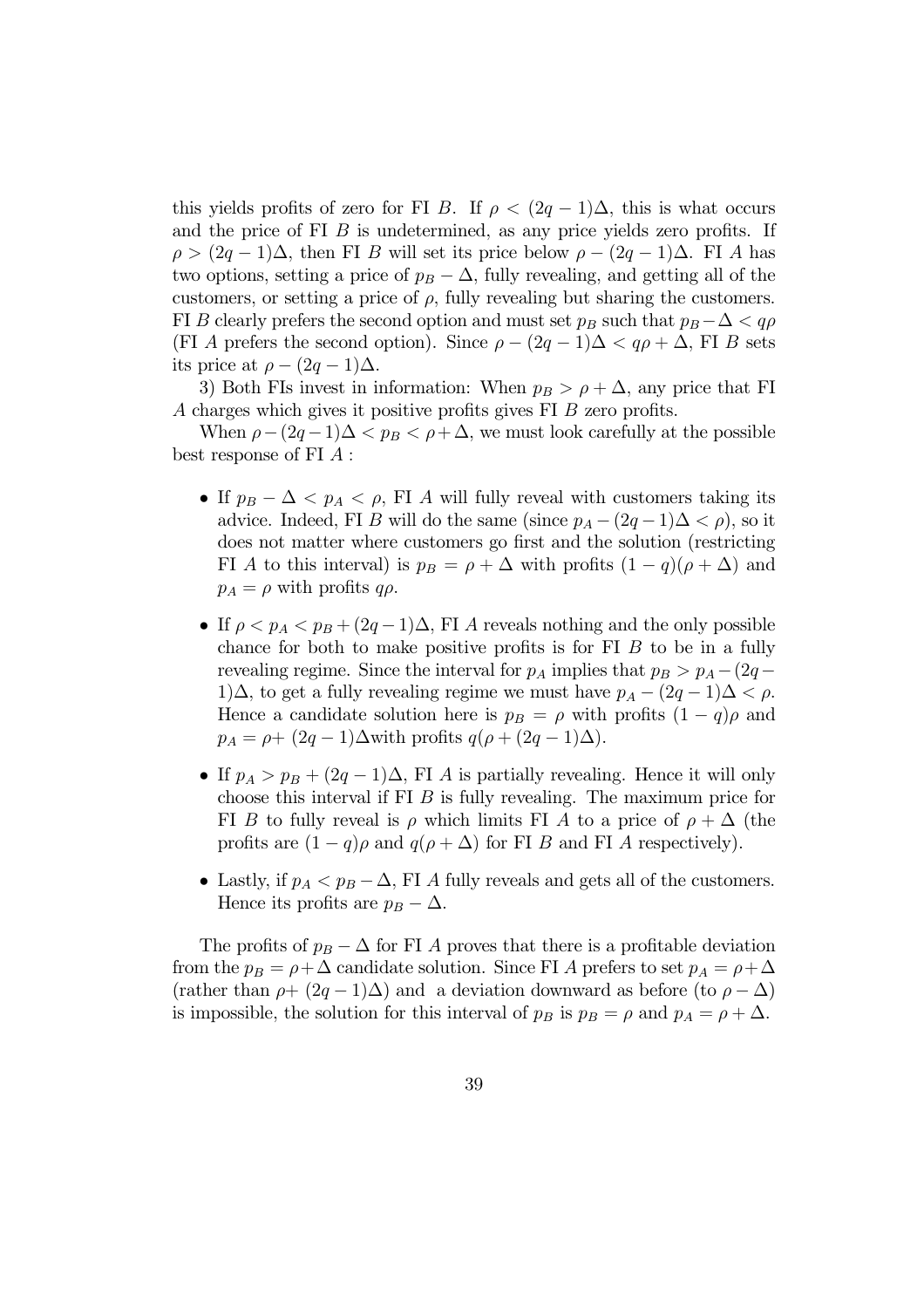this yields profits of zero for FI B. If  $\rho < (2q - 1)\Delta$ , this is what occurs and the price of FI B is undetermined, as any price yields zero profits. If  $\rho > (2q-1)\Delta$ , then FI B will set its price below  $\rho - (2q-1)\Delta$ . FI A has two options, setting a price of  $p_B - \Delta$ , fully revealing, and getting all of the customers, or setting a price of  $\rho$ , fully revealing but sharing the customers. FI B clearly prefers the second option and must set  $p_B$  such that  $p_B - \Delta < q\rho$ (FI A prefers the second option). Since  $\rho - (2q - 1)\Delta < q\rho + \Delta$ , FI B sets its price at  $\rho - (2q - 1)\Delta$ .

3) Both FIs invest in information: When  $p_B > \rho + \Delta$ , any price that FI A charges which gives it positive profits gives FI B zero profits.

When  $\rho - (2q - 1)\Delta < p_B < \rho + \Delta$ , we must look carefully at the possible best response of FI A :

- If  $p_B \Delta < p_A < \rho$ , FI A will fully reveal with customers taking its advice. Indeed, FI B will do the same (since  $p_A - (2q - 1)\Delta < \rho$ ), so it does not matter where customers go first and the solution (restricting FI A to this interval) is  $p_B = \rho + \Delta$  with profits  $(1 - q)(\rho + \Delta)$  and  $p_A = \rho$  with profits  $q\rho$ .
- If  $\rho < p_A < p_B + (2q 1)\Delta$ , FI A reveals nothing and the only possible chance for both to make positive profits is for FI B to be in a fully revealing regime. Since the interval for  $p_A$  implies that  $p_B > p_A - (2q -$ 1)∆, to get a fully revealing regime we must have  $p_A - (2q - 1)\Delta < \rho$ . Hence a candidate solution here is  $p_B = \rho$  with profits  $(1 - q)\rho$  and  $p_A = \rho + (2q - 1)\Delta$  with profits  $q(\rho + (2q - 1)\Delta)$ .
- If  $p_A > p_B + (2q 1)\Delta$ , FI A is partially revealing. Hence it will only choose this interval if FI B is fully revealing. The maximum price for FI B to fully reveal is  $\rho$  which limits FI A to a price of  $\rho + \Delta$  (the profits are  $(1 - q)\rho$  and  $q(\rho + \Delta)$  for FI B and FI A respectively).
- Lastly, if  $p_A < p_B \Delta$ , FI A fully reveals and gets all of the customers. Hence its profits are  $p_B - \Delta$ .

The profits of  $p_B - \Delta$  for FI A proves that there is a profitable deviation from the  $p_B = \rho + \Delta$  candidate solution. Since FI A prefers to set  $p_A = \rho + \Delta$ (rather than  $\rho + (2q - 1)\Delta$ ) and a deviation downward as before (to  $\rho - \Delta$ ) is impossible, the solution for this interval of  $p_B$  is  $p_B = \rho$  and  $p_A = \rho + \Delta$ .